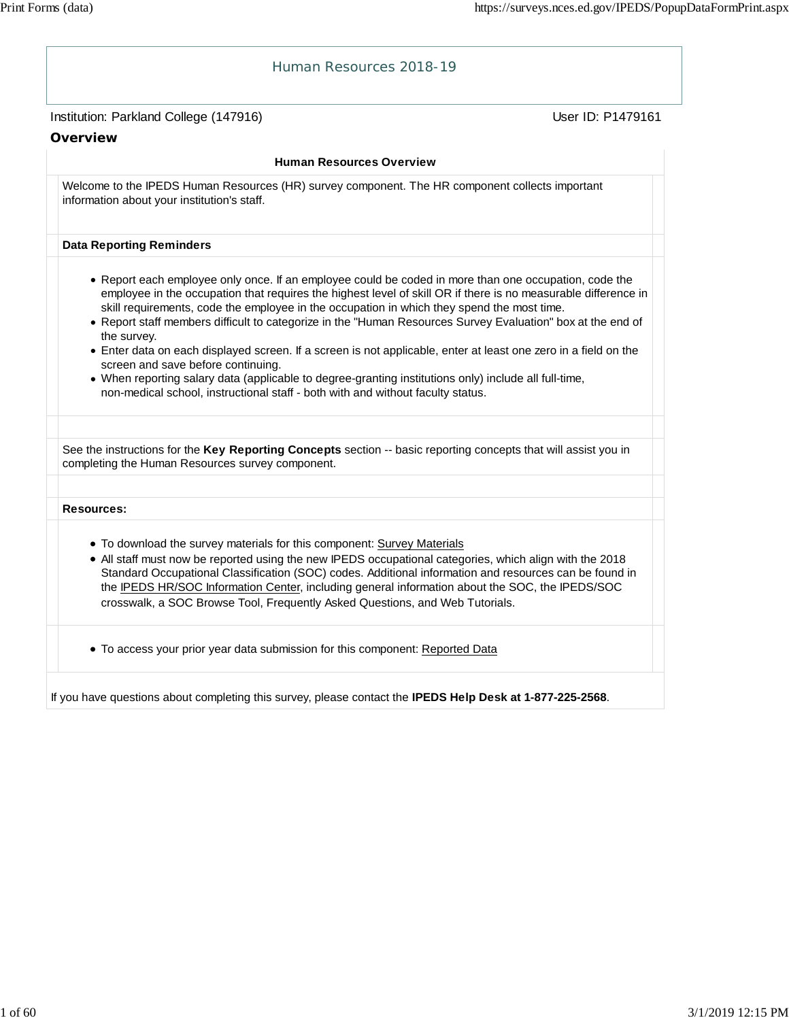| Human Resources 2018-19                                                                                                                                                                                                                                                                                                                                                                                                                                                                                                                                                                                                                                                                                                                                                                                  |  |
|----------------------------------------------------------------------------------------------------------------------------------------------------------------------------------------------------------------------------------------------------------------------------------------------------------------------------------------------------------------------------------------------------------------------------------------------------------------------------------------------------------------------------------------------------------------------------------------------------------------------------------------------------------------------------------------------------------------------------------------------------------------------------------------------------------|--|
| User ID: P1479161<br>Institution: Parkland College (147916)                                                                                                                                                                                                                                                                                                                                                                                                                                                                                                                                                                                                                                                                                                                                              |  |
| Overview                                                                                                                                                                                                                                                                                                                                                                                                                                                                                                                                                                                                                                                                                                                                                                                                 |  |
| <b>Human Resources Overview</b>                                                                                                                                                                                                                                                                                                                                                                                                                                                                                                                                                                                                                                                                                                                                                                          |  |
| Welcome to the IPEDS Human Resources (HR) survey component. The HR component collects important<br>information about your institution's staff.                                                                                                                                                                                                                                                                                                                                                                                                                                                                                                                                                                                                                                                           |  |
| <b>Data Reporting Reminders</b>                                                                                                                                                                                                                                                                                                                                                                                                                                                                                                                                                                                                                                                                                                                                                                          |  |
| • Report each employee only once. If an employee could be coded in more than one occupation, code the<br>employee in the occupation that requires the highest level of skill OR if there is no measurable difference in<br>skill requirements, code the employee in the occupation in which they spend the most time.<br>• Report staff members difficult to categorize in the "Human Resources Survey Evaluation" box at the end of<br>the survey.<br>• Enter data on each displayed screen. If a screen is not applicable, enter at least one zero in a field on the<br>screen and save before continuing.<br>. When reporting salary data (applicable to degree-granting institutions only) include all full-time,<br>non-medical school, instructional staff - both with and without faculty status. |  |
| See the instructions for the Key Reporting Concepts section -- basic reporting concepts that will assist you in                                                                                                                                                                                                                                                                                                                                                                                                                                                                                                                                                                                                                                                                                          |  |
| completing the Human Resources survey component.                                                                                                                                                                                                                                                                                                                                                                                                                                                                                                                                                                                                                                                                                                                                                         |  |
| <b>Resources:</b>                                                                                                                                                                                                                                                                                                                                                                                                                                                                                                                                                                                                                                                                                                                                                                                        |  |
| • To download the survey materials for this component: Survey Materials<br>• All staff must now be reported using the new IPEDS occupational categories, which align with the 2018<br>Standard Occupational Classification (SOC) codes. Additional information and resources can be found in<br>the IPEDS HR/SOC Information Center, including general information about the SOC, the IPEDS/SOC<br>crosswalk, a SOC Browse Tool, Frequently Asked Questions, and Web Tutorials.                                                                                                                                                                                                                                                                                                                          |  |
| • To access your prior year data submission for this component: Reported Data                                                                                                                                                                                                                                                                                                                                                                                                                                                                                                                                                                                                                                                                                                                            |  |
|                                                                                                                                                                                                                                                                                                                                                                                                                                                                                                                                                                                                                                                                                                                                                                                                          |  |

If you have questions about completing this survey, please contact the **IPEDS Help Desk at 1-877-225-2568**.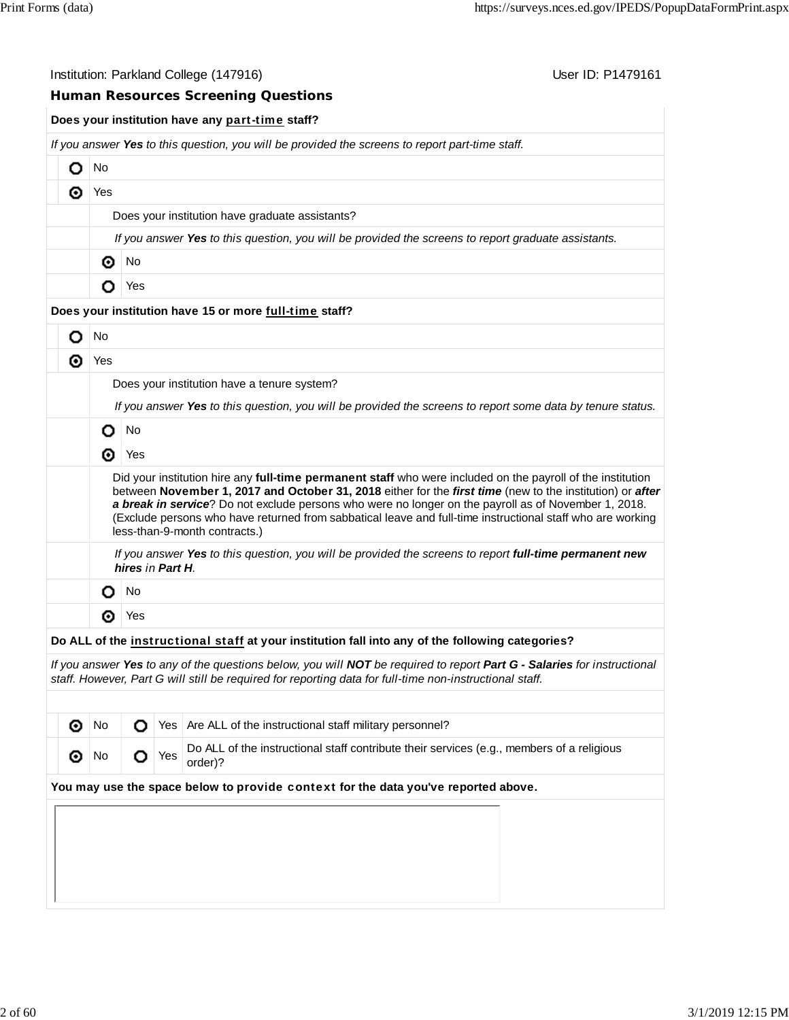| User ID: P1479161<br>Institution: Parkland College (147916) |         |                                                                                                                                                                                                                                                                                                                                                                                                                                                                                 |  |  |  |  |  |  |  |  |
|-------------------------------------------------------------|---------|---------------------------------------------------------------------------------------------------------------------------------------------------------------------------------------------------------------------------------------------------------------------------------------------------------------------------------------------------------------------------------------------------------------------------------------------------------------------------------|--|--|--|--|--|--|--|--|
|                                                             |         | <b>Human Resources Screening Questions</b>                                                                                                                                                                                                                                                                                                                                                                                                                                      |  |  |  |  |  |  |  |  |
|                                                             |         | Does your institution have any part-time staff?                                                                                                                                                                                                                                                                                                                                                                                                                                 |  |  |  |  |  |  |  |  |
|                                                             |         | If you answer Yes to this question, you will be provided the screens to report part-time staff.                                                                                                                                                                                                                                                                                                                                                                                 |  |  |  |  |  |  |  |  |
| О                                                           | No      |                                                                                                                                                                                                                                                                                                                                                                                                                                                                                 |  |  |  |  |  |  |  |  |
| ⊙                                                           | Yes     |                                                                                                                                                                                                                                                                                                                                                                                                                                                                                 |  |  |  |  |  |  |  |  |
|                                                             |         | Does your institution have graduate assistants?                                                                                                                                                                                                                                                                                                                                                                                                                                 |  |  |  |  |  |  |  |  |
|                                                             |         | If you answer Yes to this question, you will be provided the screens to report graduate assistants.                                                                                                                                                                                                                                                                                                                                                                             |  |  |  |  |  |  |  |  |
|                                                             | No<br>◉ |                                                                                                                                                                                                                                                                                                                                                                                                                                                                                 |  |  |  |  |  |  |  |  |
|                                                             | О       | Yes                                                                                                                                                                                                                                                                                                                                                                                                                                                                             |  |  |  |  |  |  |  |  |
|                                                             |         | Does your institution have 15 or more full-time staff?                                                                                                                                                                                                                                                                                                                                                                                                                          |  |  |  |  |  |  |  |  |
| О                                                           | No      |                                                                                                                                                                                                                                                                                                                                                                                                                                                                                 |  |  |  |  |  |  |  |  |
| ⊚                                                           | Yes     |                                                                                                                                                                                                                                                                                                                                                                                                                                                                                 |  |  |  |  |  |  |  |  |
|                                                             |         | Does your institution have a tenure system?                                                                                                                                                                                                                                                                                                                                                                                                                                     |  |  |  |  |  |  |  |  |
|                                                             |         | If you answer Yes to this question, you will be provided the screens to report some data by tenure status.                                                                                                                                                                                                                                                                                                                                                                      |  |  |  |  |  |  |  |  |
|                                                             | o       | No                                                                                                                                                                                                                                                                                                                                                                                                                                                                              |  |  |  |  |  |  |  |  |
|                                                             | ⊙       | Yes                                                                                                                                                                                                                                                                                                                                                                                                                                                                             |  |  |  |  |  |  |  |  |
|                                                             |         | Did your institution hire any full-time permanent staff who were included on the payroll of the institution<br>between November 1, 2017 and October 31, 2018 either for the first time (new to the institution) or after<br>a break in service? Do not exclude persons who were no longer on the payroll as of November 1, 2018.<br>(Exclude persons who have returned from sabbatical leave and full-time instructional staff who are working<br>less-than-9-month contracts.) |  |  |  |  |  |  |  |  |
|                                                             |         | If you answer Yes to this question, you will be provided the screens to report full-time permanent new<br>hires in Part H.                                                                                                                                                                                                                                                                                                                                                      |  |  |  |  |  |  |  |  |
|                                                             | О       | No                                                                                                                                                                                                                                                                                                                                                                                                                                                                              |  |  |  |  |  |  |  |  |
|                                                             | ⊙       | Yes                                                                                                                                                                                                                                                                                                                                                                                                                                                                             |  |  |  |  |  |  |  |  |
|                                                             |         | Do ALL of the instructional staff at your institution fall into any of the following categories?                                                                                                                                                                                                                                                                                                                                                                                |  |  |  |  |  |  |  |  |
|                                                             |         | If you answer Yes to any of the questions below, you will NOT be required to report Part G - Salaries for instructional<br>staff. However, Part G will still be required for reporting data for full-time non-instructional staff.                                                                                                                                                                                                                                              |  |  |  |  |  |  |  |  |
|                                                             |         |                                                                                                                                                                                                                                                                                                                                                                                                                                                                                 |  |  |  |  |  |  |  |  |

| ൈ                                                                                  |                |  |  | $\overline{O}$ Yes $\overline{O}$ Are ALL of the instructional staff military personnel?             |  |  |  |  |  |  |
|------------------------------------------------------------------------------------|----------------|--|--|------------------------------------------------------------------------------------------------------|--|--|--|--|--|--|
| ∶⊚∣                                                                                | $No$ $O$ $Yes$ |  |  | Do ALL of the instructional staff contribute their services (e.g., members of a religious<br>order)? |  |  |  |  |  |  |
| You may use the space below to provide context for the data you've reported above. |                |  |  |                                                                                                      |  |  |  |  |  |  |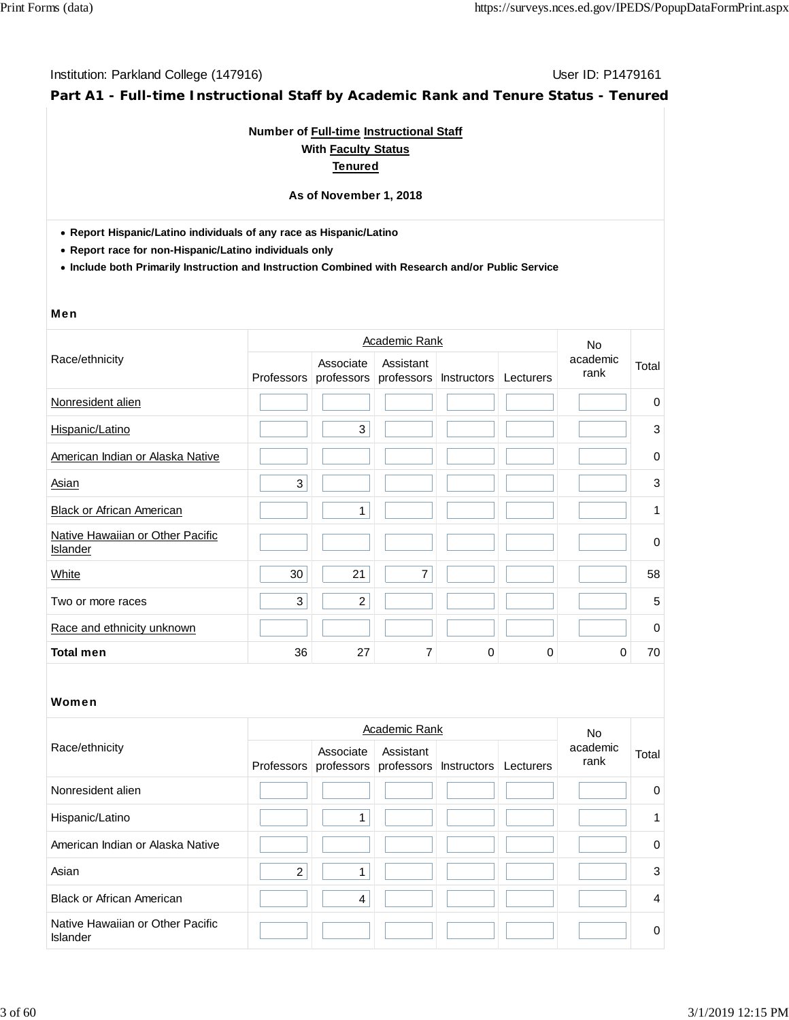**Part A1 - Full-time Instructional Staff by Academic Rank and Tenure Status - Tenured**

### **Number of Full-time Instructional Staff With Faculty Status Tenured**

#### **As of November 1, 2018**

**Report Hispanic/Latino individuals of any race as Hispanic/Latino**

**Report race for non-Hispanic/Latino individuals only**

**Include both Primarily Instruction and Instruction Combined with Research and/or Public Service**

#### Men

|                                                     |            | Academic Rank  |                                    | <b>No</b>   |           |                  |             |
|-----------------------------------------------------|------------|----------------|------------------------------------|-------------|-----------|------------------|-------------|
| Race/ethnicity                                      | Professors | Associate      | Assistant<br>professors professors | Instructors | Lecturers | academic<br>rank | Total       |
| Nonresident alien                                   |            |                |                                    |             |           |                  | $\mathbf 0$ |
| Hispanic/Latino                                     |            | 3              |                                    |             |           |                  | 3           |
| American Indian or Alaska Native                    |            |                |                                    |             |           |                  | 0           |
| Asian                                               | 3          |                |                                    |             |           |                  | 3           |
| <b>Black or African American</b>                    |            | $\mathbf{1}$   |                                    |             |           |                  | 1           |
| Native Hawaiian or Other Pacific<br><b>Islander</b> |            |                |                                    |             |           |                  | 0           |
| White                                               | 30         | 21             | 7                                  |             |           |                  | 58          |
| Two or more races                                   | 3          | $\overline{c}$ |                                    |             |           |                  | 5           |
| Race and ethnicity unknown                          |            |                |                                    |             |           |                  | $\mathbf 0$ |
| <b>Total men</b>                                    | 36         | 27             | 7                                  | $\Omega$    | 0         | 0                | 70          |

|                                              |                | No.            |                                                                     |  |                  |                |
|----------------------------------------------|----------------|----------------|---------------------------------------------------------------------|--|------------------|----------------|
| Race/ethnicity                               |                | Associate      | Assistant<br>Professors professors professors Instructors Lecturers |  | academic<br>rank | Total          |
| Nonresident alien                            |                |                |                                                                     |  |                  | $\mathbf 0$    |
| Hispanic/Latino                              |                |                |                                                                     |  |                  | 1              |
| American Indian or Alaska Native             |                |                |                                                                     |  |                  | $\Omega$       |
| Asian                                        | $\overline{c}$ |                |                                                                     |  |                  | 3              |
| <b>Black or African American</b>             |                | $\overline{4}$ |                                                                     |  |                  | $\overline{4}$ |
| Native Hawaiian or Other Pacific<br>Islander |                |                |                                                                     |  |                  | $\Omega$       |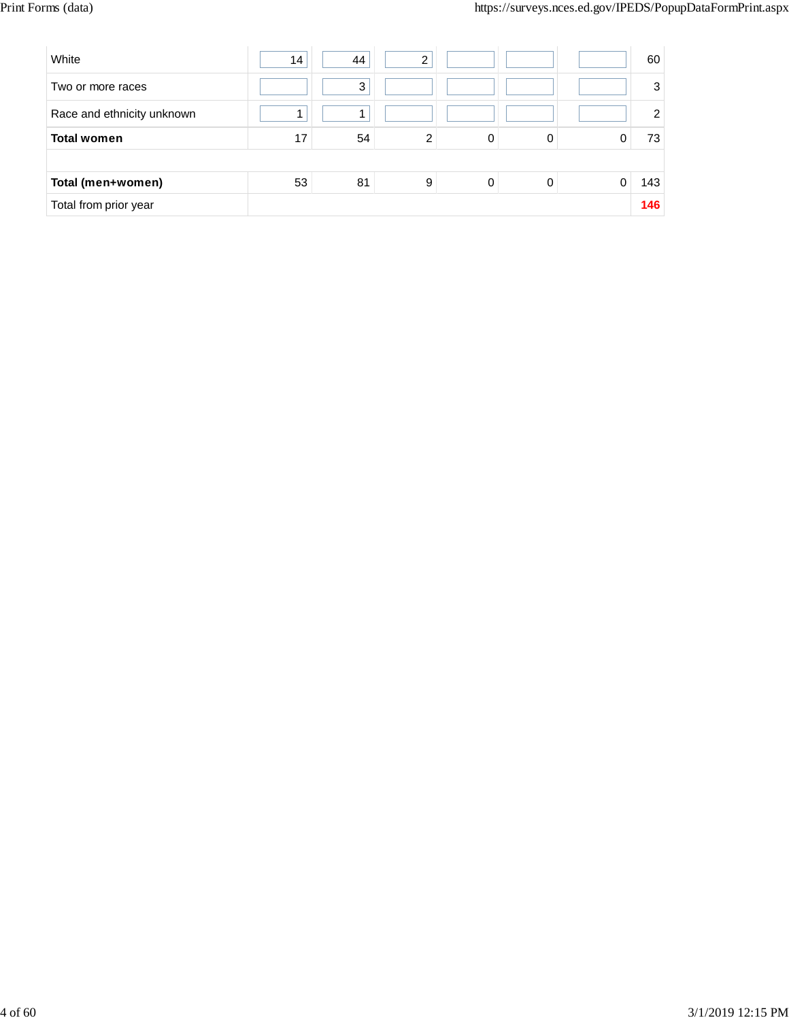| White                      | 14 | 44 | ⌒              |   |   |   | 60             |
|----------------------------|----|----|----------------|---|---|---|----------------|
| Two or more races          |    | 3  |                |   |   |   | 3              |
| Race and ethnicity unknown |    |    |                |   |   |   | $\overline{2}$ |
| <b>Total women</b>         | 17 | 54 | $\overline{2}$ | 0 | 0 |   | 73             |
|                            |    |    |                |   |   |   |                |
| Total (men+women)          | 53 | 81 | 9              | 0 | 0 | 0 | 143            |
| Total from prior year      |    |    |                |   |   |   | 146            |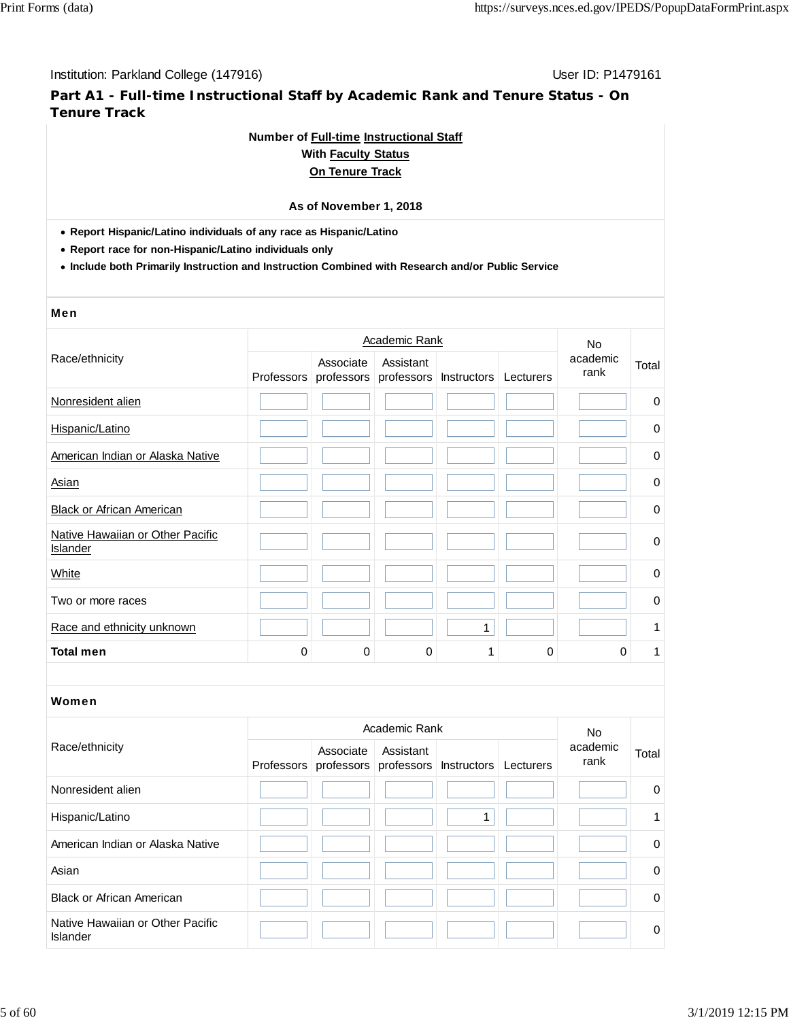# **Part A1 - Full-time Instructional Staff by Academic Rank and Tenure Status - On Tenure Track**

### **Number of Full-time Instructional Staff**

### **With Faculty Status On Tenure Track**

# **As of November 1, 2018**

**Report Hispanic/Latino individuals of any race as Hispanic/Latino**

**Report race for non-Hispanic/Latino individuals only**

**Include both Primarily Instruction and Instruction Combined with Research and/or Public Service**

#### Men

|                                              |             |                         | <b>Academic Rank</b>    |              |           | <b>No</b><br>academic<br>rank |                   |
|----------------------------------------------|-------------|-------------------------|-------------------------|--------------|-----------|-------------------------------|-------------------|
| Race/ethnicity                               | Professors  | Associate<br>professors | Assistant<br>professors | Instructors  | Lecturers |                               | Total             |
| Nonresident alien                            |             |                         |                         |              |           |                               | 0                 |
| Hispanic/Latino                              |             |                         |                         |              |           |                               | 0                 |
| American Indian or Alaska Native             |             |                         |                         |              |           |                               | $\pmb{0}$         |
| <b>Asian</b>                                 |             |                         |                         |              |           |                               | 0                 |
| <b>Black or African American</b>             |             |                         |                         |              |           |                               | 0                 |
| Native Hawaiian or Other Pacific<br>Islander |             |                         |                         |              |           |                               | $\mathbf 0$       |
| White                                        |             |                         |                         |              |           |                               | 0                 |
| Two or more races                            |             |                         |                         |              |           |                               | 0                 |
| Race and ethnicity unknown                   |             |                         |                         | $\mathbf{1}$ |           |                               | 1                 |
| <b>Total men</b>                             | $\mathbf 0$ | $\Omega$                | $\mathbf 0$             | 1            | 0         | 0                             | 1                 |
| Women                                        |             |                         |                         |              |           |                               |                   |
|                                              |             |                         | Academic Rank           |              |           | <b>No</b>                     |                   |
| Race/ethnicity                               |             | Associate               | Assistant               |              |           | academic                      | T <sub>ofol</sub> |

| Race/ethnicity                               | Associate | Assistant<br>Professors professors professors Instructors | Lecturers | academic<br>rank | Total          |
|----------------------------------------------|-----------|-----------------------------------------------------------|-----------|------------------|----------------|
| Nonresident alien                            |           |                                                           |           |                  | $\overline{0}$ |
| Hispanic/Latino                              |           |                                                           |           |                  |                |
| American Indian or Alaska Native             |           |                                                           |           |                  | $\Omega$       |
| Asian                                        |           |                                                           |           |                  | $\overline{0}$ |
| <b>Black or African American</b>             |           |                                                           |           |                  | $\overline{0}$ |
| Native Hawaiian or Other Pacific<br>Islander |           |                                                           |           |                  | $\overline{0}$ |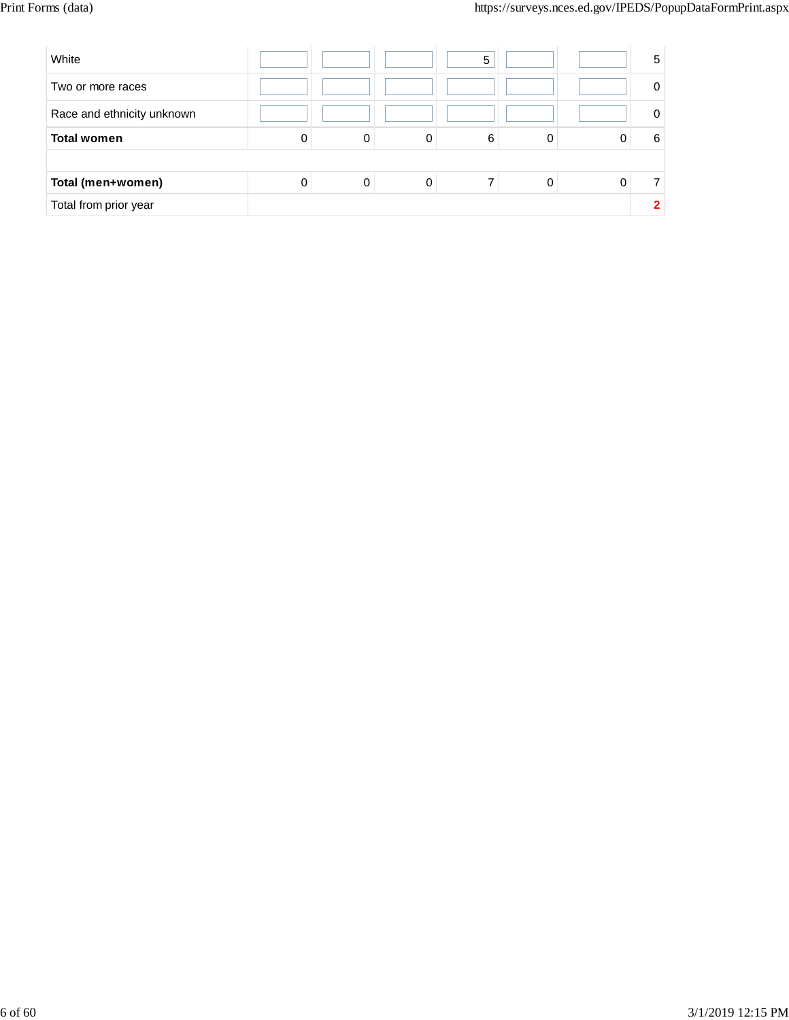| White                      |   |             |   | 5 |   | 5 |
|----------------------------|---|-------------|---|---|---|---|
| Two or more races          |   |             |   |   |   | 0 |
| Race and ethnicity unknown |   |             |   |   |   | 0 |
| <b>Total women</b>         | 0 | 0           | 0 | 6 |   | 6 |
|                            |   |             |   |   |   |   |
| Total (men+women)          | 0 | $\mathbf 0$ | 0 |   | 0 |   |
| Total from prior year      |   |             |   |   |   |   |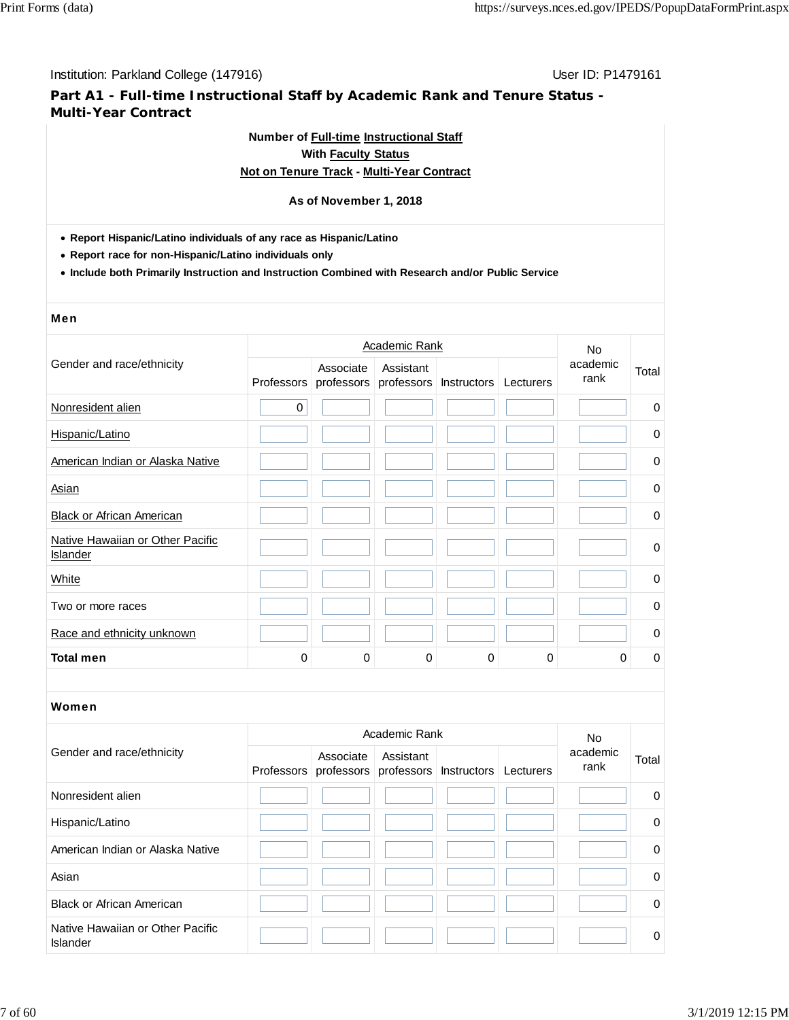**Part A1 - Full-time Instructional Staff by Academic Rank and Tenure Status - Multi-Year Contract**

# **Number of Full-time Instructional Staff**

# **With Faculty Status**

# **Not on Tenure Track - Multi-Year Contract**

#### **As of November 1, 2018**

- **Report Hispanic/Latino individuals of any race as Hispanic/Latino**
- **Report race for non-Hispanic/Latino individuals only**
- **Include both Primarily Instruction and Instruction Combined with Research and/or Public Service**

#### Men

|                                              |                   |           | <b>Academic Rank</b> |                                             |   | No<br>academic<br>rank |             |  |
|----------------------------------------------|-------------------|-----------|----------------------|---------------------------------------------|---|------------------------|-------------|--|
| Gender and race/ethnicity                    | <b>Professors</b> | Associate | Assistant            | professors professors Instructors Lecturers |   |                        | Total       |  |
| Nonresident alien                            | $\mathbf 0$       |           |                      |                                             |   |                        | 0           |  |
| Hispanic/Latino                              |                   |           |                      |                                             |   |                        | 0           |  |
| American Indian or Alaska Native             |                   |           |                      |                                             |   |                        | 0           |  |
| Asian                                        |                   |           |                      |                                             |   |                        | $\mathbf 0$ |  |
| <b>Black or African American</b>             |                   |           |                      |                                             |   |                        | 0           |  |
| Native Hawaiian or Other Pacific<br>Islander |                   |           |                      |                                             |   |                        | $\mathbf 0$ |  |
| White                                        |                   |           |                      |                                             |   |                        | 0           |  |
| Two or more races                            |                   |           |                      |                                             |   |                        | $\mathbf 0$ |  |
| Race and ethnicity unknown                   |                   |           |                      |                                             |   |                        | 0           |  |
| <b>Total men</b>                             | $\mathbf 0$       | 0         | 0                    | 0                                           | 0 | 0                      | 0           |  |
|                                              |                   |           |                      |                                             |   |                        |             |  |
| Women                                        |                   |           |                      |                                             |   |                        |             |  |

|                                              |  | <b>No</b>                                                 |           |           |                  |             |
|----------------------------------------------|--|-----------------------------------------------------------|-----------|-----------|------------------|-------------|
| Gender and race/ethnicity                    |  | Associate<br>Professors professors professors Instructors | Assistant | Lecturers | academic<br>rank | Total       |
| Nonresident alien                            |  |                                                           |           |           |                  | 0           |
| Hispanic/Latino                              |  |                                                           |           |           |                  | $\mathbf 0$ |
| American Indian or Alaska Native             |  |                                                           |           |           |                  | 0           |
| Asian                                        |  |                                                           |           |           |                  | $\Omega$    |
| <b>Black or African American</b>             |  |                                                           |           |           |                  | $\mathbf 0$ |
| Native Hawaiian or Other Pacific<br>Islander |  |                                                           |           |           |                  | $\Omega$    |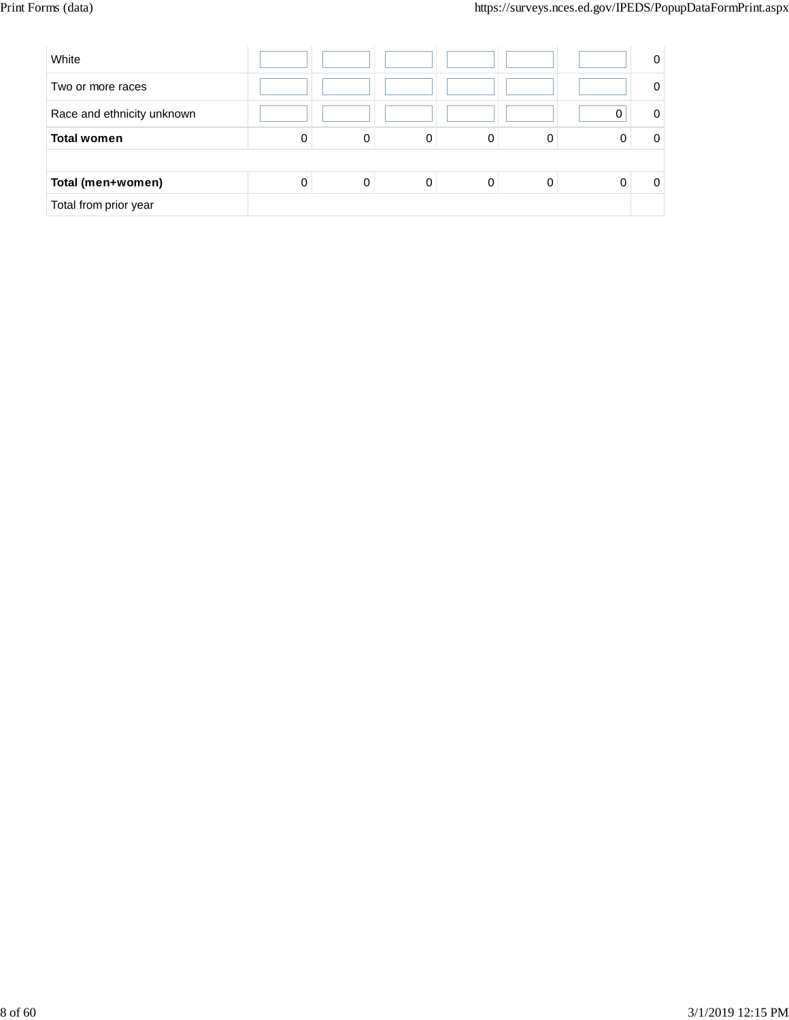| White                      |   |   |   |   |   | 0 |
|----------------------------|---|---|---|---|---|---|
| Two or more races          |   |   |   |   |   |   |
| Race and ethnicity unknown |   |   |   |   |   | 0 |
| <b>Total women</b>         | 0 | 0 | 0 | 0 | 0 |   |
|                            |   |   |   |   |   |   |
| Total (men+women)          | 0 | 0 | 0 |   | 0 |   |
| Total from prior year      |   |   |   |   |   |   |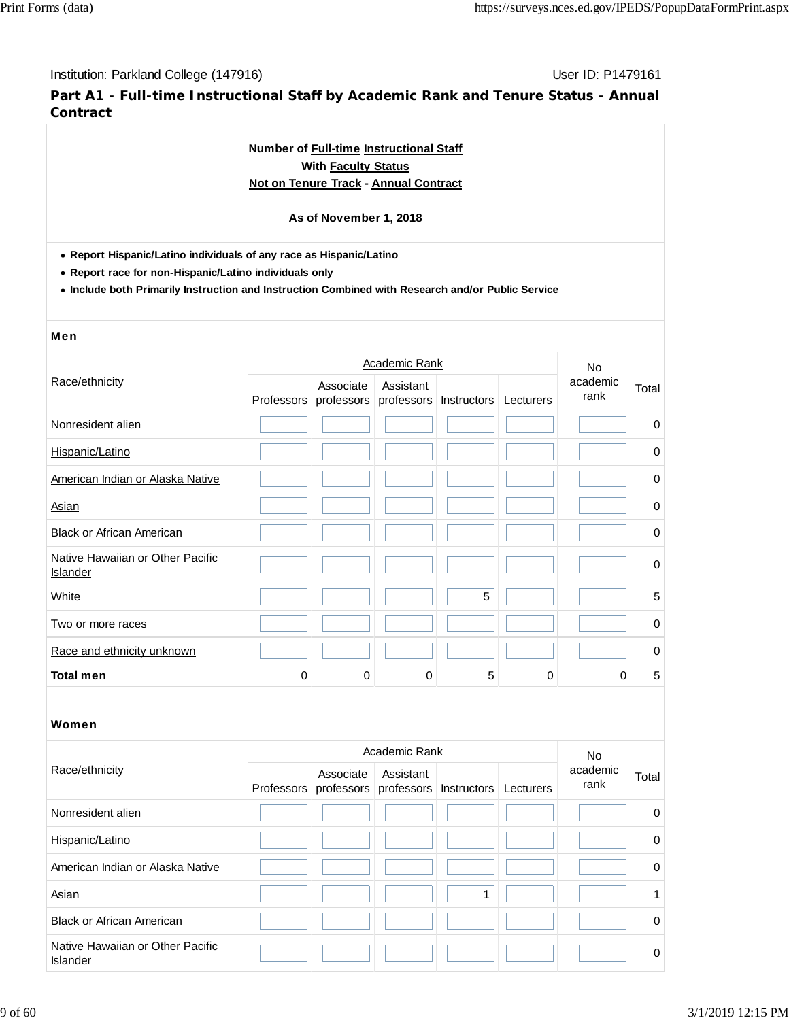**Part A1 - Full-time Instructional Staff by Academic Rank and Tenure Status - Annual Contract**

# **Number of Full-time Instructional Staff With Faculty Status Not on Tenure Track - Annual Contract**

### **As of November 1, 2018**

**Report Hispanic/Latino individuals of any race as Hispanic/Latino**

**Report race for non-Hispanic/Latino individuals only**

**Include both Primarily Instruction and Instruction Combined with Research and/or Public Service**

# Men

|                                              |                   |           | <b>Academic Rank</b> |                                   |           | <b>No</b>        |             |
|----------------------------------------------|-------------------|-----------|----------------------|-----------------------------------|-----------|------------------|-------------|
| Race/ethnicity                               | <b>Professors</b> | Associate | Assistant            | professors professors Instructors | Lecturers | academic<br>rank | Total       |
| Nonresident alien                            |                   |           |                      |                                   |           |                  | $\mathbf 0$ |
| Hispanic/Latino                              |                   |           |                      |                                   |           |                  | 0           |
| American Indian or Alaska Native             |                   |           |                      |                                   |           |                  | 0           |
| Asian                                        |                   |           |                      |                                   |           |                  | $\mathbf 0$ |
| <b>Black or African American</b>             |                   |           |                      |                                   |           |                  | 0           |
| Native Hawaiian or Other Pacific<br>Islander |                   |           |                      |                                   |           |                  | $\mathbf 0$ |
| White                                        |                   |           |                      | 5                                 |           |                  | 5           |
| Two or more races                            |                   |           |                      |                                   |           |                  | $\mathbf 0$ |
| Race and ethnicity unknown                   |                   |           |                      |                                   |           |                  | $\mathbf 0$ |
| <b>Total men</b>                             | 0                 | 0         | 0                    | 5                                 | 0         | $\Omega$         | 5           |

|                                              |                                                           | Academic Rank |           | No.              |          |
|----------------------------------------------|-----------------------------------------------------------|---------------|-----------|------------------|----------|
| Race/ethnicity                               | Associate<br>Professors professors professors Instructors | Assistant     | Lecturers | academic<br>rank | Total    |
| Nonresident alien                            |                                                           |               |           |                  | $\Omega$ |
| Hispanic/Latino                              |                                                           |               |           |                  | 0        |
| American Indian or Alaska Native             |                                                           |               |           |                  | $\Omega$ |
| Asian                                        |                                                           |               |           |                  |          |
| <b>Black or African American</b>             |                                                           |               |           |                  | 0        |
| Native Hawaiian or Other Pacific<br>Islander |                                                           |               |           |                  | 0        |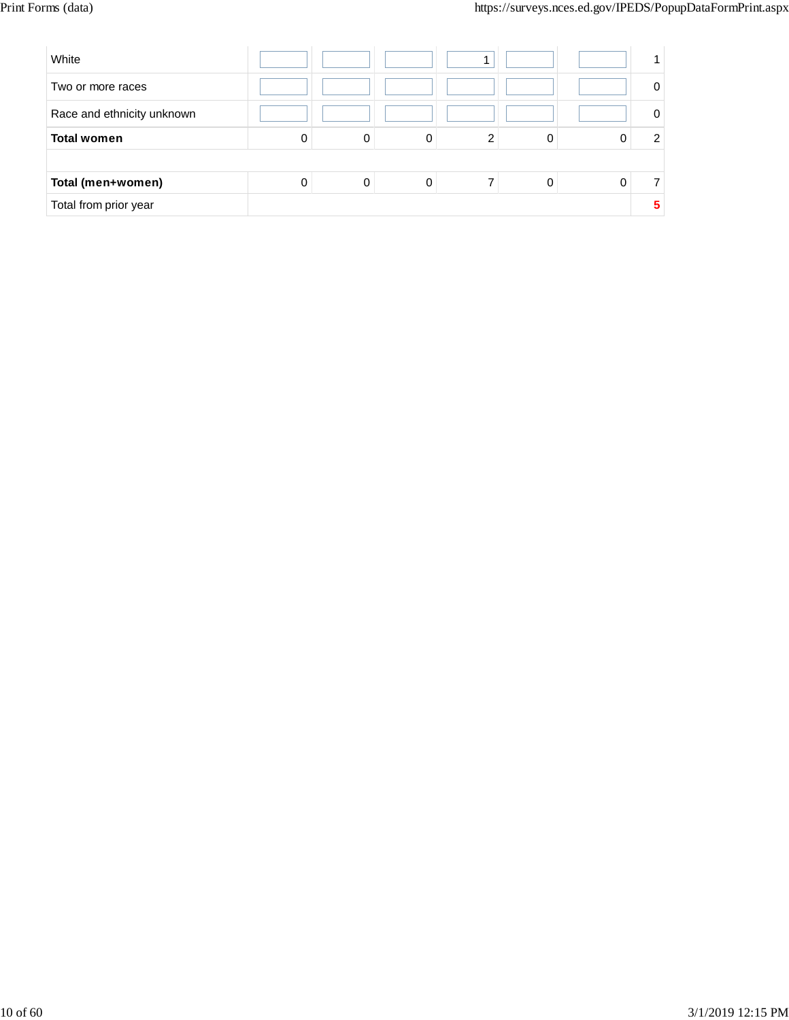| White                      |   |   |   |   |   |   |
|----------------------------|---|---|---|---|---|---|
| Two or more races          |   |   |   |   |   | 0 |
| Race and ethnicity unknown |   |   |   |   |   | 0 |
| <b>Total women</b>         | 0 | 0 | 0 | ⌒ |   | 2 |
|                            |   |   |   |   |   |   |
| Total (men+women)          | 0 | 0 | 0 |   | 0 |   |
| Total from prior year      |   |   |   |   |   | 5 |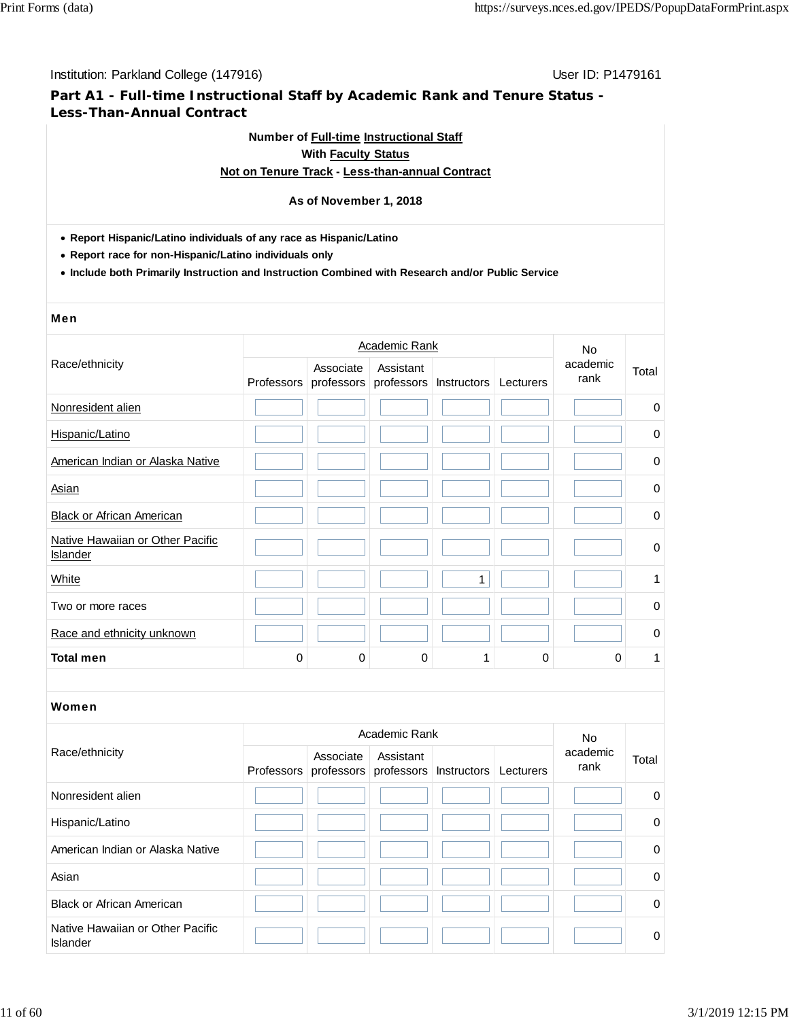# **Part A1 - Full-time Instructional Staff by Academic Rank and Tenure Status - Less-Than-Annual Contract**

# **Number of Full-time Instructional Staff With Faculty Status**

# **Not on Tenure Track - Less-than-annual Contract**

#### **As of November 1, 2018**

- **Report Hispanic/Latino individuals of any race as Hispanic/Latino**
- **Report race for non-Hispanic/Latino individuals only**
- **Include both Primarily Instruction and Instruction Combined with Research and/or Public Service**

#### Men

|                                              |          |                                    | <b>Academic Rank</b>    |             |           | <b>No</b>        |             |
|----------------------------------------------|----------|------------------------------------|-------------------------|-------------|-----------|------------------|-------------|
| Race/ethnicity                               |          | Associate<br>Professors professors | Assistant<br>professors | Instructors | Lecturers | academic<br>rank | Total       |
| Nonresident alien                            |          |                                    |                         |             |           |                  | 0           |
| Hispanic/Latino                              |          |                                    |                         |             |           |                  | 0           |
| American Indian or Alaska Native             |          |                                    |                         |             |           |                  | 0           |
| Asian                                        |          |                                    |                         |             |           |                  | 0           |
| <b>Black or African American</b>             |          |                                    |                         |             |           |                  | $\mathbf 0$ |
| Native Hawaiian or Other Pacific<br>Islander |          |                                    |                         |             |           |                  | 0           |
| White                                        |          |                                    |                         | 1           |           |                  | 1           |
| Two or more races                            |          |                                    |                         |             |           |                  | 0           |
| Race and ethnicity unknown                   |          |                                    |                         |             |           |                  | 0           |
| <b>Total men</b>                             | $\Omega$ | 0                                  | 0                       |             | 0         | 0                | 1           |

|                                              |                                                           | Academic Rank |           | <b>No</b>        |          |
|----------------------------------------------|-----------------------------------------------------------|---------------|-----------|------------------|----------|
| Race/ethnicity                               | Associate<br>Professors professors professors Instructors | Assistant     | Lecturers | academic<br>rank | Total    |
| Nonresident alien                            |                                                           |               |           |                  | $\Omega$ |
| Hispanic/Latino                              |                                                           |               |           |                  | 0        |
| American Indian or Alaska Native             |                                                           |               |           |                  | $\Omega$ |
| Asian                                        |                                                           |               |           |                  | $\Omega$ |
| <b>Black or African American</b>             |                                                           |               |           |                  | $\Omega$ |
| Native Hawaiian or Other Pacific<br>Islander |                                                           |               |           |                  | $\Omega$ |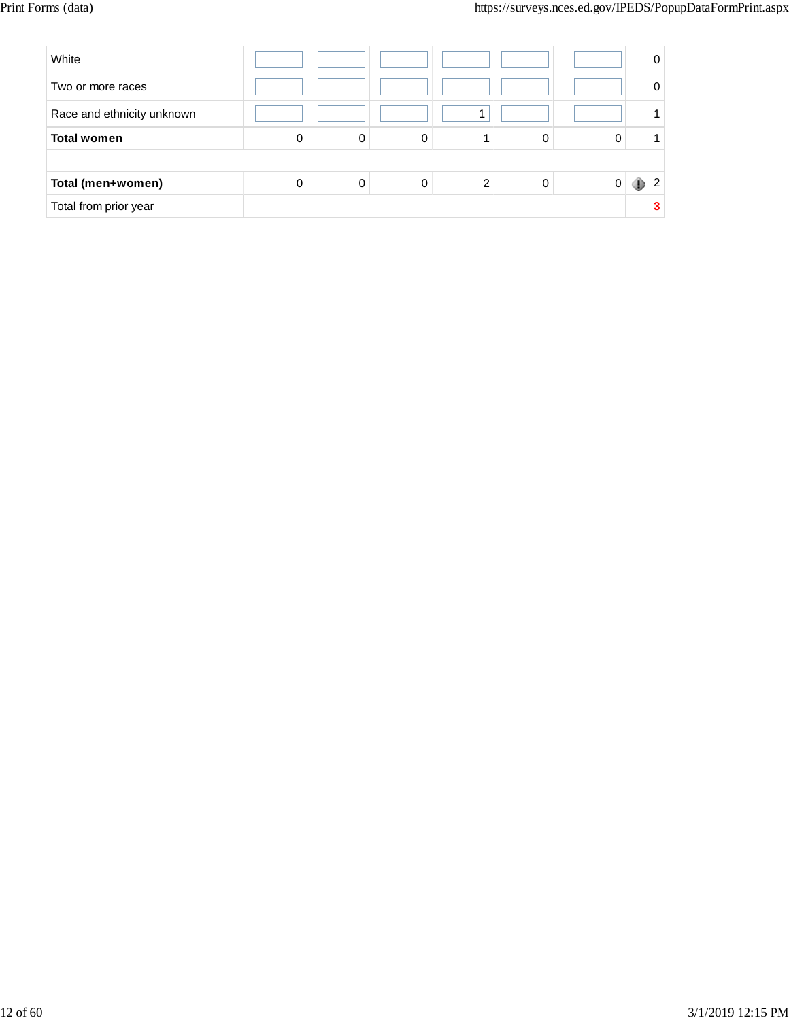| White                      |   |   |   |   | 0 |
|----------------------------|---|---|---|---|---|
| Two or more races          |   |   |   |   | 0 |
| Race and ethnicity unknown |   |   |   |   |   |
| <b>Total women</b>         | 0 |   |   | 0 |   |
|                            |   |   |   |   |   |
| Total (men+women)          | 0 | 0 | ົ | 0 | ົ |
| Total from prior year      |   |   |   |   |   |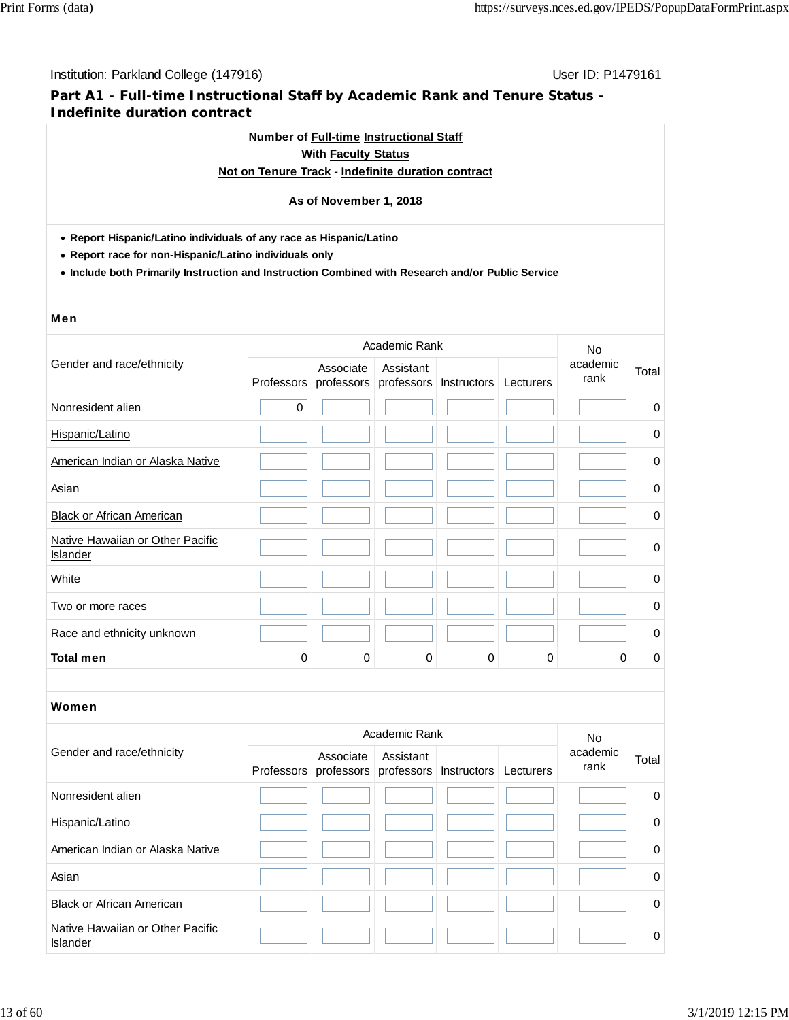# **Part A1 - Full-time Instructional Staff by Academic Rank and Tenure Status - Indefinite duration contract**

# **Number of Full-time Instructional Staff With Faculty Status**

### **Not on Tenure Track - Indefinite duration contract**

#### **As of November 1, 2018**

- **Report Hispanic/Latino individuals of any race as Hispanic/Latino**
- **Report race for non-Hispanic/Latino individuals only**
- **Include both Primarily Instruction and Instruction Combined with Research and/or Public Service**

#### Men

|                                                     |             |                         | Academic Rank |                        |           | <b>No</b>        |             |  |
|-----------------------------------------------------|-------------|-------------------------|---------------|------------------------|-----------|------------------|-------------|--|
| Gender and race/ethnicity                           | Professors  | Associate<br>professors | Assistant     | professors Instructors | Lecturers | academic<br>rank | Total       |  |
| Nonresident alien                                   | $\mathbf 0$ |                         |               |                        |           |                  | $\mathbf 0$ |  |
| Hispanic/Latino                                     |             |                         |               |                        |           |                  | 0           |  |
| American Indian or Alaska Native                    |             |                         |               |                        |           |                  | 0           |  |
| <b>Asian</b>                                        |             |                         |               |                        |           |                  | 0           |  |
| <b>Black or African American</b>                    |             |                         |               |                        |           |                  | 0           |  |
| Native Hawaiian or Other Pacific<br><b>Islander</b> |             |                         |               |                        |           |                  | $\mathbf 0$ |  |
| White                                               |             |                         |               |                        |           |                  | 0           |  |
| Two or more races                                   |             |                         |               |                        |           |                  | 0           |  |
| Race and ethnicity unknown                          |             |                         |               |                        |           |                  | $\pmb{0}$   |  |
| <b>Total men</b>                                    | $\Omega$    | 0                       | 0             | 0                      | 0         | 0                | 0           |  |

|                                              |                                                                     | Academic Rank |  | No.              |          |
|----------------------------------------------|---------------------------------------------------------------------|---------------|--|------------------|----------|
| Gender and race/ethnicity                    | Associate<br>Professors professors professors Instructors Lecturers | Assistant     |  | academic<br>rank | Total    |
| Nonresident alien                            |                                                                     |               |  |                  | 0        |
| Hispanic/Latino                              |                                                                     |               |  |                  | $\Omega$ |
| American Indian or Alaska Native             |                                                                     |               |  |                  | $\Omega$ |
| Asian                                        |                                                                     |               |  |                  | $\Omega$ |
| <b>Black or African American</b>             |                                                                     |               |  |                  | $\Omega$ |
| Native Hawaiian or Other Pacific<br>Islander |                                                                     |               |  |                  | $\Omega$ |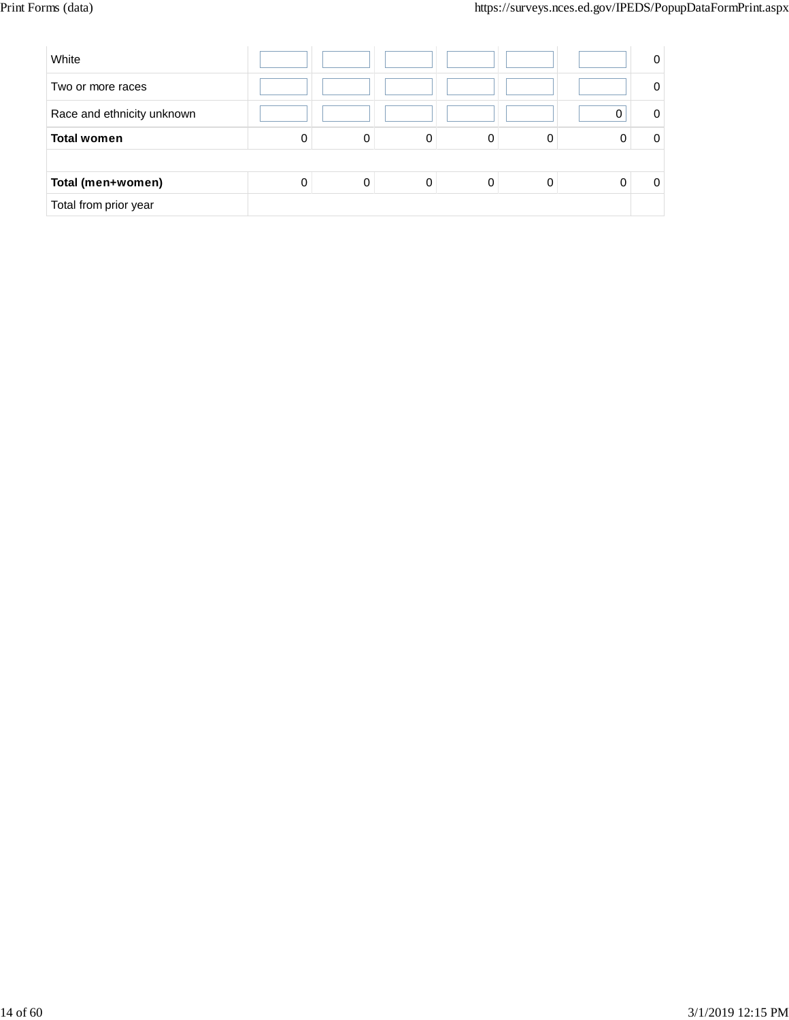| White                      |   |   |   |   |   | 0 |
|----------------------------|---|---|---|---|---|---|
| Two or more races          |   |   |   |   |   | 0 |
| Race and ethnicity unknown |   |   |   |   |   | 0 |
| <b>Total women</b>         | 0 | 0 | 0 | 0 |   | 0 |
|                            |   |   |   |   |   |   |
| Total (men+women)          | 0 | 0 | 0 | 0 | 0 | 0 |
| Total from prior year      |   |   |   |   |   |   |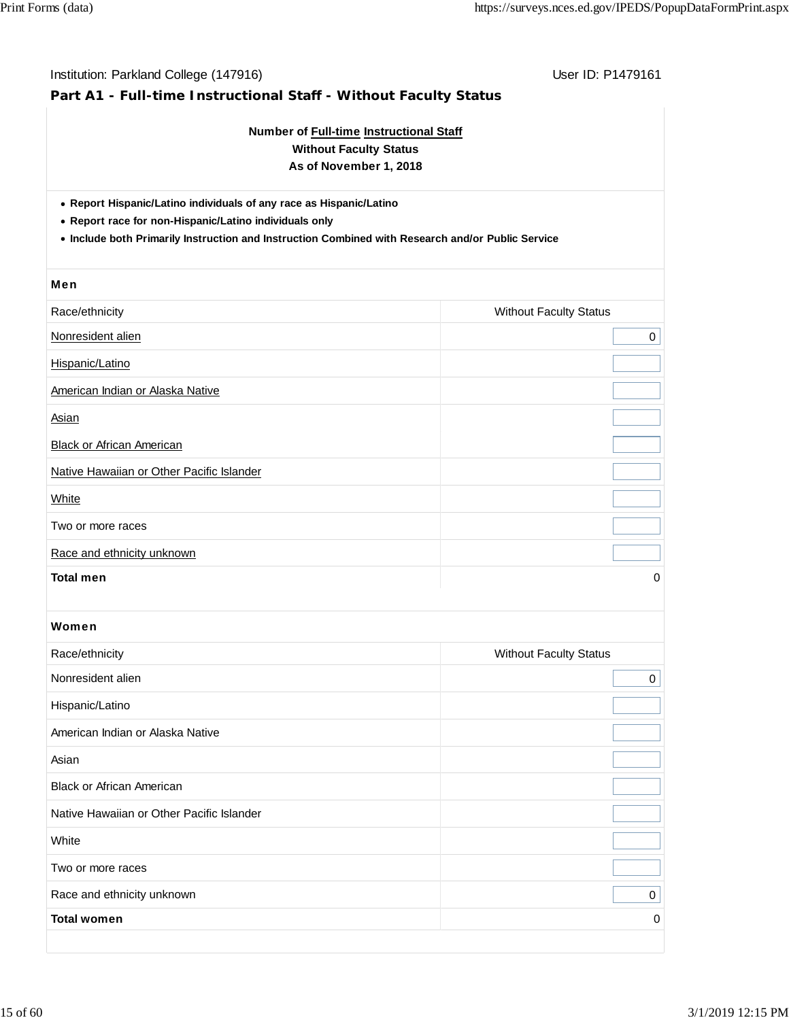| Institution: Parkland College (147916)<br>Part A1 - Full-time Instructional Staff - Without Faculty Status                                                                                                                         | User ID: P1479161             |
|------------------------------------------------------------------------------------------------------------------------------------------------------------------------------------------------------------------------------------|-------------------------------|
| Number of Full-time Instructional Staff<br><b>Without Faculty Status</b><br>As of November 1, 2018                                                                                                                                 |                               |
| • Report Hispanic/Latino individuals of any race as Hispanic/Latino<br>• Report race for non-Hispanic/Latino individuals only<br>. Include both Primarily Instruction and Instruction Combined with Research and/or Public Service |                               |
| <b>Men</b>                                                                                                                                                                                                                         |                               |
| Race/ethnicity                                                                                                                                                                                                                     | <b>Without Faculty Status</b> |
| Nonresident alien                                                                                                                                                                                                                  | 0                             |
| Hispanic/Latino                                                                                                                                                                                                                    |                               |
| American Indian or Alaska Native                                                                                                                                                                                                   |                               |
| <b>Asian</b>                                                                                                                                                                                                                       |                               |
| <b>Black or African American</b>                                                                                                                                                                                                   |                               |
| Native Hawaiian or Other Pacific Islander                                                                                                                                                                                          |                               |
| White                                                                                                                                                                                                                              |                               |
| Two or more races                                                                                                                                                                                                                  |                               |
| Race and ethnicity unknown                                                                                                                                                                                                         |                               |
| <b>Total men</b>                                                                                                                                                                                                                   | 0                             |
| Women                                                                                                                                                                                                                              |                               |
| Race/ethnicity                                                                                                                                                                                                                     | <b>Without Faculty Status</b> |
| Nonresident alien                                                                                                                                                                                                                  | 0                             |
| Hispanic/Latino                                                                                                                                                                                                                    |                               |
| American Indian or Alaska Native                                                                                                                                                                                                   |                               |
| Asian                                                                                                                                                                                                                              |                               |
| <b>Black or African American</b>                                                                                                                                                                                                   |                               |
| Native Hawaiian or Other Pacific Islander                                                                                                                                                                                          |                               |
| White                                                                                                                                                                                                                              |                               |
| Two or more races                                                                                                                                                                                                                  |                               |
| Race and ethnicity unknown                                                                                                                                                                                                         | 0                             |
| <b>Total women</b>                                                                                                                                                                                                                 | 0                             |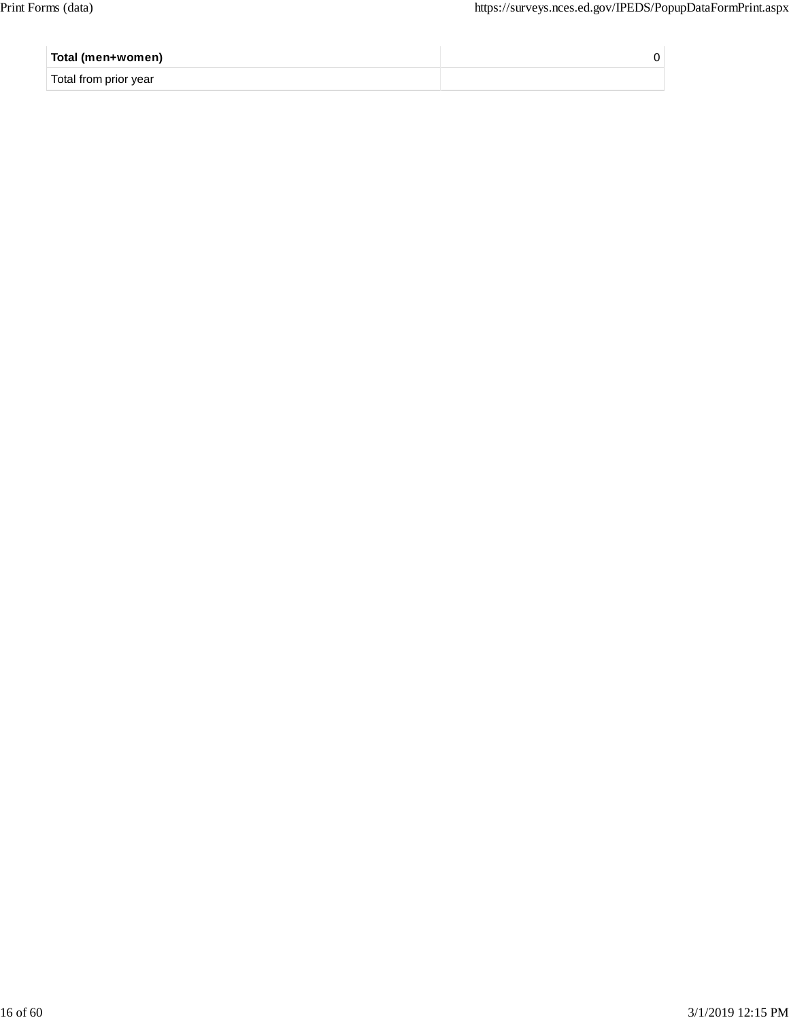| Total (men+women)     |  |
|-----------------------|--|
| Total from prior year |  |
|                       |  |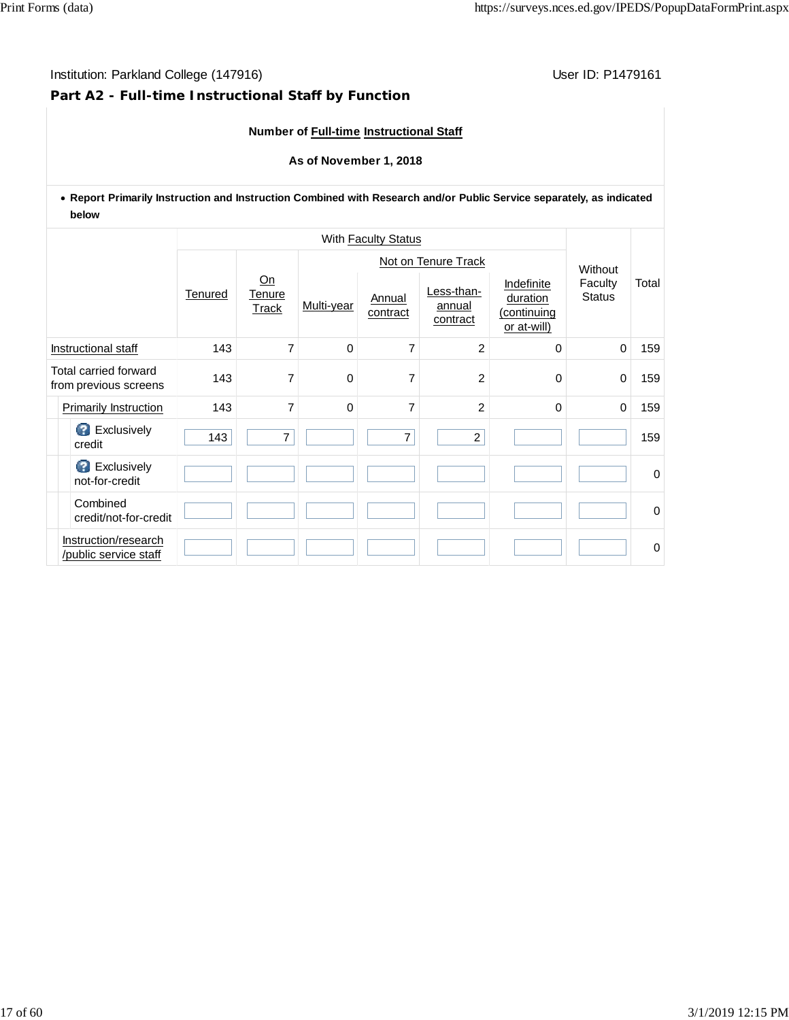### **Part A2 - Full-time Instructional Staff by Function**

### **Number of Full-time Instructional Staff**

#### **As of November 1, 2018**

### **Report Primarily Instruction and Instruction Combined with Research and/or Public Service separately, as indicated below**

|                                                |                                               |         | With <b>Faculty Status</b> |            |                     |                                  |                                                      |                                     |             |  |  |
|------------------------------------------------|-----------------------------------------------|---------|----------------------------|------------|---------------------|----------------------------------|------------------------------------------------------|-------------------------------------|-------------|--|--|
|                                                |                                               |         |                            |            | Not on Tenure Track |                                  |                                                      |                                     |             |  |  |
|                                                |                                               | Tenured | Qn<br>Tenure<br>Track      | Multi-year | Annual<br>contract  | Less-than-<br>annual<br>contract | Indefinite<br>duration<br>(continuing<br>or at-will) | Without<br>Faculty<br><b>Status</b> | Total       |  |  |
| Instructional staff                            |                                               | 143     | $\overline{7}$             | 0          | 7                   | $\overline{2}$                   | 0                                                    | $\mathbf 0$                         | 159         |  |  |
| Total carried forward<br>from previous screens |                                               | 143     | 7                          | 0          | 7                   | $\overline{c}$                   | $\Omega$                                             | $\mathbf 0$                         | 159         |  |  |
|                                                | Primarily Instruction                         | 143     | $\overline{7}$             | 0          | $\overline{7}$      | $\overline{c}$                   | $\Omega$                                             | $\mathbf 0$                         | 159         |  |  |
|                                                | <b>B</b> Exclusively<br>credit                | 143     | $\overline{7}$             |            | $\overline{7}$      | $\overline{c}$                   |                                                      |                                     | 159         |  |  |
|                                                | <b>B</b> Exclusively<br>not-for-credit        |         |                            |            |                     |                                  |                                                      |                                     | $\Omega$    |  |  |
|                                                | Combined<br>credit/not-for-credit             |         |                            |            |                     |                                  |                                                      |                                     | $\Omega$    |  |  |
|                                                | Instruction/research<br>/public service staff |         |                            |            |                     |                                  |                                                      |                                     | $\mathbf 0$ |  |  |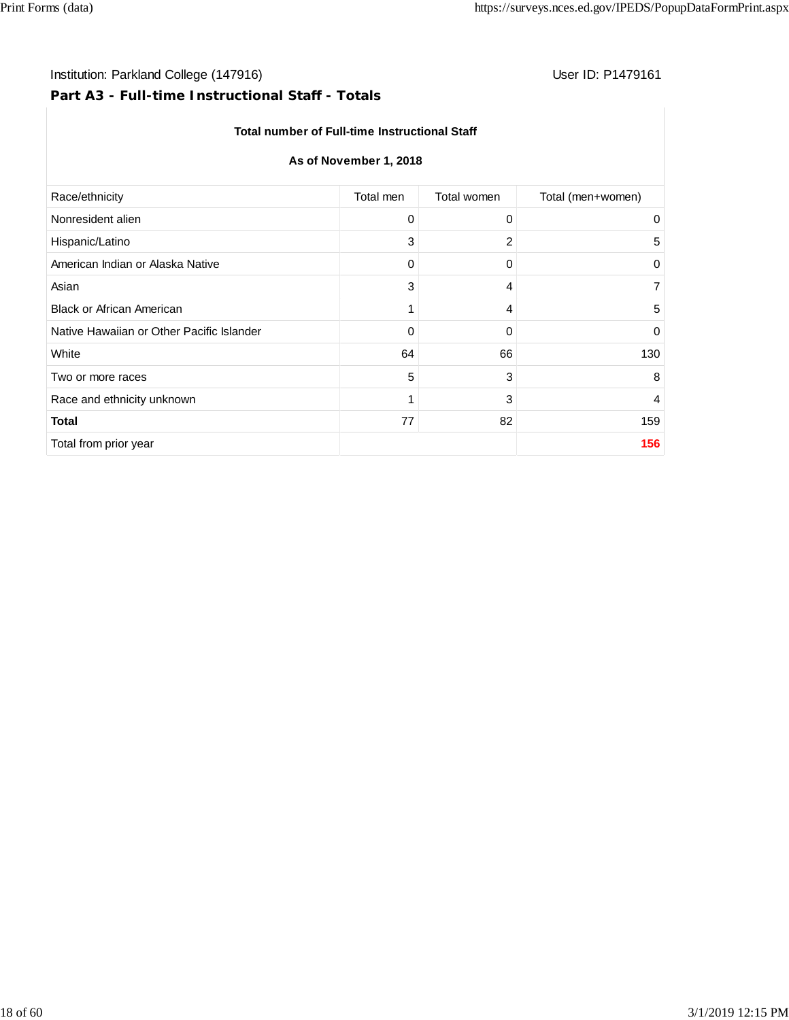# Institution: Parkland College (147916) **User ID: P1479161** User ID: P1479161

# **Part A3 - Full-time Instructional Staff - Totals**

#### **Total number of Full-time Instructional Staff**

### **As of November 1, 2018**

| Total men<br>Total women<br>Total (men+women)<br>Race/ethnicity<br>Nonresident alien<br>0<br>0<br>0<br>3<br>2<br>Hispanic/Latino<br>5<br>American Indian or Alaska Native<br>0<br>0<br>0<br>3<br>Asian<br>$\overline{7}$<br>4<br><b>Black or African American</b><br>1<br>5<br>4<br>Native Hawaiian or Other Pacific Islander<br>0<br>0<br>$\mathbf 0$<br>64<br>66<br>White<br>130<br>5<br>3<br>8<br>Two or more races<br>3<br>Race and ethnicity unknown<br>1<br>4<br>82<br>77<br>159<br><b>Total</b><br>156<br>Total from prior year |  |  |
|----------------------------------------------------------------------------------------------------------------------------------------------------------------------------------------------------------------------------------------------------------------------------------------------------------------------------------------------------------------------------------------------------------------------------------------------------------------------------------------------------------------------------------------|--|--|
|                                                                                                                                                                                                                                                                                                                                                                                                                                                                                                                                        |  |  |
|                                                                                                                                                                                                                                                                                                                                                                                                                                                                                                                                        |  |  |
|                                                                                                                                                                                                                                                                                                                                                                                                                                                                                                                                        |  |  |
|                                                                                                                                                                                                                                                                                                                                                                                                                                                                                                                                        |  |  |
|                                                                                                                                                                                                                                                                                                                                                                                                                                                                                                                                        |  |  |
|                                                                                                                                                                                                                                                                                                                                                                                                                                                                                                                                        |  |  |
|                                                                                                                                                                                                                                                                                                                                                                                                                                                                                                                                        |  |  |
|                                                                                                                                                                                                                                                                                                                                                                                                                                                                                                                                        |  |  |
|                                                                                                                                                                                                                                                                                                                                                                                                                                                                                                                                        |  |  |
|                                                                                                                                                                                                                                                                                                                                                                                                                                                                                                                                        |  |  |
|                                                                                                                                                                                                                                                                                                                                                                                                                                                                                                                                        |  |  |
|                                                                                                                                                                                                                                                                                                                                                                                                                                                                                                                                        |  |  |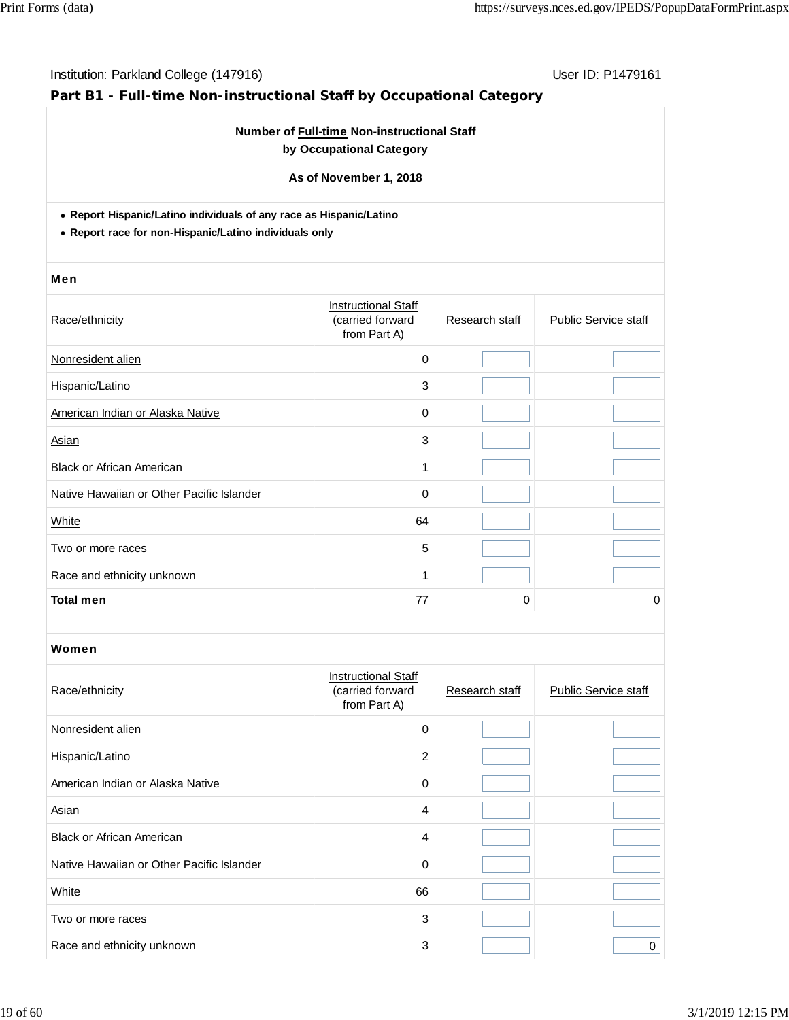# **Part B1 - Full-time Non-instructional Staff by Occupational Category**

### **Number of Full-time Non-instructional Staff by Occupational Category**

**As of November 1, 2018**

**Report Hispanic/Latino individuals of any race as Hispanic/Latino**

**Report race for non-Hispanic/Latino individuals only**

#### Men

| Race/ethnicity                            | <b>Instructional Staff</b><br>(carried forward<br>from Part A) | Research staff | <b>Public Service staff</b> |
|-------------------------------------------|----------------------------------------------------------------|----------------|-----------------------------|
| Nonresident alien                         | $\mathbf 0$                                                    |                |                             |
| Hispanic/Latino                           | 3                                                              |                |                             |
| American Indian or Alaska Native          | 0                                                              |                |                             |
| Asian                                     | 3                                                              |                |                             |
| <b>Black or African American</b>          | 1                                                              |                |                             |
| Native Hawaiian or Other Pacific Islander | 0                                                              |                |                             |
| White                                     | 64                                                             |                |                             |
| Two or more races                         | 5                                                              |                |                             |
| Race and ethnicity unknown                | 1                                                              |                |                             |
| <b>Total men</b>                          | 77                                                             | 0              | 0                           |

| Race/ethnicity                            | <b>Instructional Staff</b><br>(carried forward<br>from Part A) | Research staff | <b>Public Service staff</b> |
|-------------------------------------------|----------------------------------------------------------------|----------------|-----------------------------|
| Nonresident alien                         | $\Omega$                                                       |                |                             |
| Hispanic/Latino                           | 2                                                              |                |                             |
| American Indian or Alaska Native          | $\Omega$                                                       |                |                             |
| Asian                                     | 4                                                              |                |                             |
| <b>Black or African American</b>          | 4                                                              |                |                             |
| Native Hawaiian or Other Pacific Islander | 0                                                              |                |                             |
| White                                     | 66                                                             |                |                             |
| Two or more races                         | 3                                                              |                |                             |
| Race and ethnicity unknown                | 3                                                              |                | $\Omega$                    |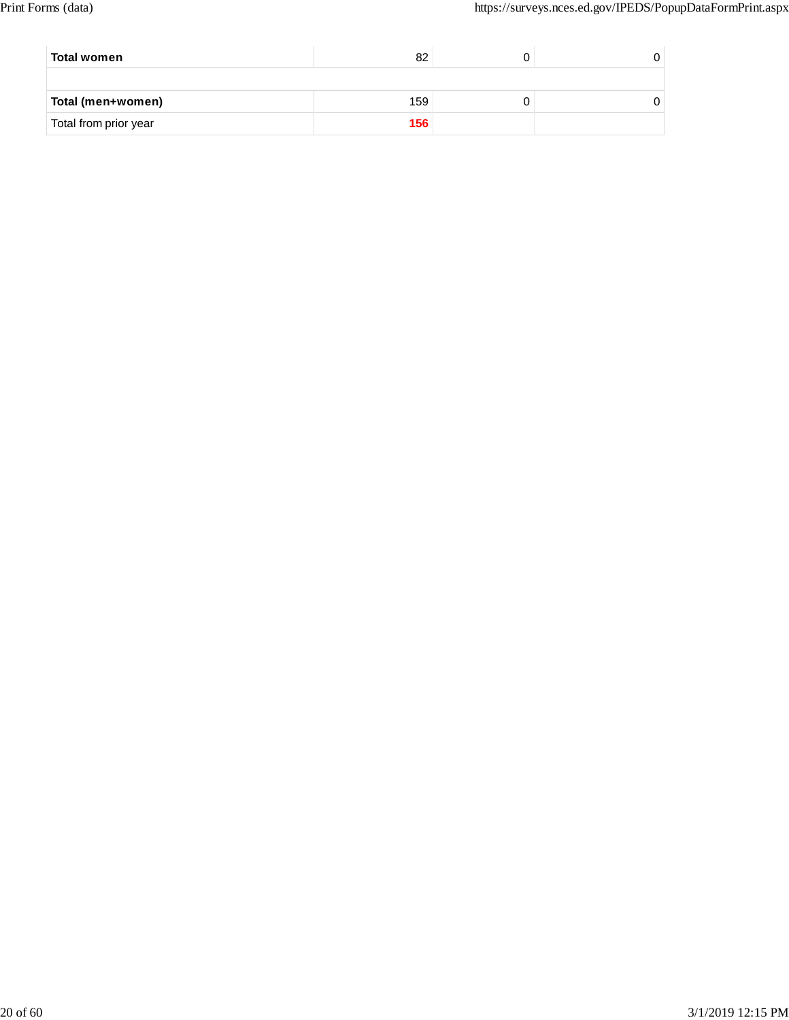| Total women           | 82  |  |
|-----------------------|-----|--|
|                       |     |  |
| Total (men+women)     | 159 |  |
| Total from prior year | 156 |  |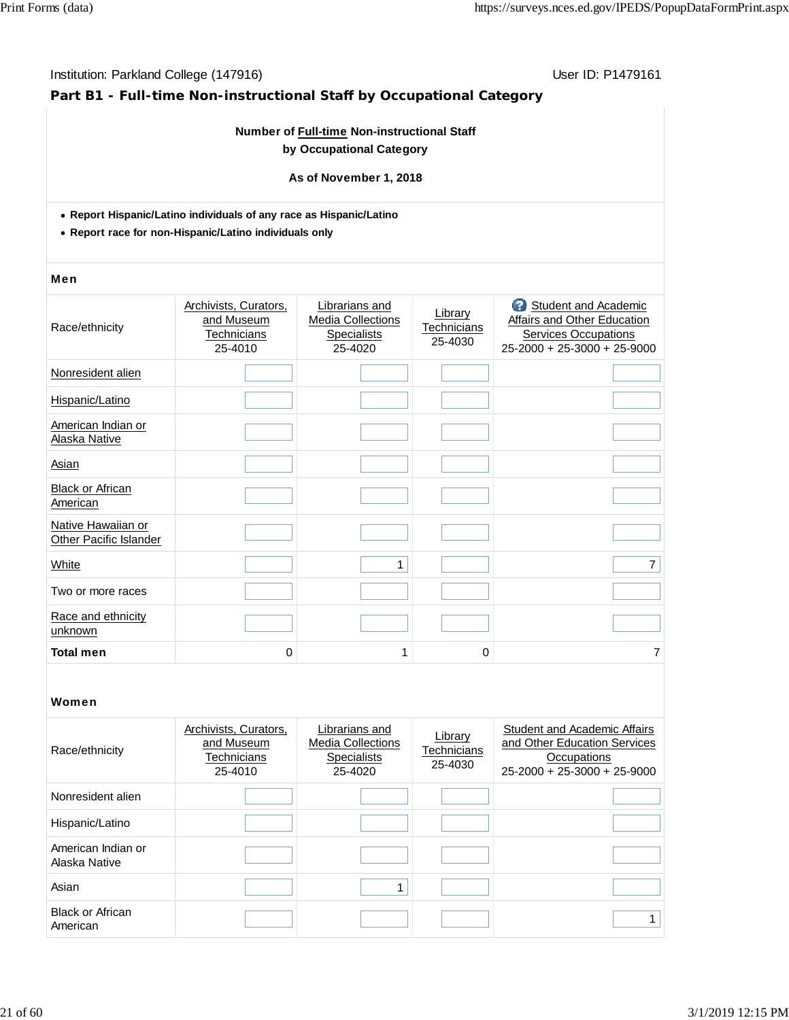## **Part B1 - Full-time Non-instructional Staff by Occupational Category**

### **Number of Full-time Non-instructional Staff by Occupational Category**

**As of November 1, 2018**

- **Report Hispanic/Latino individuals of any race as Hispanic/Latino**
- **Report race for non-Hispanic/Latino individuals only**

#### Men

| Ø<br>Student and Academic<br>Librarians and<br>Archivists, Curators,<br>Library<br>Affairs and Other Education<br>and Museum<br><b>Media Collections</b><br>Race/ethnicity<br>Technicians<br><b>Services Occupations</b><br><b>Technicians</b><br><b>Specialists</b><br>25-4030<br>25-4020<br>25-4010<br>$25 - 2000 + 25 - 3000 + 25 - 9000$<br>Nonresident alien<br>Hispanic/Latino<br>American Indian or<br>Alaska Native<br>Asian<br><b>Black or African</b><br>American<br>Native Hawaiian or<br>Other Pacific Islander<br>White<br>1<br>$\overline{7}$<br>Two or more races<br>Race and ethnicity<br>unknown<br><b>Total men</b><br>$\overline{7}$<br>0<br>0<br>1 |  |  |  |
|------------------------------------------------------------------------------------------------------------------------------------------------------------------------------------------------------------------------------------------------------------------------------------------------------------------------------------------------------------------------------------------------------------------------------------------------------------------------------------------------------------------------------------------------------------------------------------------------------------------------------------------------------------------------|--|--|--|
|                                                                                                                                                                                                                                                                                                                                                                                                                                                                                                                                                                                                                                                                        |  |  |  |
|                                                                                                                                                                                                                                                                                                                                                                                                                                                                                                                                                                                                                                                                        |  |  |  |
|                                                                                                                                                                                                                                                                                                                                                                                                                                                                                                                                                                                                                                                                        |  |  |  |
|                                                                                                                                                                                                                                                                                                                                                                                                                                                                                                                                                                                                                                                                        |  |  |  |
|                                                                                                                                                                                                                                                                                                                                                                                                                                                                                                                                                                                                                                                                        |  |  |  |
|                                                                                                                                                                                                                                                                                                                                                                                                                                                                                                                                                                                                                                                                        |  |  |  |
|                                                                                                                                                                                                                                                                                                                                                                                                                                                                                                                                                                                                                                                                        |  |  |  |
|                                                                                                                                                                                                                                                                                                                                                                                                                                                                                                                                                                                                                                                                        |  |  |  |
|                                                                                                                                                                                                                                                                                                                                                                                                                                                                                                                                                                                                                                                                        |  |  |  |
|                                                                                                                                                                                                                                                                                                                                                                                                                                                                                                                                                                                                                                                                        |  |  |  |
|                                                                                                                                                                                                                                                                                                                                                                                                                                                                                                                                                                                                                                                                        |  |  |  |

| Race/ethnicity                      | Archivists, Curators,<br>and Museum<br>Technicians<br>25-4010 | Librarians and<br><b>Media Collections</b><br><b>Specialists</b><br>25-4020 | Library<br><b>Technicians</b><br>25-4030 | <b>Student and Academic Affairs</b><br>and Other Education Services<br>Occupations<br>$25 - 2000 + 25 - 3000 + 25 - 9000$ |
|-------------------------------------|---------------------------------------------------------------|-----------------------------------------------------------------------------|------------------------------------------|---------------------------------------------------------------------------------------------------------------------------|
| Nonresident alien                   |                                                               |                                                                             |                                          |                                                                                                                           |
| Hispanic/Latino                     |                                                               |                                                                             |                                          |                                                                                                                           |
| American Indian or<br>Alaska Native |                                                               |                                                                             |                                          |                                                                                                                           |
| Asian                               |                                                               | 1                                                                           |                                          |                                                                                                                           |
| <b>Black or African</b><br>American |                                                               |                                                                             |                                          |                                                                                                                           |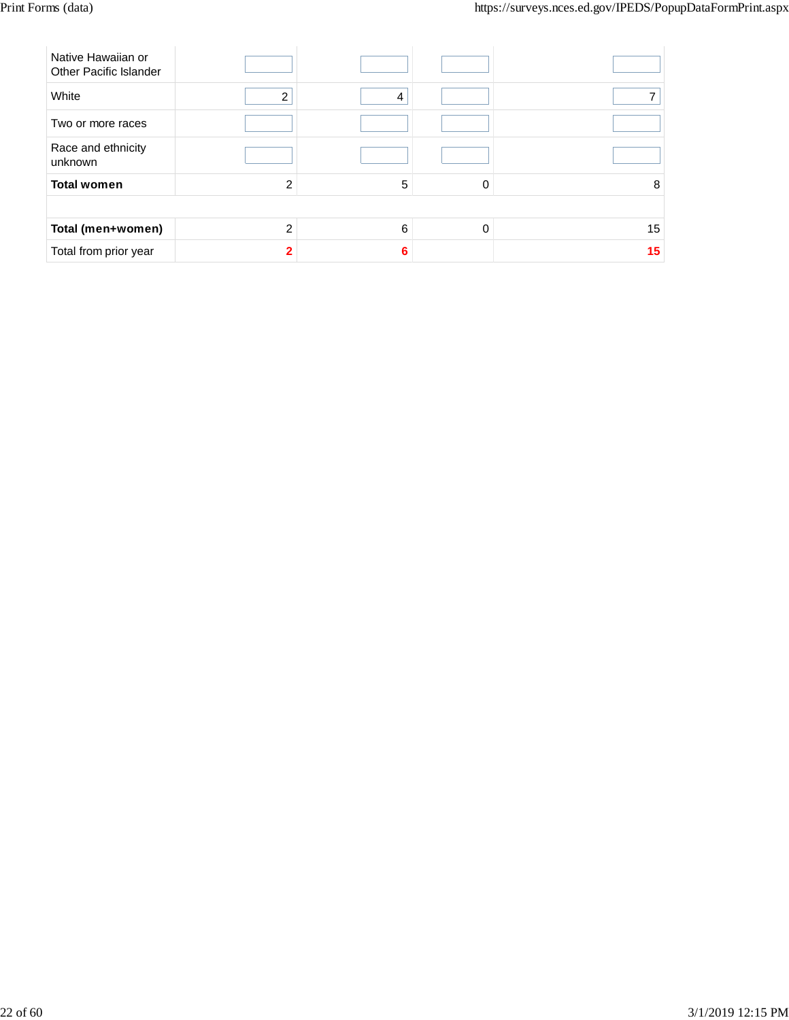| Native Hawaiian or<br><b>Other Pacific Islander</b> |                |   |   |    |
|-----------------------------------------------------|----------------|---|---|----|
| White                                               | 2              | 4 |   |    |
| Two or more races                                   |                |   |   |    |
| Race and ethnicity<br>unknown                       |                |   |   |    |
| <b>Total women</b>                                  | $\overline{2}$ | 5 | 0 | 8  |
|                                                     |                |   |   |    |
| Total (men+women)                                   | $\mathcal{P}$  | 6 | 0 | 15 |
| Total from prior year                               |                | 6 |   | 15 |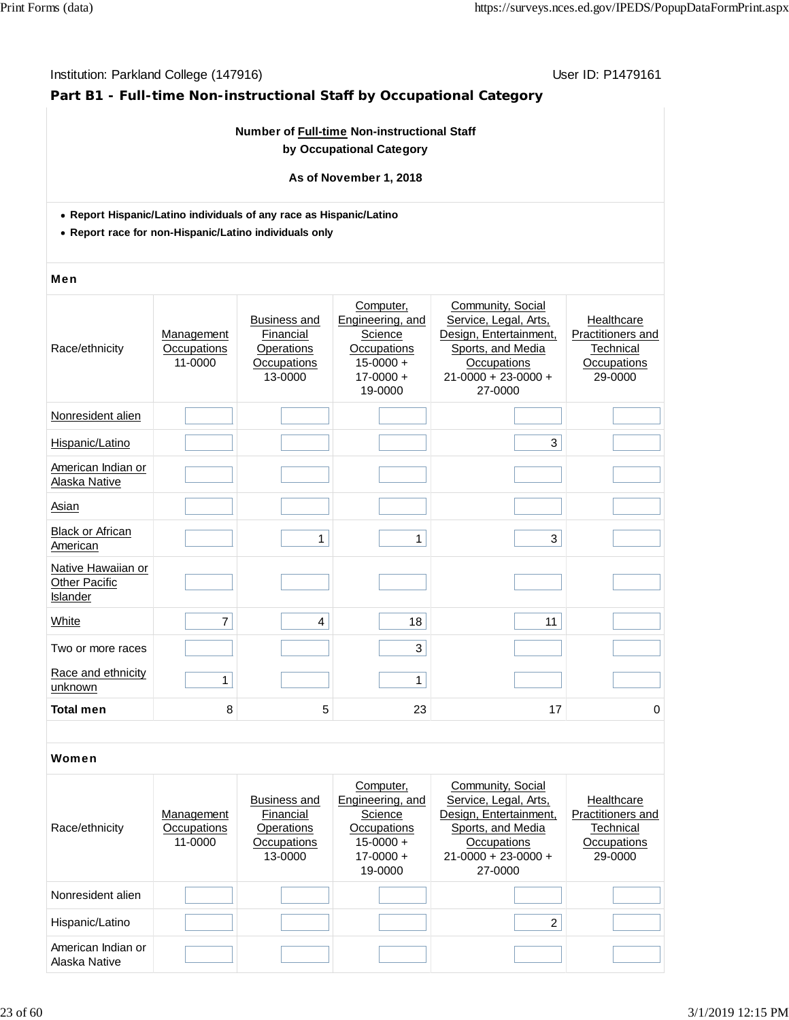# **Part B1 - Full-time Non-instructional Staff by Occupational Category**

### **Number of Full-time Non-instructional Staff by Occupational Category**

#### **As of November 1, 2018**

- **Report Hispanic/Latino individuals of any race as Hispanic/Latino**
- **Report race for non-Hispanic/Latino individuals only**

#### Men

| Race/ethnicity                                  | Management<br>Occupations<br>11-0000 | <b>Business and</b><br>Financial<br>Operations<br>Occupations<br>13-0000 | Computer,<br>Engineering, and<br>Science<br>Occupations<br>$15 - 0000 +$<br>$17 - 0000 +$<br>19-0000 | Community, Social<br>Service, Legal, Arts,<br>Design, Entertainment,<br>Sports, and Media<br>Occupations<br>$21 - 0000 + 23 - 0000 +$<br>27-0000 | Healthcare<br>Practitioners and<br>Technical<br>Occupations<br>29-0000 |
|-------------------------------------------------|--------------------------------------|--------------------------------------------------------------------------|------------------------------------------------------------------------------------------------------|--------------------------------------------------------------------------------------------------------------------------------------------------|------------------------------------------------------------------------|
| Nonresident alien                               |                                      |                                                                          |                                                                                                      |                                                                                                                                                  |                                                                        |
| Hispanic/Latino                                 |                                      |                                                                          |                                                                                                      | 3                                                                                                                                                |                                                                        |
| American Indian or<br>Alaska Native             |                                      |                                                                          |                                                                                                      |                                                                                                                                                  |                                                                        |
| Asian                                           |                                      |                                                                          |                                                                                                      |                                                                                                                                                  |                                                                        |
| <b>Black or African</b><br>American             |                                      | 1                                                                        | 1                                                                                                    | 3                                                                                                                                                |                                                                        |
| Native Hawaiian or<br>Other Pacific<br>Islander |                                      |                                                                          |                                                                                                      |                                                                                                                                                  |                                                                        |
| White                                           | $\overline{7}$                       | 4                                                                        | 18                                                                                                   | 11                                                                                                                                               |                                                                        |
| Two or more races                               |                                      |                                                                          | 3                                                                                                    |                                                                                                                                                  |                                                                        |
| Race and ethnicity<br>unknown                   | 1                                    |                                                                          | 1                                                                                                    |                                                                                                                                                  |                                                                        |
| <b>Total men</b>                                | 8                                    | 5                                                                        | 23                                                                                                   | 17                                                                                                                                               | 0                                                                      |

| Race/ethnicity                      | Management<br>Occupations<br>11-0000 | Business and<br>Financial<br>Operations<br>Occupations<br>13-0000 | Computer,<br>Engineering, and<br>Science<br>Occupations<br>$15-0000 +$<br>$17 - 0000 +$<br>19-0000 | Community, Social<br>Service, Legal, Arts,<br>Design, Entertainment.<br>Sports, and Media<br>Occupations<br>$21 - 0000 + 23 - 0000 +$<br>27-0000 | Healthcare<br><b>Practitioners and</b><br>Technical<br>Occupations<br>29-0000 |
|-------------------------------------|--------------------------------------|-------------------------------------------------------------------|----------------------------------------------------------------------------------------------------|--------------------------------------------------------------------------------------------------------------------------------------------------|-------------------------------------------------------------------------------|
| Nonresident alien                   |                                      |                                                                   |                                                                                                    |                                                                                                                                                  |                                                                               |
| Hispanic/Latino                     |                                      |                                                                   |                                                                                                    | $\overline{2}$                                                                                                                                   |                                                                               |
| American Indian or<br>Alaska Native |                                      |                                                                   |                                                                                                    |                                                                                                                                                  |                                                                               |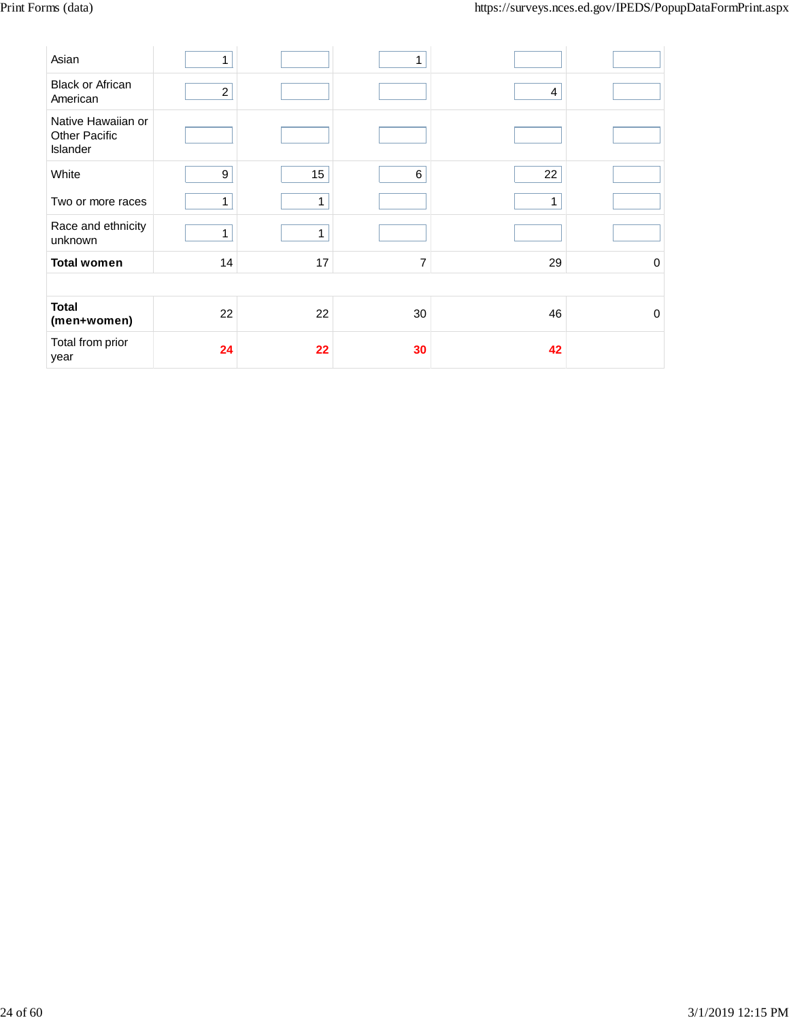| Asian                                                  | 1              |    | 1              |    |   |
|--------------------------------------------------------|----------------|----|----------------|----|---|
| <b>Black or African</b><br>American                    | $\overline{2}$ |    |                | 4  |   |
| Native Hawaiian or<br><b>Other Pacific</b><br>Islander |                |    |                |    |   |
| White                                                  | 9              | 15 | 6              | 22 |   |
| Two or more races                                      | 1              | 1  |                | 1  |   |
| Race and ethnicity<br>unknown                          | 1              | 1  |                |    |   |
| <b>Total women</b>                                     | 14             | 17 | $\overline{7}$ | 29 | 0 |
|                                                        |                |    |                |    |   |
| <b>Total</b><br>(men+women)                            | 22             | 22 | 30             | 46 | 0 |
| Total from prior<br>year                               | 24             | 22 | 30             | 42 |   |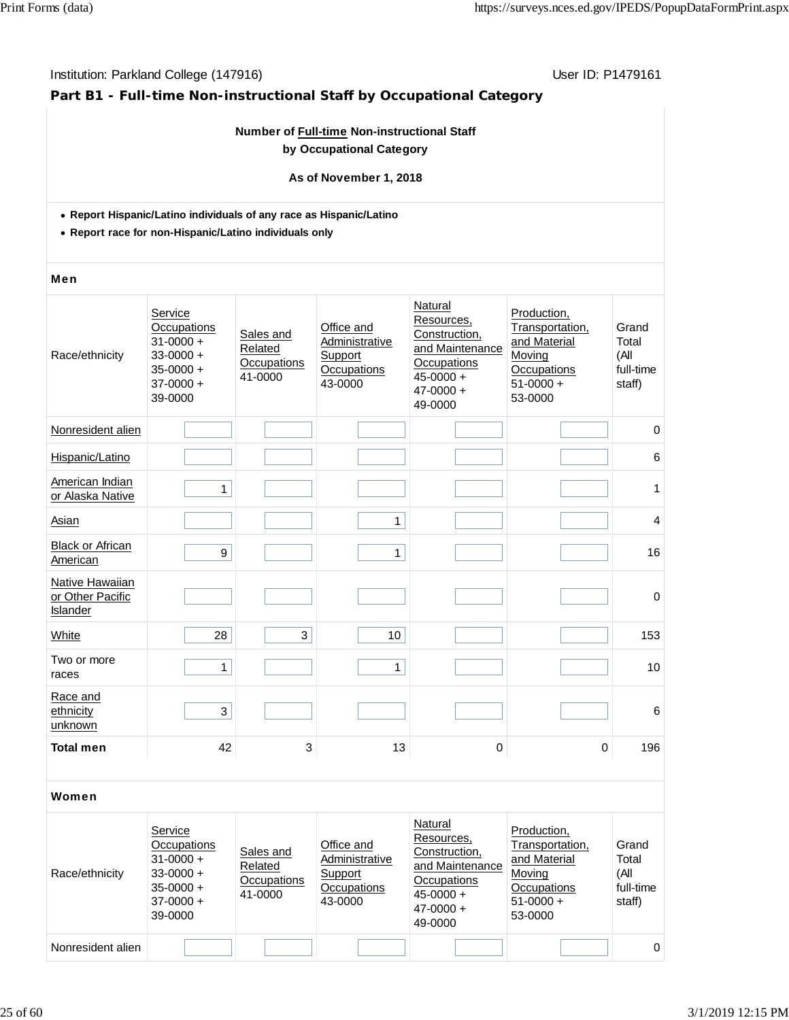# **Part B1 - Full-time Non-instructional Staff by Occupational Category**

### **Number of Full-time Non-instructional Staff by Occupational Category**

#### **As of November 1, 2018**

- **Report Hispanic/Latino individuals of any race as Hispanic/Latino**
- **Report race for non-Hispanic/Latino individuals only**

#### Men

| Race/ethnicity                                  | Service<br>Occupations<br>$31 - 0000 +$<br>$33 - 0000 +$<br>$35 - 0000 +$<br>$37-0000 +$<br>39-0000 | Sales and<br>Related<br>Occupations<br>41-0000 | Office and<br>Administrative<br>Support<br>Occupations<br>43-0000 | Natural<br>Resources,<br>Construction,<br>and Maintenance<br>Occupations<br>$45 - 0000 +$<br>$47 - 0000 +$<br>49-0000 | Production,<br>Transportation,<br>and Material<br>Moving<br>Occupations<br>$51-0000 +$<br>53-0000 | Grand<br>Total<br>(All<br>full-time<br>staff) |
|-------------------------------------------------|-----------------------------------------------------------------------------------------------------|------------------------------------------------|-------------------------------------------------------------------|-----------------------------------------------------------------------------------------------------------------------|---------------------------------------------------------------------------------------------------|-----------------------------------------------|
| Nonresident alien                               |                                                                                                     |                                                |                                                                   |                                                                                                                       |                                                                                                   | $\pmb{0}$                                     |
| Hispanic/Latino                                 |                                                                                                     |                                                |                                                                   |                                                                                                                       |                                                                                                   | 6                                             |
| American Indian<br>or Alaska Native             | 1                                                                                                   |                                                |                                                                   |                                                                                                                       |                                                                                                   | 1                                             |
| <b>Asian</b>                                    |                                                                                                     |                                                | 1                                                                 |                                                                                                                       |                                                                                                   | 4                                             |
| <b>Black or African</b><br>American             | $\boldsymbol{9}$                                                                                    |                                                | 1                                                                 |                                                                                                                       |                                                                                                   | 16                                            |
| Native Hawaiian<br>or Other Pacific<br>Islander |                                                                                                     |                                                |                                                                   |                                                                                                                       |                                                                                                   | $\mathbf 0$                                   |
| White                                           | 28                                                                                                  | 3                                              | 10                                                                |                                                                                                                       |                                                                                                   | 153                                           |
| Two or more<br>races                            | 1                                                                                                   |                                                | 1                                                                 |                                                                                                                       |                                                                                                   | 10                                            |
| Race and<br>ethnicity<br>unknown                | 3                                                                                                   |                                                |                                                                   |                                                                                                                       |                                                                                                   | $6\phantom{1}6$                               |
| <b>Total men</b>                                | 42                                                                                                  | 3                                              | 13                                                                | 0                                                                                                                     | $\mathbf 0$                                                                                       | 196                                           |

| Race/ethnicity    | Service<br>Occupations<br>$31 - 0000 +$<br>$33 - 0000 +$<br>$35 - 0000 +$<br>$37-0000 +$<br>39-0000 | Sales and<br>Related<br>Occupations<br>41-0000 | Office and<br>Administrative<br>Support<br>Occupations<br>43-0000 | Natural<br>Resources,<br>Construction.<br>and Maintenance<br>Occupations<br>$45 - 0000 +$<br>$47 - 0000 +$<br>49-0000 | Production.<br>Transportation,<br>and Material<br>Moving<br>Occupations<br>$51-0000 +$<br>53-0000 | Grand<br>Total<br>(All<br>full-time<br>staff) |
|-------------------|-----------------------------------------------------------------------------------------------------|------------------------------------------------|-------------------------------------------------------------------|-----------------------------------------------------------------------------------------------------------------------|---------------------------------------------------------------------------------------------------|-----------------------------------------------|
|                   |                                                                                                     |                                                |                                                                   |                                                                                                                       |                                                                                                   |                                               |
| Nonresident alien |                                                                                                     |                                                |                                                                   |                                                                                                                       |                                                                                                   | $\Omega$                                      |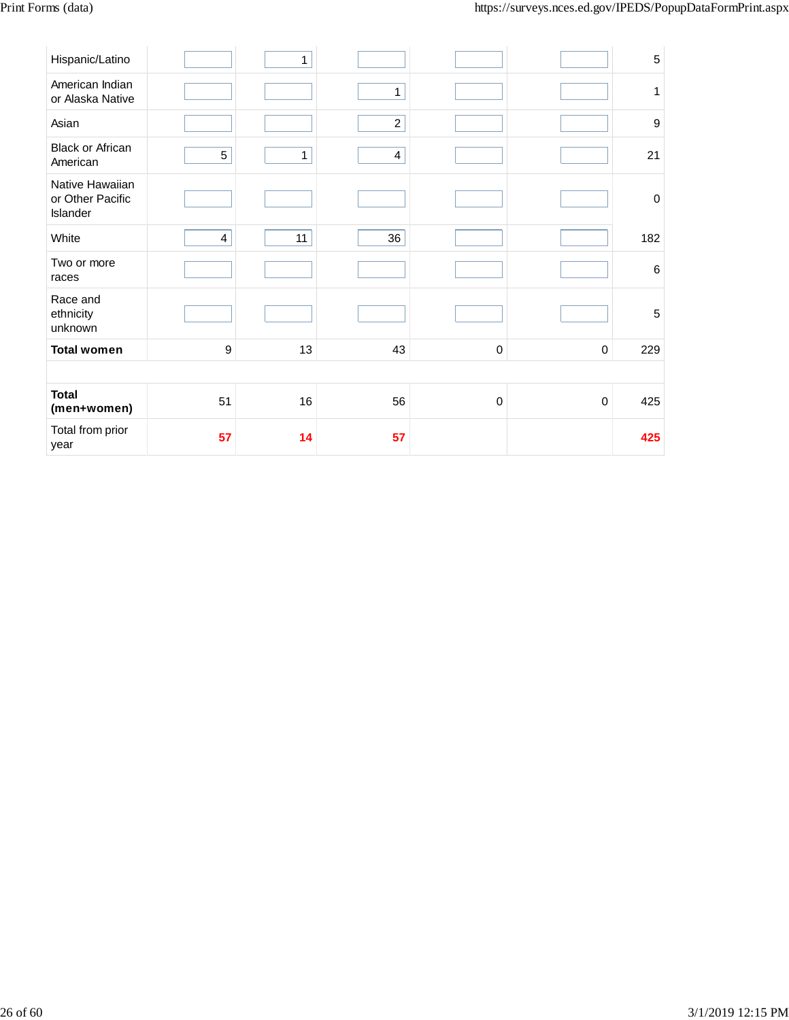| Hispanic/Latino                                 |                | 1            |                         |           |             | $\sqrt{5}$  |
|-------------------------------------------------|----------------|--------------|-------------------------|-----------|-------------|-------------|
| American Indian<br>or Alaska Native             |                |              | $\mathbf{1}$            |           |             | 1           |
| Asian                                           |                |              | $\overline{c}$          |           |             | 9           |
| <b>Black or African</b><br>American             | 5              | $\mathbf{1}$ | $\overline{\mathbf{4}}$ |           |             | 21          |
| Native Hawaiian<br>or Other Pacific<br>Islander |                |              |                         |           |             | $\mathbf 0$ |
| White                                           | $\overline{4}$ | 11           | 36                      |           |             | 182         |
| Two or more<br>races                            |                |              |                         |           |             | 6           |
| Race and<br>ethnicity<br>unknown                |                |              |                         |           |             | 5           |
| <b>Total women</b>                              | 9              | 13           | 43                      | $\pmb{0}$ | 0           | 229         |
|                                                 |                |              |                         |           |             |             |
| <b>Total</b><br>(men+women)                     | 51             | 16           | 56                      | 0         | $\mathbf 0$ | 425         |
| Total from prior<br>year                        | 57             | 14           | 57                      |           |             | 425         |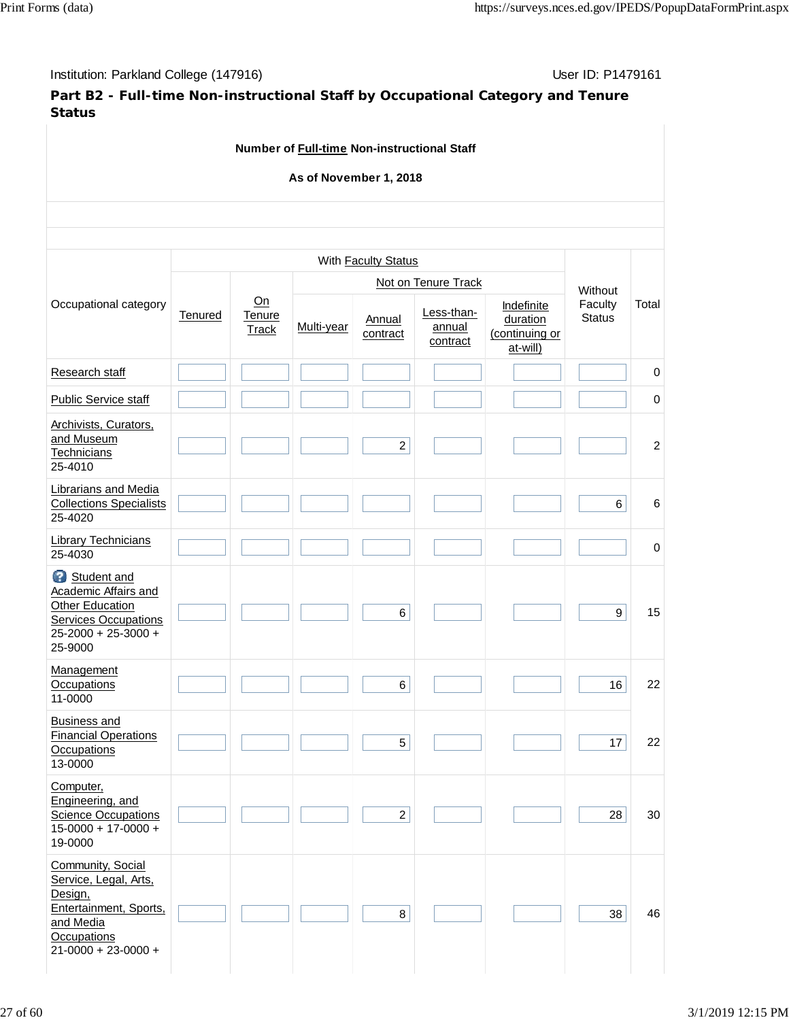**Part B2 - Full-time Non-instructional Staff by Occupational Category and Tenure Status**

| Number of Full-time Non-instructional Staff<br>As of November 1, 2018                                                                    |                            |                              |            |                     |                                  |                                                      |                                     |             |
|------------------------------------------------------------------------------------------------------------------------------------------|----------------------------|------------------------------|------------|---------------------|----------------------------------|------------------------------------------------------|-------------------------------------|-------------|
|                                                                                                                                          |                            |                              |            |                     |                                  |                                                      |                                     |             |
|                                                                                                                                          | With <b>Faculty Status</b> |                              |            |                     |                                  |                                                      |                                     |             |
|                                                                                                                                          |                            |                              |            | Not on Tenure Track |                                  |                                                      |                                     |             |
| Occupational category                                                                                                                    | Tenured                    | Qn<br>Tenure<br><b>Track</b> | Multi-year | Annual<br>contract  | Less-than-<br>annual<br>contract | Indefinite<br>duration<br>(continuing or<br>at-will) | Without<br>Faculty<br><b>Status</b> | Total       |
| Research staff                                                                                                                           |                            |                              |            |                     |                                  |                                                      |                                     | $\pmb{0}$   |
| <b>Public Service staff</b>                                                                                                              |                            |                              |            |                     |                                  |                                                      |                                     | $\mathbf 0$ |
| Archivists, Curators,<br>and Museum<br>Technicians<br>25-4010                                                                            |                            |                              |            | $\overline{c}$      |                                  |                                                      |                                     | 2           |
| <b>Librarians and Media</b><br><b>Collections Specialists</b><br>25-4020                                                                 |                            |                              |            |                     |                                  |                                                      | 6                                   | 6           |
| <b>Library Technicians</b><br>25-4030                                                                                                    |                            |                              |            |                     |                                  |                                                      |                                     | 0           |
| 2<br>Student and<br>Academic Affairs and<br><b>Other Education</b><br><b>Services Occupations</b><br>25-2000 + 25-3000 +<br>25-9000      |                            |                              |            | 6                   |                                  |                                                      | 9                                   | 15          |
| Management<br>Occupations<br>11-0000                                                                                                     |                            |                              |            | $\,6\,$             |                                  |                                                      | 16                                  | 22          |
| Business and<br><b>Financial Operations</b><br>Occupations<br>13-0000                                                                    |                            |                              |            | 5                   |                                  |                                                      | 17                                  | 22          |
| Computer,<br>Engineering, and<br><b>Science Occupations</b><br>$15-0000 + 17-0000 +$<br>19-0000                                          |                            |                              |            | $\overline{a}$      |                                  |                                                      | 28                                  | 30          |
| Community, Social<br>Service, Legal, Arts,<br>Design,<br>Entertainment, Sports,<br>and Media<br>Occupations<br>$21 - 0000 + 23 - 0000 +$ |                            |                              |            | 8                   |                                  |                                                      | 38                                  | 46          |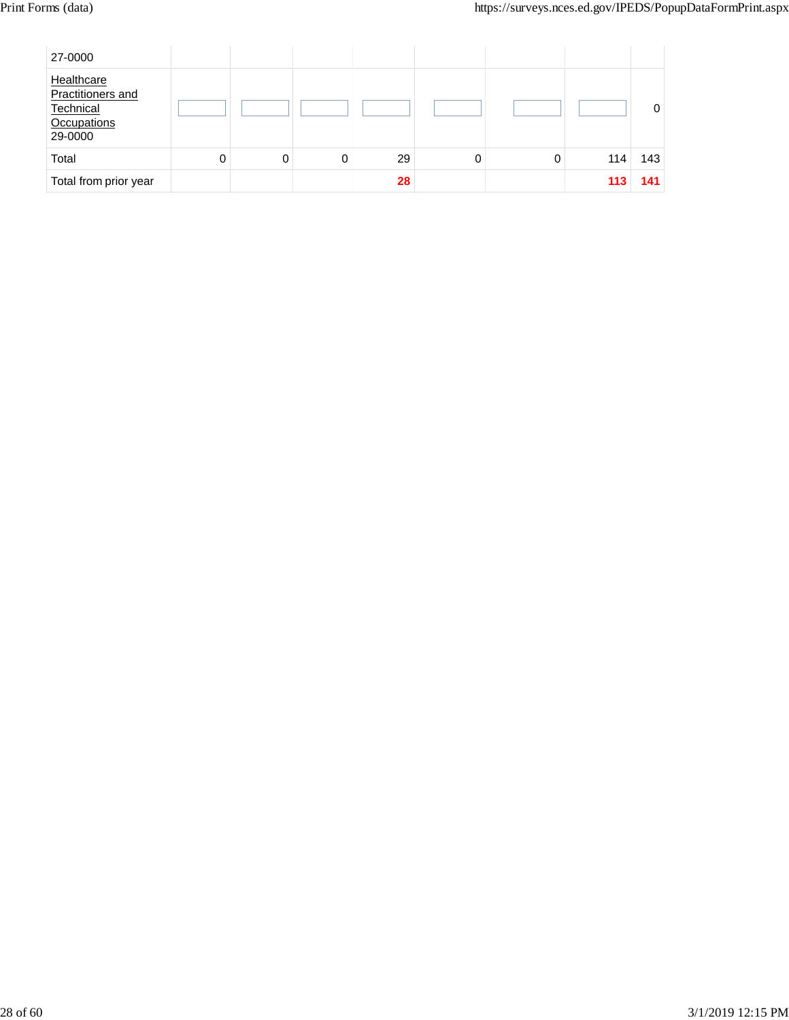| 27-0000                                                                       |   |   |   |    |   |   |     |     |
|-------------------------------------------------------------------------------|---|---|---|----|---|---|-----|-----|
| Healthcare<br>Practitioners and<br>Technical<br><b>Occupations</b><br>29-0000 |   |   |   |    |   |   |     | 0   |
| Total                                                                         | 0 | 0 | 0 | 29 | 0 | 0 | 114 | 143 |
| Total from prior year                                                         |   |   |   | 28 |   |   | 113 | 141 |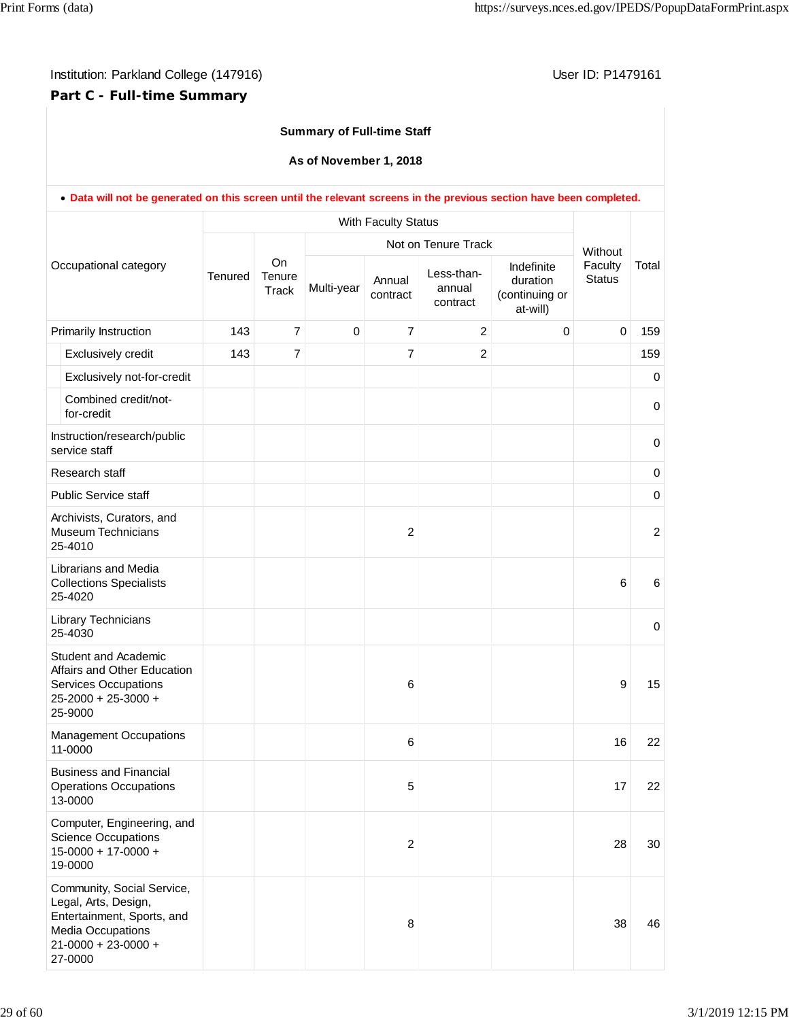# **Part C - Full-time Summary**

### **Summary of Full-time Staff**

#### **As of November 1, 2018**

|                       | . Data will not be generated on this screen until the relevant screens in the previous section have been completed.                           |         |                              |             |                     |                                                         |                                                      |                                     |                |  |
|-----------------------|-----------------------------------------------------------------------------------------------------------------------------------------------|---------|------------------------------|-------------|---------------------|---------------------------------------------------------|------------------------------------------------------|-------------------------------------|----------------|--|
| Occupational category |                                                                                                                                               |         |                              |             | With Faculty Status |                                                         |                                                      |                                     |                |  |
|                       |                                                                                                                                               | Tenured | <b>On</b><br>Tenure<br>Track | Multi-year  | Annual<br>contract  | Not on Tenure Track<br>Less-than-<br>annual<br>contract | Indefinite<br>duration<br>(continuing or<br>at-will) | Without<br>Faculty<br><b>Status</b> | Total          |  |
|                       | Primarily Instruction                                                                                                                         | 143     | $\overline{7}$               | $\mathbf 0$ | $\overline{7}$      | 2                                                       | $\mathbf 0$                                          | $\Omega$                            | 159            |  |
|                       | Exclusively credit                                                                                                                            | 143     | $\overline{7}$               |             | $\overline{7}$      | $\overline{2}$                                          |                                                      |                                     | 159            |  |
|                       | Exclusively not-for-credit                                                                                                                    |         |                              |             |                     |                                                         |                                                      |                                     | 0              |  |
|                       | Combined credit/not-<br>for-credit                                                                                                            |         |                              |             |                     |                                                         |                                                      |                                     | 0              |  |
|                       | Instruction/research/public<br>service staff                                                                                                  |         |                              |             |                     |                                                         |                                                      |                                     | $\,0\,$        |  |
|                       | Research staff                                                                                                                                |         |                              |             |                     |                                                         |                                                      |                                     | $\pmb{0}$      |  |
|                       | <b>Public Service staff</b>                                                                                                                   |         |                              |             |                     |                                                         |                                                      |                                     | $\pmb{0}$      |  |
|                       | Archivists, Curators, and<br><b>Museum Technicians</b><br>25-4010                                                                             |         |                              |             | $\overline{2}$      |                                                         |                                                      |                                     | $\overline{c}$ |  |
|                       | Librarians and Media<br><b>Collections Specialists</b><br>25-4020                                                                             |         |                              |             |                     |                                                         |                                                      | 6                                   | 6              |  |
|                       | Library Technicians<br>25-4030                                                                                                                |         |                              |             |                     |                                                         |                                                      |                                     | 0              |  |
|                       | Student and Academic<br>Affairs and Other Education<br><b>Services Occupations</b><br>25-2000 + 25-3000 +<br>25-9000                          |         |                              |             | 6                   |                                                         |                                                      | 9                                   | 15             |  |
|                       | <b>Management Occupations</b><br>11-0000                                                                                                      |         |                              |             | 6                   |                                                         |                                                      | 16                                  | 22             |  |
|                       | <b>Business and Financial</b><br><b>Operations Occupations</b><br>13-0000                                                                     |         |                              |             | 5                   |                                                         |                                                      | 17                                  | 22             |  |
|                       | Computer, Engineering, and<br><b>Science Occupations</b><br>$15-0000 + 17-0000 +$<br>19-0000                                                  |         |                              |             | 2                   |                                                         |                                                      | 28                                  | 30             |  |
|                       | Community, Social Service,<br>Legal, Arts, Design,<br>Entertainment, Sports, and<br>Media Occupations<br>$21 - 0000 + 23 - 0000 +$<br>27-0000 |         |                              |             | 8                   |                                                         |                                                      | 38                                  | 46             |  |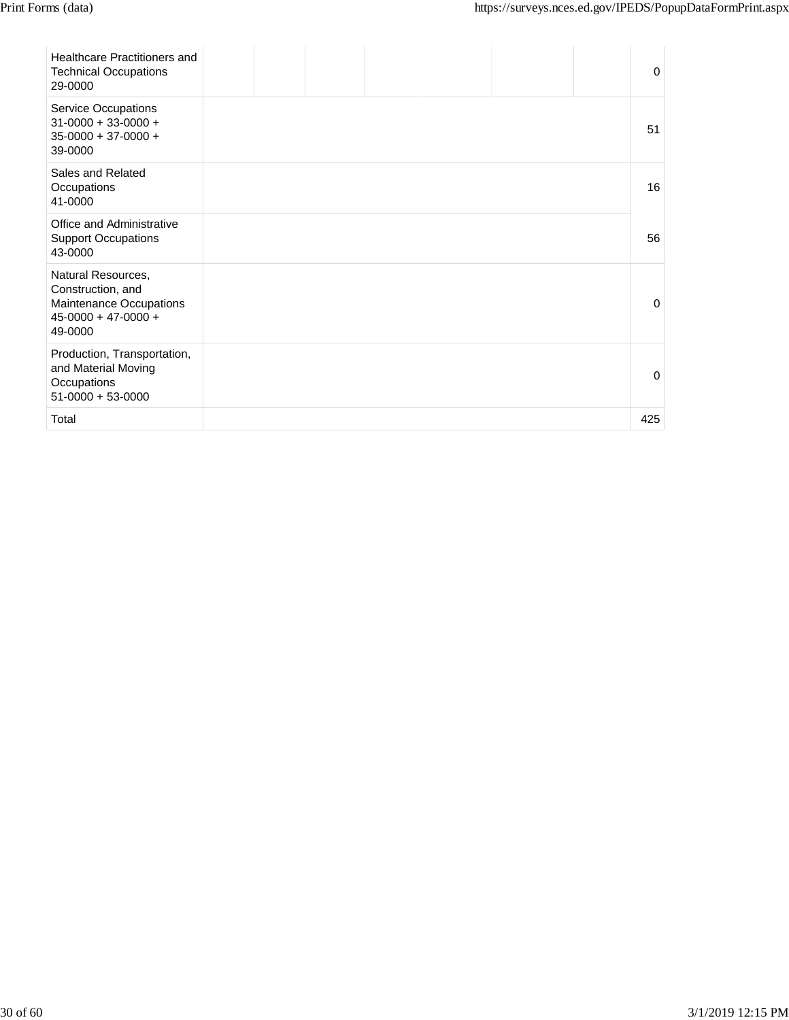| Healthcare Practitioners and<br><b>Technical Occupations</b><br>29-0000                                |  |  |  | $\Omega$ |
|--------------------------------------------------------------------------------------------------------|--|--|--|----------|
| <b>Service Occupations</b><br>$31-0000 + 33-0000 +$<br>$35-0000 + 37-0000 +$<br>39-0000                |  |  |  | 51       |
| Sales and Related<br>Occupations<br>41-0000                                                            |  |  |  | 16       |
| Office and Administrative<br><b>Support Occupations</b><br>43-0000                                     |  |  |  | 56       |
| Natural Resources,<br>Construction, and<br>Maintenance Occupations<br>$45-0000 + 47-0000 +$<br>49-0000 |  |  |  | $\Omega$ |
| Production, Transportation,<br>and Material Moving<br>Occupations<br>$51-0000 + 53-0000$               |  |  |  | $\Omega$ |
| Total                                                                                                  |  |  |  | 425      |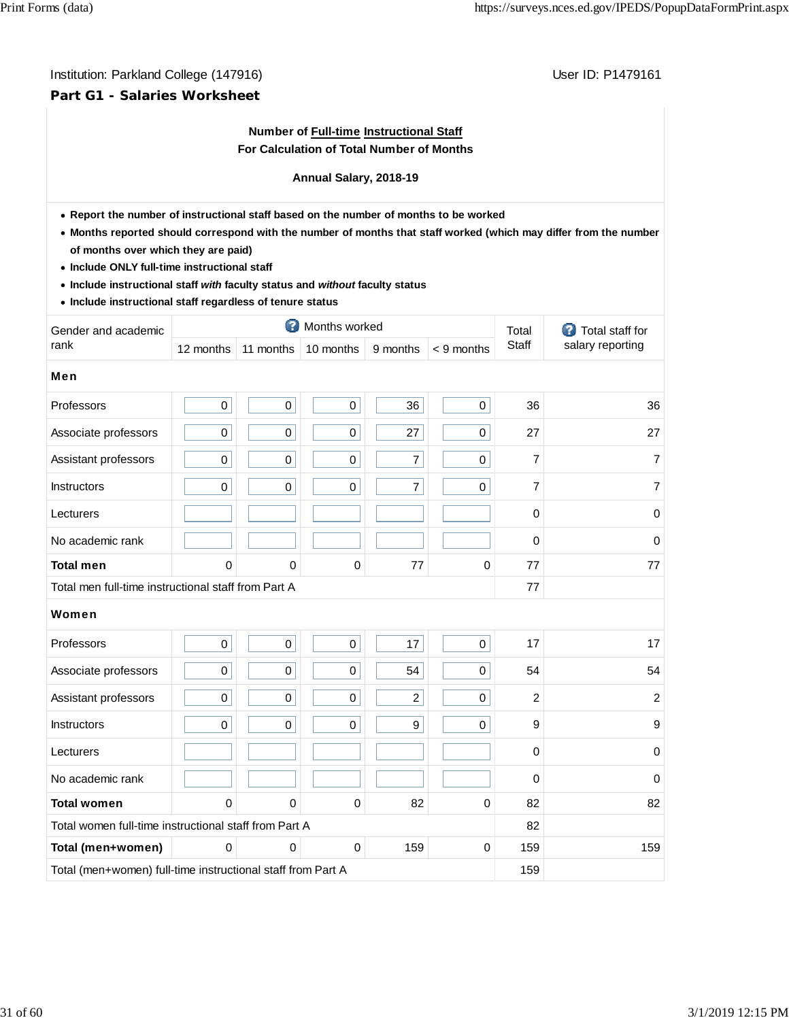### **Part G1 - Salaries Worksheet**

### **Number of Full-time Instructional Staff For Calculation of Total Number of Months**

#### **Annual Salary, 2018-19**

- **Report the number of instructional staff based on the number of months to be worked**
- **Months reported should correspond with the number of months that staff worked (which may differ from the number of months over which they are paid)**
- **Include ONLY full-time instructional staff**
- **Include instructional staff** *with* **faculty status and** *without* **faculty status**
- **Include instructional staff regardless of tenure status**

| Gender and academic                                         |             |              | Months worked |                |              | Total          | Total staff for<br>œ. |
|-------------------------------------------------------------|-------------|--------------|---------------|----------------|--------------|----------------|-----------------------|
| rank                                                        | 12 months   | 11 months    | 10 months     | 9 months       | $< 9$ months | Staff          | salary reporting      |
| <b>Men</b>                                                  |             |              |               |                |              |                |                       |
| Professors                                                  | 0           | $\mathbf 0$  | $\mathbf 0$   | 36             | $\mathbf 0$  | 36             | 36                    |
| Associate professors                                        | 0           | 0            | 0             | 27             | $\mathbf 0$  | 27             | 27                    |
| Assistant professors                                        | $\pmb{0}$   | $\pmb{0}$    | $\pmb{0}$     | $\overline{7}$ | $\mathbf 0$  | $\overline{7}$ | 7                     |
| <b>Instructors</b>                                          | $\mathbf 0$ | $\mathbf 0$  | $\pmb{0}$     | $\overline{7}$ | $\mathbf 0$  | $\overline{7}$ | 7                     |
| Lecturers                                                   |             |              |               |                |              | $\mathbf 0$    | $\mathbf 0$           |
| No academic rank                                            |             |              |               |                |              | $\mathbf 0$    | 0                     |
| <b>Total men</b>                                            | 0           | 0            | 0             | 77             | 0            | 77             | 77                    |
| Total men full-time instructional staff from Part A         |             |              |               |                |              | 77             |                       |
| Women                                                       |             |              |               |                |              |                |                       |
| Professors                                                  | 0           | $\pmb{0}$    | 0             | 17             | $\mathbf 0$  | 17             | 17                    |
| Associate professors                                        | 0           | $\mathbf 0$  | $\pmb{0}$     | 54             | $\mathbf 0$  | 54             | 54                    |
| Assistant professors                                        | 0           | $\mathbf 0$  | $\pmb{0}$     | $\overline{c}$ | $\mathbf 0$  | $\overline{2}$ | $\overline{2}$        |
| <b>Instructors</b>                                          | $\mathbf 0$ | $\mathbf 0$  | 0             | 9              | $\mathbf 0$  | 9              | 9                     |
| Lecturers                                                   |             |              |               |                |              | $\mathbf 0$    | 0                     |
| No academic rank                                            |             |              |               |                |              | $\Omega$       | $\mathbf 0$           |
| <b>Total women</b>                                          | $\Omega$    | $\mathbf{0}$ | 0             | 82             | 0            | 82             | 82                    |
| Total women full-time instructional staff from Part A       |             |              |               |                |              | 82             |                       |
| Total (men+women)                                           | $\mathbf 0$ | 0            | 0             | 159            | $\pmb{0}$    | 159            | 159                   |
| Total (men+women) full-time instructional staff from Part A | 159         |              |               |                |              |                |                       |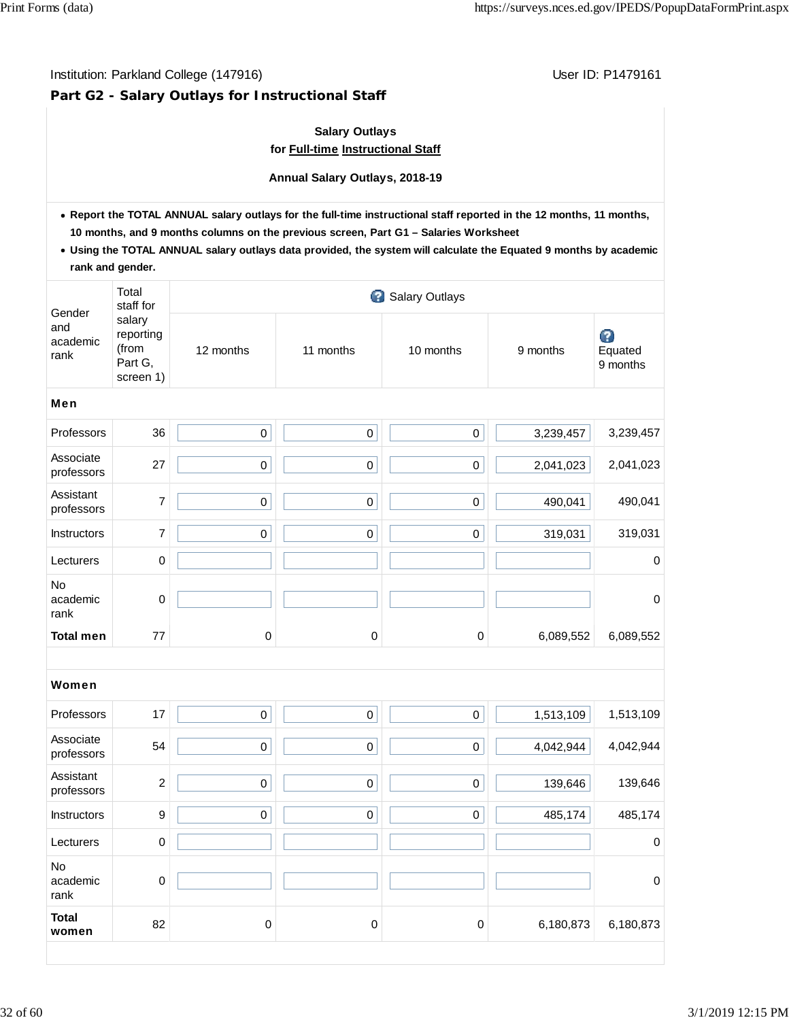# **Part G2 - Salary Outlays for Instructional Staff**

# **Salary Outlays for Full-time Instructional Staff**

**Annual Salary Outlays, 2018-19**

- **Report the TOTAL ANNUAL salary outlays for the full-time instructional staff reported in the 12 months, 11 months, 10 months, and 9 months columns on the previous screen, Part G1 – Salaries Worksheet**
- **Using the TOTAL ANNUAL salary outlays data provided, the system will calculate the Equated 9 months by academic rank and gender.**

|                                   | Total<br>staff for                                   |                     |             | 3 Salary Outlays    |           |                          |
|-----------------------------------|------------------------------------------------------|---------------------|-------------|---------------------|-----------|--------------------------|
| Gender<br>and<br>academic<br>rank | salary<br>reporting<br>(from<br>Part G,<br>screen 1) | 12 months           | 11 months   | 10 months           | 9 months  | Ø<br>Equated<br>9 months |
| <b>Men</b>                        |                                                      |                     |             |                     |           |                          |
| Professors                        | 36                                                   | $\mathsf{O}\xspace$ | $\mathbf 0$ | $\pmb{0}$           | 3,239,457 | 3,239,457                |
| Associate<br>professors           | 27                                                   | $\pmb{0}$           | $\mathbf 0$ | $\mathbf 0$         | 2,041,023 | 2,041,023                |
| Assistant<br>professors           | $\overline{7}$                                       | $\pmb{0}$           | $\mathbf 0$ | $\mathbf 0$         | 490,041   | 490,041                  |
| Instructors                       | $\overline{7}$                                       | $\mathbf 0$         | $\mathsf 0$ | $\mathsf 0$         | 319,031   | 319,031                  |
| Lecturers                         | $\mathbf 0$                                          |                     |             |                     |           | $\mathbf 0$              |
| No<br>academic<br>rank            | 0                                                    |                     |             |                     |           | $\boldsymbol{0}$         |
| <b>Total men</b>                  | 77                                                   | 0                   | $\mathbf 0$ | $\mathbf 0$         | 6,089,552 | 6,089,552                |
|                                   |                                                      |                     |             |                     |           |                          |
| Women                             |                                                      |                     |             |                     |           |                          |
| Professors                        | 17                                                   | $\pmb{0}$           | $\mathbf 0$ | $\mathsf 0$         | 1,513,109 | 1,513,109                |
| Associate<br>professors           | 54                                                   | $\mathsf{O}\xspace$ | $\pmb{0}$   | $\mathsf{O}\xspace$ | 4,042,944 | 4,042,944                |
| Assistant<br>professors           | $\overline{c}$                                       | $\mathsf{O}\xspace$ | $\mathbf 0$ | 0                   | 139,646   | 139,646                  |
| <b>Instructors</b>                | 9                                                    | $\pmb{0}$           | $\pmb{0}$   | $\mathbf 0$         | 485,174   | 485,174                  |
| Lecturers                         | $\mathbf 0$                                          |                     |             |                     |           | $\boldsymbol{0}$         |
| <b>No</b><br>academic<br>rank     | $\mathbf 0$                                          |                     |             |                     |           | $\pmb{0}$                |
| <b>Total</b><br>women             | 82                                                   | $\mathbf 0$         | 0           | $\mathbf 0$         | 6,180,873 | 6,180,873                |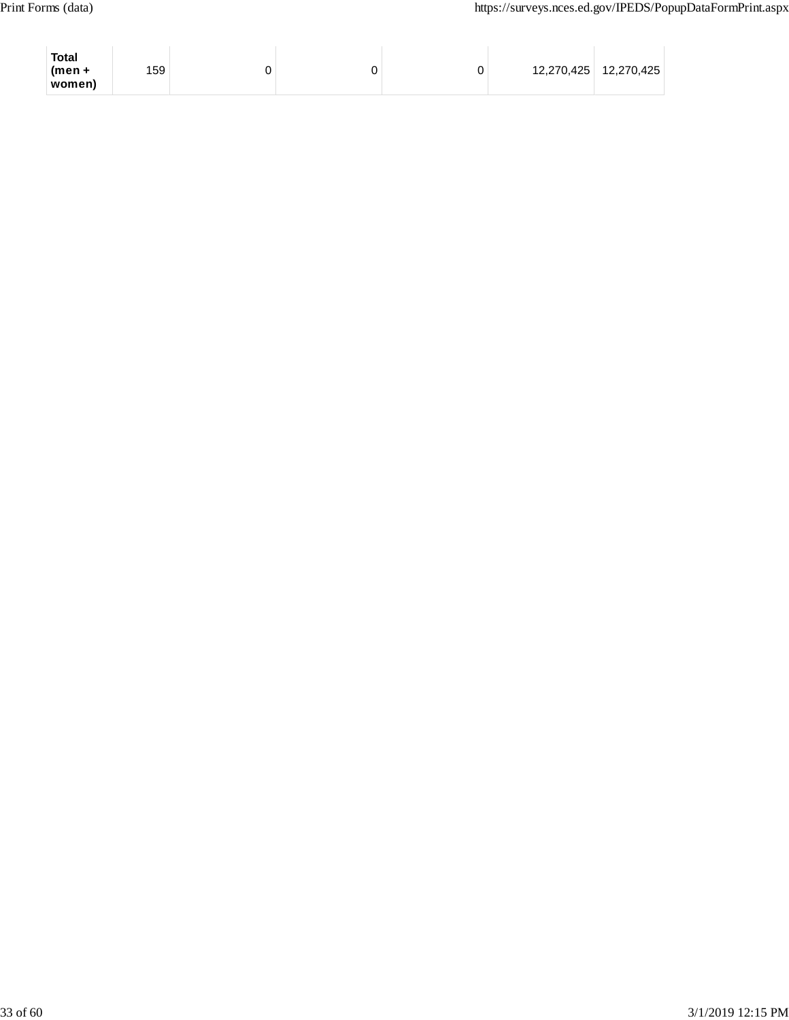| <b>Total</b><br>$(men +$<br>women) | 159 |  | 0 | 12,270,425   12,270,425 |
|------------------------------------|-----|--|---|-------------------------|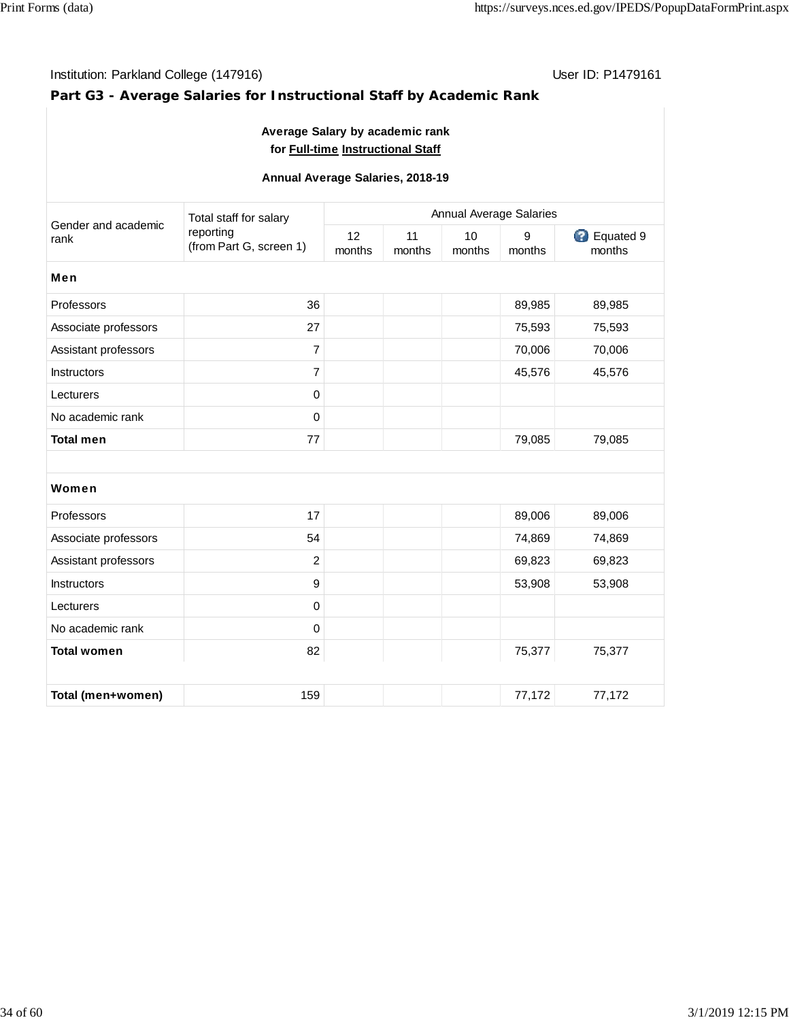$\mathcal{A}$ 

# Institution: Parkland College (147916) Contract College (147916)

# **Part G3 - Average Salaries for Instructional Staff by Academic Rank**

| Average Salary by academic rank<br>for Full-time Instructional Staff |                                      |                                |              |              |             |                     |  |  |
|----------------------------------------------------------------------|--------------------------------------|--------------------------------|--------------|--------------|-------------|---------------------|--|--|
| Annual Average Salaries, 2018-19                                     |                                      |                                |              |              |             |                     |  |  |
|                                                                      | Total staff for salary               | <b>Annual Average Salaries</b> |              |              |             |                     |  |  |
| Gender and academic<br>rank                                          | reporting<br>(from Part G, screen 1) | 12<br>months                   | 11<br>months | 10<br>months | 9<br>months | Equated 9<br>months |  |  |
| Men                                                                  |                                      |                                |              |              |             |                     |  |  |
| Professors                                                           | 36                                   |                                |              |              | 89,985      | 89,985              |  |  |
| Associate professors                                                 | 27                                   |                                |              |              | 75,593      | 75,593              |  |  |
| Assistant professors                                                 | $\overline{7}$                       |                                |              |              | 70,006      | 70,006              |  |  |
| Instructors                                                          | $\overline{7}$                       |                                |              |              | 45,576      | 45,576              |  |  |
| Lecturers                                                            | $\mathbf 0$                          |                                |              |              |             |                     |  |  |
| No academic rank                                                     | $\mathsf 0$                          |                                |              |              |             |                     |  |  |
| <b>Total men</b>                                                     | 77                                   |                                |              |              | 79,085      | 79,085              |  |  |
|                                                                      |                                      |                                |              |              |             |                     |  |  |
| Women                                                                |                                      |                                |              |              |             |                     |  |  |
| Professors                                                           | 17                                   |                                |              |              | 89,006      | 89,006              |  |  |
| Associate professors                                                 | 54                                   |                                |              |              | 74,869      | 74,869              |  |  |
| Assistant professors                                                 | $\overline{c}$                       |                                |              |              | 69,823      | 69,823              |  |  |
| <b>Instructors</b>                                                   | $\boldsymbol{9}$                     |                                |              |              | 53,908      | 53,908              |  |  |
| Lecturers                                                            | $\mathbf 0$                          |                                |              |              |             |                     |  |  |
| No academic rank                                                     | 0                                    |                                |              |              |             |                     |  |  |
| <b>Total women</b>                                                   | 82                                   |                                |              |              | 75,377      | 75,377              |  |  |
|                                                                      |                                      |                                |              |              |             |                     |  |  |
| Total (men+women)                                                    | 159                                  |                                |              |              | 77,172      | 77,172              |  |  |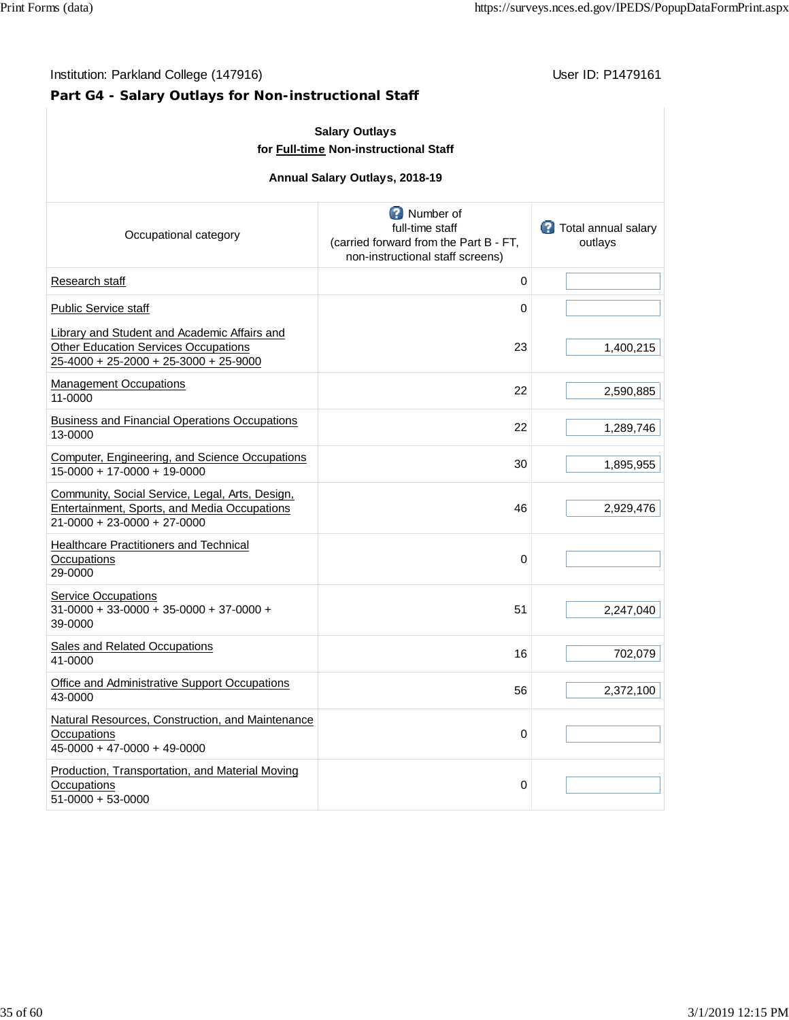# **Part G4 - Salary Outlays for Non-instructional Staff**

| <b>Salary Outlays</b><br>for Full-time Non-instructional Staff<br>Annual Salary Outlays, 2018-19                                     |                                                                                                            |                                         |  |  |  |  |  |
|--------------------------------------------------------------------------------------------------------------------------------------|------------------------------------------------------------------------------------------------------------|-----------------------------------------|--|--|--|--|--|
| Occupational category                                                                                                                | Number of<br>full-time staff<br>(carried forward from the Part B - FT,<br>non-instructional staff screens) | <b>C</b> Total annual salary<br>outlays |  |  |  |  |  |
| Research staff                                                                                                                       | 0                                                                                                          |                                         |  |  |  |  |  |
| <b>Public Service staff</b>                                                                                                          | 0                                                                                                          |                                         |  |  |  |  |  |
| Library and Student and Academic Affairs and<br><b>Other Education Services Occupations</b><br>25-4000 + 25-2000 + 25-3000 + 25-9000 | 23                                                                                                         | 1,400,215                               |  |  |  |  |  |
| <b>Management Occupations</b><br>11-0000                                                                                             | 22                                                                                                         | 2,590,885                               |  |  |  |  |  |
| <b>Business and Financial Operations Occupations</b><br>13-0000                                                                      | 22                                                                                                         | 1,289,746                               |  |  |  |  |  |
| Computer, Engineering, and Science Occupations<br>15-0000 + 17-0000 + 19-0000                                                        | 30                                                                                                         | 1,895,955                               |  |  |  |  |  |
| Community, Social Service, Legal, Arts, Design,<br>Entertainment, Sports, and Media Occupations<br>21-0000 + 23-0000 + 27-0000       | 46                                                                                                         | 2,929,476                               |  |  |  |  |  |
| <b>Healthcare Practitioners and Technical</b><br>Occupations<br>29-0000                                                              | 0                                                                                                          |                                         |  |  |  |  |  |
| <b>Service Occupations</b><br>$31-0000 + 33-0000 + 35-0000 + 37-0000 +$<br>39-0000                                                   | 51                                                                                                         | 2,247,040                               |  |  |  |  |  |
| Sales and Related Occupations<br>41-0000                                                                                             | 16                                                                                                         | 702,079                                 |  |  |  |  |  |
| Office and Administrative Support Occupations<br>43-0000                                                                             | 56                                                                                                         | 2,372,100                               |  |  |  |  |  |
| Natural Resources, Construction, and Maintenance<br>Occupations<br>45-0000 + 47-0000 + 49-0000                                       | 0                                                                                                          |                                         |  |  |  |  |  |
| Production, Transportation, and Material Moving<br>Occupations<br>51-0000 + 53-0000                                                  | 0                                                                                                          |                                         |  |  |  |  |  |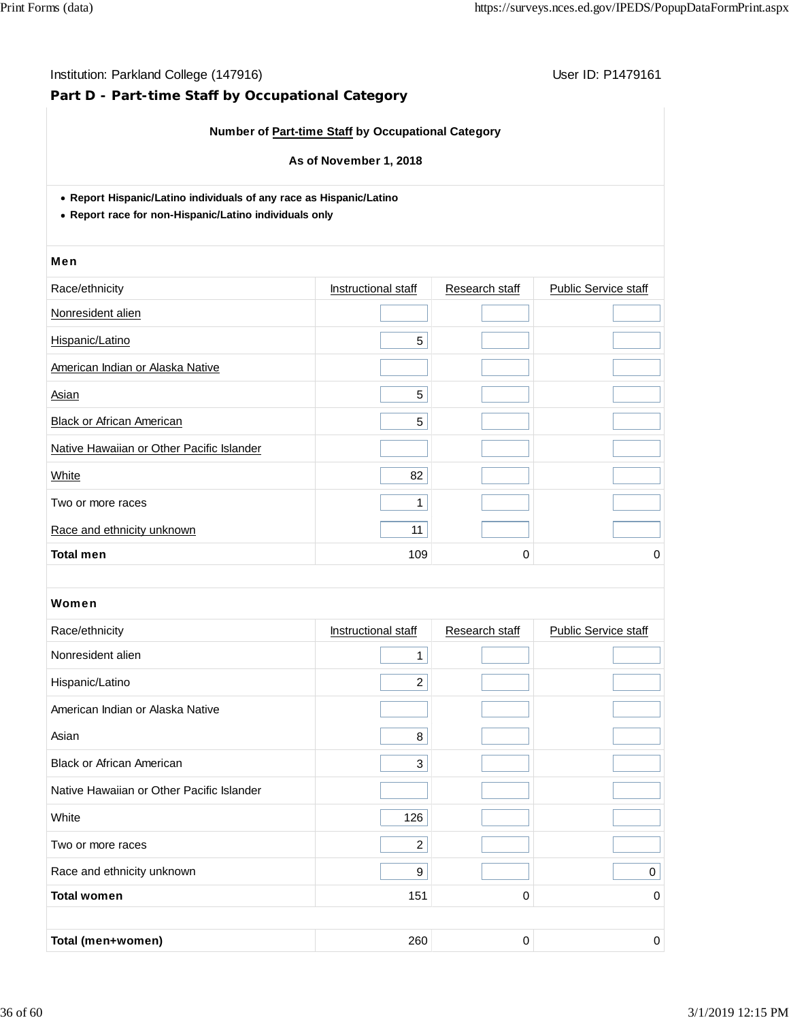# **Part D - Part-time Staff by Occupational Category**

### **Number of Part-time Staff by Occupational Category**

#### **As of November 1, 2018**

**Report Hispanic/Latino individuals of any race as Hispanic/Latino**

**Report race for non-Hispanic/Latino individuals only**

#### Men

| Race/ethnicity                            | Instructional staff | Research staff | <b>Public Service staff</b> |
|-------------------------------------------|---------------------|----------------|-----------------------------|
| Nonresident alien                         |                     |                |                             |
| Hispanic/Latino                           | 5                   |                |                             |
| American Indian or Alaska Native          |                     |                |                             |
| Asian                                     | 5                   |                |                             |
| <b>Black or African American</b>          | 5                   |                |                             |
| Native Hawaiian or Other Pacific Islander |                     |                |                             |
| White                                     | 82                  |                |                             |
| Two or more races                         |                     |                |                             |
| Race and ethnicity unknown                | 11                  |                |                             |
| <b>Total men</b>                          | 109                 | 0              | 0                           |

| Race/ethnicity                            | Instructional staff | Research staff | <b>Public Service staff</b> |
|-------------------------------------------|---------------------|----------------|-----------------------------|
| Nonresident alien                         | 1                   |                |                             |
| Hispanic/Latino                           | $\overline{2}$      |                |                             |
| American Indian or Alaska Native          |                     |                |                             |
| Asian                                     | 8                   |                |                             |
| <b>Black or African American</b>          | 3                   |                |                             |
| Native Hawaiian or Other Pacific Islander |                     |                |                             |
| White                                     | 126                 |                |                             |
| Two or more races                         | $\overline{2}$      |                |                             |
| Race and ethnicity unknown                | 9                   |                | $\mathbf 0$                 |
| <b>Total women</b>                        | 151                 | 0              | 0                           |
|                                           |                     |                |                             |
| Total (men+women)                         | 260                 | 0              | 0                           |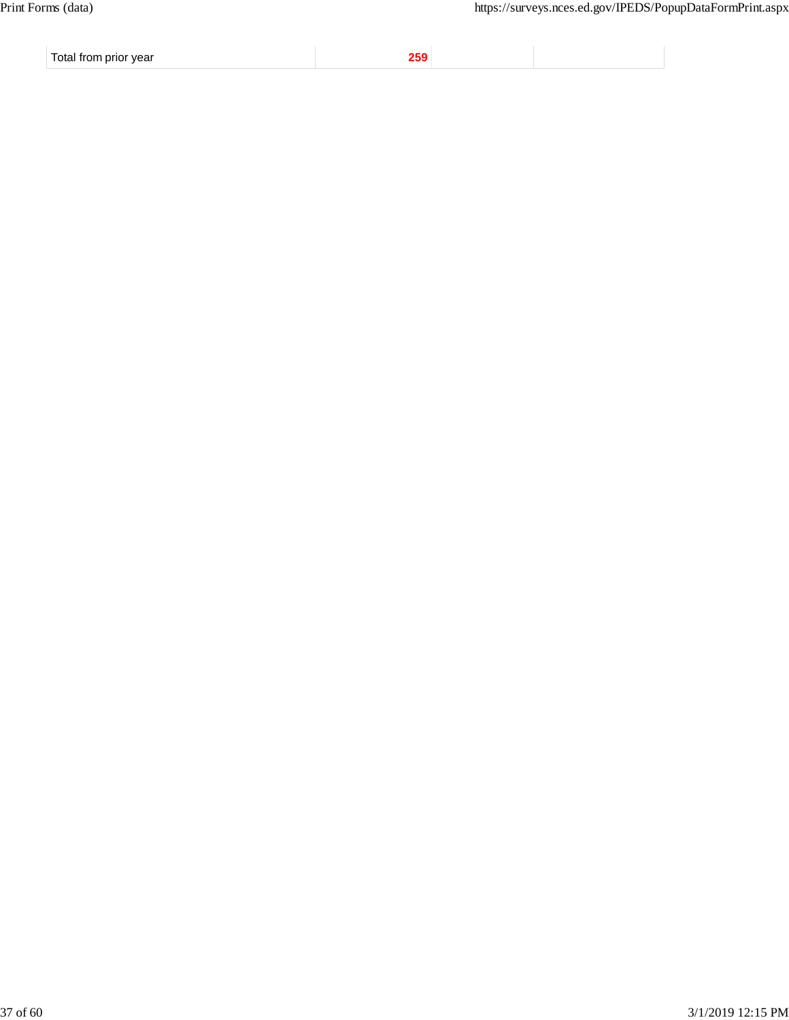Total from prior year **259**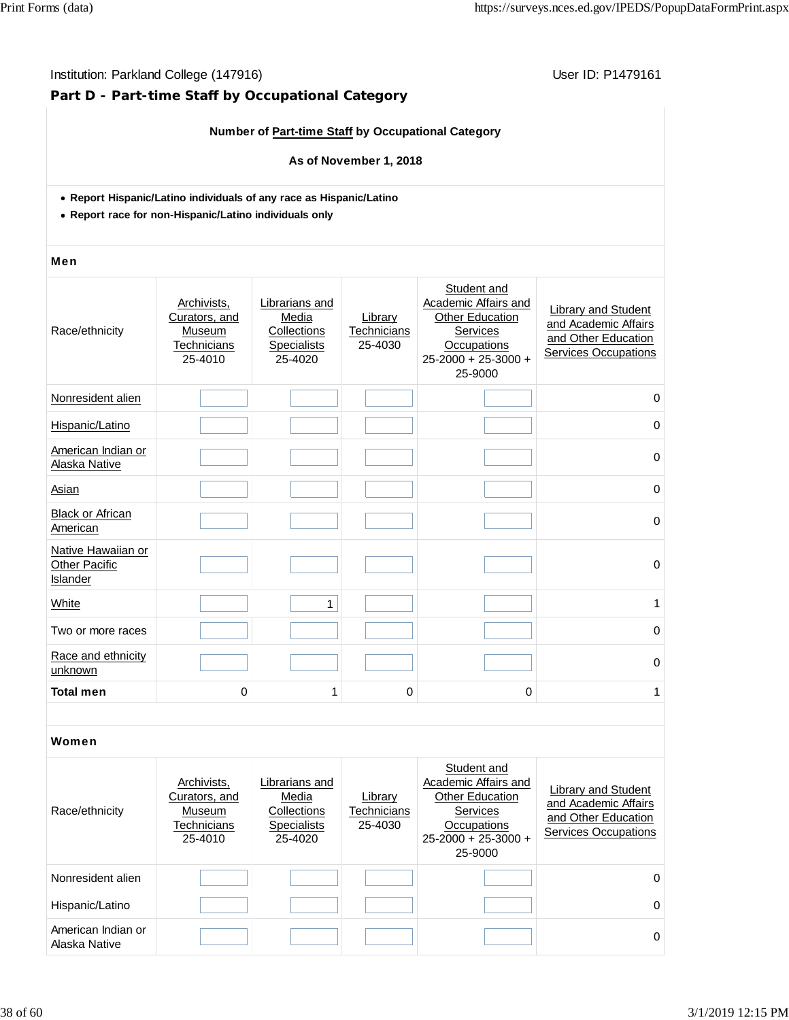### Institution: Parkland College (147916) **Institution: Parkland College (147916**)

# **Part D - Part-time Staff by Occupational Category**

### **Number of Part-time Staff by Occupational Category**

#### **As of November 1, 2018**

- **Report Hispanic/Latino individuals of any race as Hispanic/Latino**
- **Report race for non-Hispanic/Latino individuals only**

#### Men

| Race/ethnicity                                         | Archivists,<br>Curators, and<br>Museum<br>Technicians<br>25-4010 | Librarians and<br>Media<br>Collections<br><b>Specialists</b><br>25-4020 | Library<br>Technicians<br>25-4030 | Student and<br>Academic Affairs and<br>Other Education<br>Services<br>Occupations<br>25-2000 + 25-3000 +<br>25-9000 | Library and Student<br>and Academic Affairs<br>and Other Education<br><b>Services Occupations</b> |
|--------------------------------------------------------|------------------------------------------------------------------|-------------------------------------------------------------------------|-----------------------------------|---------------------------------------------------------------------------------------------------------------------|---------------------------------------------------------------------------------------------------|
| Nonresident alien                                      |                                                                  |                                                                         |                                   |                                                                                                                     | 0                                                                                                 |
| Hispanic/Latino                                        |                                                                  |                                                                         |                                   |                                                                                                                     | 0                                                                                                 |
| American Indian or<br>Alaska Native                    |                                                                  |                                                                         |                                   |                                                                                                                     | $\Omega$                                                                                          |
| Asian                                                  |                                                                  |                                                                         |                                   |                                                                                                                     | $\mathbf 0$                                                                                       |
| <b>Black or African</b><br>American                    |                                                                  |                                                                         |                                   |                                                                                                                     | $\mathbf 0$                                                                                       |
| Native Hawaiian or<br><b>Other Pacific</b><br>Islander |                                                                  |                                                                         |                                   |                                                                                                                     | $\mathbf 0$                                                                                       |
| White                                                  |                                                                  | 1                                                                       |                                   |                                                                                                                     | 1                                                                                                 |
| Two or more races                                      |                                                                  |                                                                         |                                   |                                                                                                                     | $\mathbf 0$                                                                                       |
| Race and ethnicity<br>unknown                          |                                                                  |                                                                         |                                   |                                                                                                                     | $\Omega$                                                                                          |
| <b>Total men</b><br>0<br>$\mathbf 0$<br>$\Omega$<br>1  |                                                                  | 1                                                                       |                                   |                                                                                                                     |                                                                                                   |
|                                                        |                                                                  |                                                                         |                                   |                                                                                                                     |                                                                                                   |
| Women                                                  |                                                                  |                                                                         |                                   |                                                                                                                     |                                                                                                   |
|                                                        | Archivists,                                                      | Librarians and                                                          |                                   | Student and<br>Academic Affairs and                                                                                 | Library and Student                                                                               |

| Race/ethnicity                      | Archivists.<br>Curators, and<br>Museum<br>Technicians<br>25-4010 | Librarians and<br>Media<br>Collections<br><b>Specialists</b><br>25-4020 | Library<br>Technicians<br>25-4030 | Academic Affairs and<br><b>Other Education</b><br><b>Services</b><br>Occupations<br>$25 - 2000 + 25 - 3000 +$<br>25-9000 | Library and Student<br>and Academic Affairs<br>and Other Education<br>Services Occupations |
|-------------------------------------|------------------------------------------------------------------|-------------------------------------------------------------------------|-----------------------------------|--------------------------------------------------------------------------------------------------------------------------|--------------------------------------------------------------------------------------------|
| Nonresident alien                   |                                                                  |                                                                         |                                   |                                                                                                                          | 0                                                                                          |
| Hispanic/Latino                     |                                                                  |                                                                         |                                   |                                                                                                                          | $\Omega$                                                                                   |
| American Indian or<br>Alaska Native |                                                                  |                                                                         |                                   |                                                                                                                          | 0                                                                                          |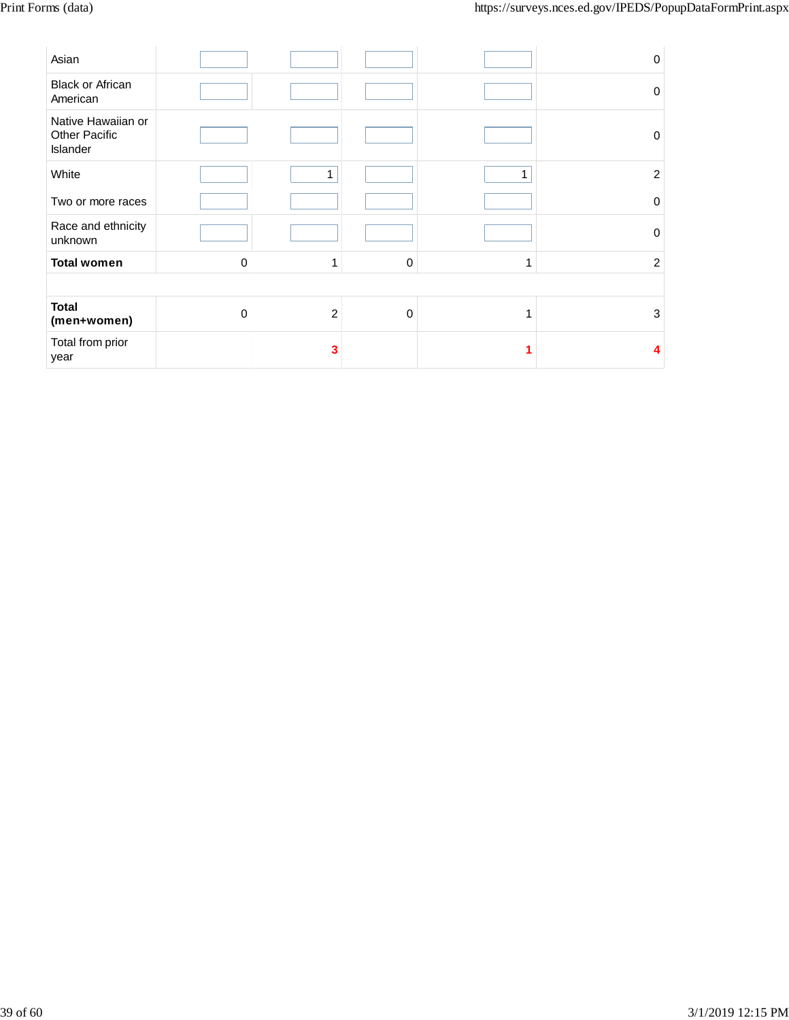| Asian                                                  |          |              |          |   | 0              |
|--------------------------------------------------------|----------|--------------|----------|---|----------------|
| <b>Black or African</b><br>American                    |          |              |          |   | $\Omega$       |
| Native Hawaiian or<br><b>Other Pacific</b><br>Islander |          |              |          |   | 0              |
| White                                                  |          | $\mathbf{1}$ |          |   | $\overline{c}$ |
| Two or more races                                      |          |              |          |   | 0              |
| Race and ethnicity<br>unknown                          |          |              |          |   | $\Omega$       |
| <b>Total women</b>                                     | 0        | 1            | $\Omega$ | 1 | $\overline{2}$ |
|                                                        |          |              |          |   |                |
| <b>Total</b><br>(men+women)                            | $\Omega$ | $\sqrt{2}$   | $\Omega$ |   | 3              |
| Total from prior<br>year                               |          | 3            |          |   | Δ              |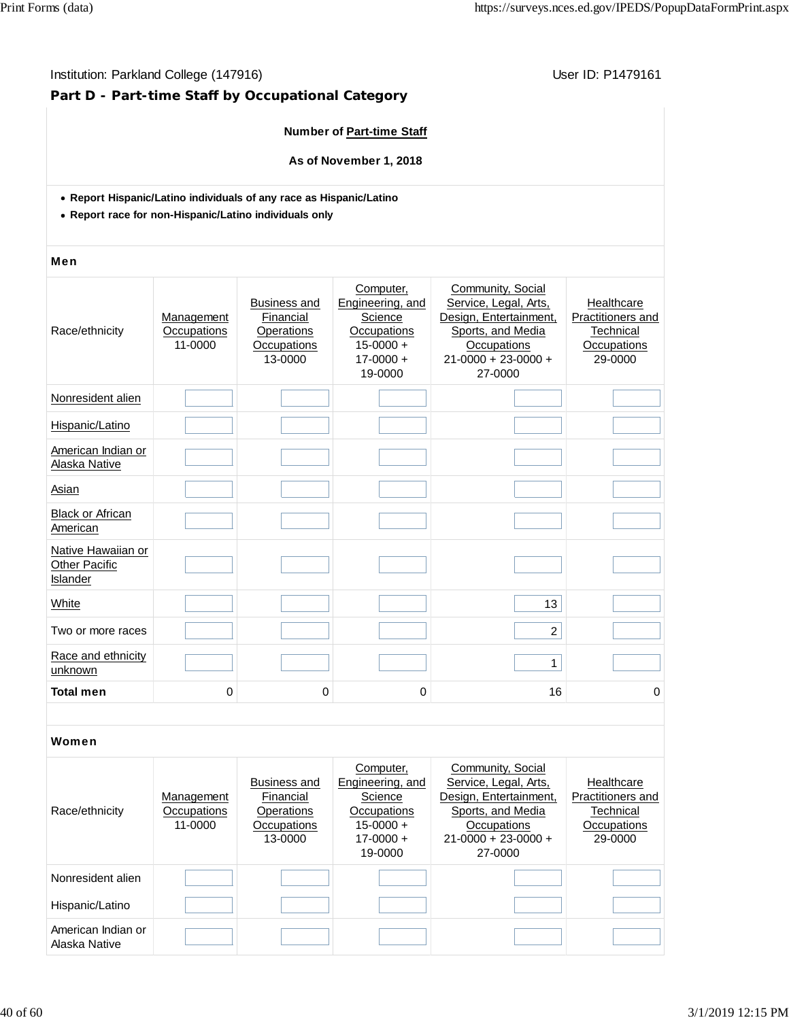### Institution: Parkland College (147916) **Institution: Parkland College (147916**)

# **Part D - Part-time Staff by Occupational Category**

### **Number of Part-time Staff**

**As of November 1, 2018**

- **Report Hispanic/Latino individuals of any race as Hispanic/Latino**
- **Report race for non-Hispanic/Latino individuals only**

#### Men

| Race/ethnicity                                                | Management<br>Occupations<br>11-0000 | <b>Business and</b><br>Financial<br>Operations<br>Occupations<br>13-0000 | Computer,<br>Engineering, and<br>Science<br>Occupations<br>$15 - 0000 +$<br>$17 - 0000 +$<br>19-0000 | Community, Social<br>Service, Legal, Arts,<br>Design, Entertainment,<br>Sports, and Media<br>Occupations<br>$21 - 0000 + 23 - 0000 +$<br>27-0000 | Healthcare<br>Practitioners and<br>Technical<br>Occupations<br>29-0000 |
|---------------------------------------------------------------|--------------------------------------|--------------------------------------------------------------------------|------------------------------------------------------------------------------------------------------|--------------------------------------------------------------------------------------------------------------------------------------------------|------------------------------------------------------------------------|
| Nonresident alien                                             |                                      |                                                                          |                                                                                                      |                                                                                                                                                  |                                                                        |
| Hispanic/Latino                                               |                                      |                                                                          |                                                                                                      |                                                                                                                                                  |                                                                        |
| American Indian or<br>Alaska Native                           |                                      |                                                                          |                                                                                                      |                                                                                                                                                  |                                                                        |
| Asian                                                         |                                      |                                                                          |                                                                                                      |                                                                                                                                                  |                                                                        |
| <b>Black or African</b><br>American                           |                                      |                                                                          |                                                                                                      |                                                                                                                                                  |                                                                        |
| Native Hawaiian or<br><b>Other Pacific</b><br><b>Islander</b> |                                      |                                                                          |                                                                                                      |                                                                                                                                                  |                                                                        |
| <b>White</b>                                                  |                                      |                                                                          |                                                                                                      | 13                                                                                                                                               |                                                                        |
| Two or more races                                             |                                      |                                                                          |                                                                                                      | $\overline{2}$                                                                                                                                   |                                                                        |
| Race and ethnicity<br>unknown                                 |                                      |                                                                          |                                                                                                      | $\mathbf{1}$                                                                                                                                     |                                                                        |
| <b>Total men</b>                                              | 0                                    | 0                                                                        | 0                                                                                                    | 16                                                                                                                                               | 0                                                                      |

| Race/ethnicity                      | Management<br>Occupations<br>11-0000 | Business and<br>Financial<br>Operations<br>Occupations<br>13-0000 | Computer,<br>Engineering, and<br>Science<br>Occupations<br>$15-0000 +$<br>$17 - 0000 +$<br>19-0000 | Community, Social<br>Service, Legal, Arts,<br>Design, Entertainment,<br>Sports, and Media<br><b>Occupations</b><br>$21 - 0000 + 23 - 0000 +$<br>27-0000 | Healthcare<br><b>Practitioners and</b><br>Technical<br>Occupations<br>29-0000 |
|-------------------------------------|--------------------------------------|-------------------------------------------------------------------|----------------------------------------------------------------------------------------------------|---------------------------------------------------------------------------------------------------------------------------------------------------------|-------------------------------------------------------------------------------|
| Nonresident alien                   |                                      |                                                                   |                                                                                                    |                                                                                                                                                         |                                                                               |
| Hispanic/Latino                     |                                      |                                                                   |                                                                                                    |                                                                                                                                                         |                                                                               |
| American Indian or<br>Alaska Native |                                      |                                                                   |                                                                                                    |                                                                                                                                                         |                                                                               |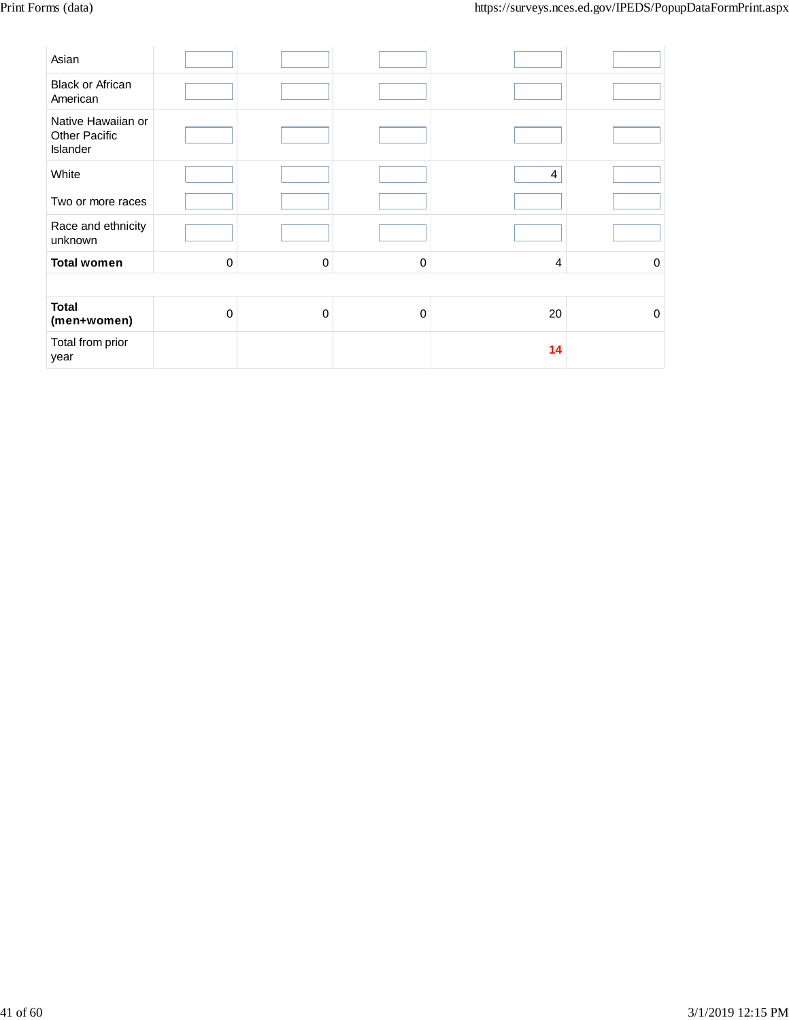| Asian                                                  |           |   |             |                |          |
|--------------------------------------------------------|-----------|---|-------------|----------------|----------|
| <b>Black or African</b><br>American                    |           |   |             |                |          |
| Native Hawaiian or<br><b>Other Pacific</b><br>Islander |           |   |             |                |          |
| White                                                  |           |   |             | 4              |          |
| Two or more races                                      |           |   |             |                |          |
| Race and ethnicity<br>unknown                          |           |   |             |                |          |
| <b>Total women</b>                                     | $\pmb{0}$ | 0 | $\mathbf 0$ | $\overline{4}$ | 0        |
|                                                        |           |   |             |                |          |
| <b>Total</b><br>(men+women)                            | 0         | 0 | $\Omega$    | 20             | $\Omega$ |
| Total from prior<br>year                               |           |   |             | 14             |          |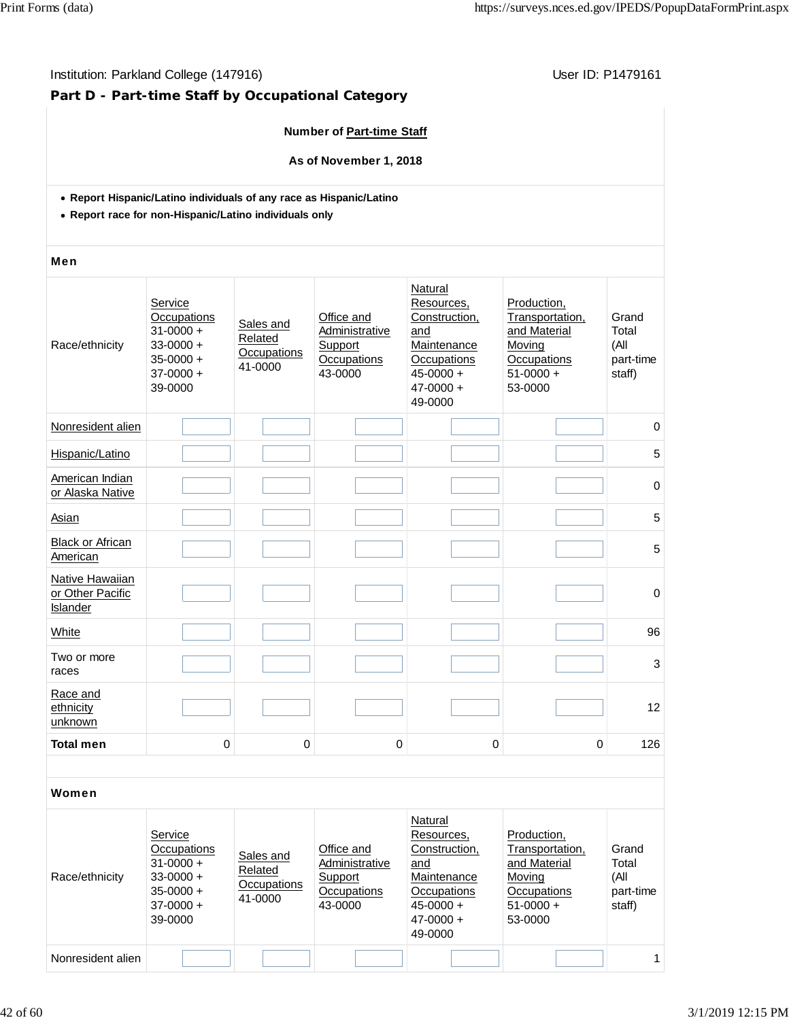### Institution: Parkland College (147916) **Institution: Parkland College (147916**)

# **Part D - Part-time Staff by Occupational Category**

### **Number of Part-time Staff**

**As of November 1, 2018**

- **Report Hispanic/Latino individuals of any race as Hispanic/Latino**
- **Report race for non-Hispanic/Latino individuals only**

#### Men

| Race/ethnicity                                  | Service<br>Occupations<br>$31 - 0000 +$<br>$33 - 0000 +$<br>$35 - 0000 +$<br>$37-0000 +$<br>39-0000 | Sales and<br>Related<br>Occupations<br>41-0000 | Office and<br>Administrative<br>Support<br>Occupations<br>43-0000 | Natural<br>Resources,<br>Construction,<br>and<br>Maintenance<br>Occupations<br>$45 - 0000 +$<br>$47 - 0000 +$<br>49-0000 | Production,<br>Transportation,<br>and Material<br>Moving<br>Occupations<br>$51-0000 +$<br>53-0000 | Grand<br>Total<br>(All<br>part-time<br>staff) |
|-------------------------------------------------|-----------------------------------------------------------------------------------------------------|------------------------------------------------|-------------------------------------------------------------------|--------------------------------------------------------------------------------------------------------------------------|---------------------------------------------------------------------------------------------------|-----------------------------------------------|
| Nonresident alien                               |                                                                                                     |                                                |                                                                   |                                                                                                                          |                                                                                                   | 0                                             |
| Hispanic/Latino                                 |                                                                                                     |                                                |                                                                   |                                                                                                                          |                                                                                                   | 5                                             |
| American Indian<br>or Alaska Native             |                                                                                                     |                                                |                                                                   |                                                                                                                          |                                                                                                   | 0                                             |
| Asian                                           |                                                                                                     |                                                |                                                                   |                                                                                                                          |                                                                                                   | 5                                             |
| <b>Black or African</b><br>American             |                                                                                                     |                                                |                                                                   |                                                                                                                          |                                                                                                   | 5                                             |
| Native Hawaiian<br>or Other Pacific<br>Islander |                                                                                                     |                                                |                                                                   |                                                                                                                          |                                                                                                   | 0                                             |
| White                                           |                                                                                                     |                                                |                                                                   |                                                                                                                          |                                                                                                   | 96                                            |
| Two or more<br>races                            |                                                                                                     |                                                |                                                                   |                                                                                                                          |                                                                                                   | 3                                             |
| Race and<br>ethnicity<br>unknown                |                                                                                                     |                                                |                                                                   |                                                                                                                          |                                                                                                   | 12                                            |
| <b>Total men</b>                                | 0                                                                                                   | $\mathbf 0$                                    | $\pmb{0}$                                                         | $\pmb{0}$                                                                                                                | 0                                                                                                 | 126                                           |
|                                                 |                                                                                                     |                                                |                                                                   |                                                                                                                          |                                                                                                   |                                               |

| Race/ethnicity    | Service<br>Occupations<br>$31 - 0000 +$<br>$33 - 0000 +$<br>$35-0000 +$<br>$37-0000 +$<br>39-0000 | Sales and<br>Related<br>Occupations<br>41-0000 | Office and<br>Administrative<br>Support<br>Occupations<br>43-0000 | Natural<br>Resources,<br>Construction,<br>and<br>Maintenance<br>Occupations<br>$45 - 0000 +$<br>$47 - 0000 +$<br>49-0000 | Production.<br>Transportation,<br>and Material<br>Moving<br>Occupations<br>$51-0000 +$<br>53-0000 | Grand<br>Total<br>(All<br>part-time<br>staff) |
|-------------------|---------------------------------------------------------------------------------------------------|------------------------------------------------|-------------------------------------------------------------------|--------------------------------------------------------------------------------------------------------------------------|---------------------------------------------------------------------------------------------------|-----------------------------------------------|
| Nonresident alien |                                                                                                   |                                                |                                                                   |                                                                                                                          |                                                                                                   | 1.                                            |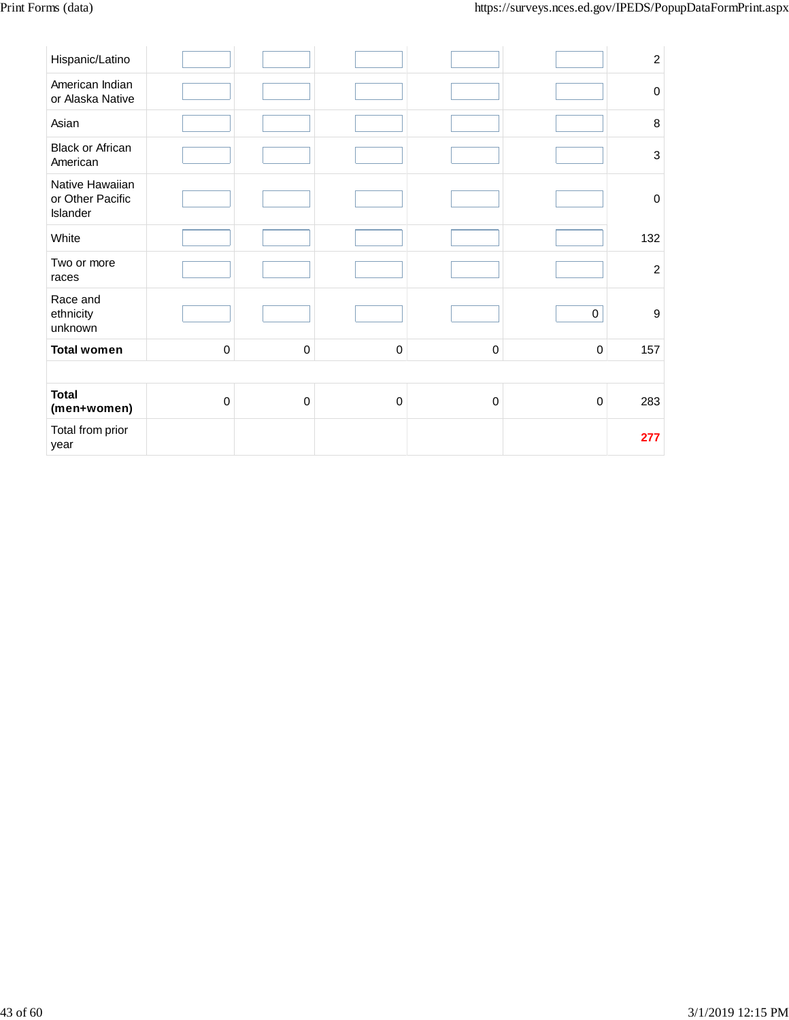| Hispanic/Latino                                 |           |             |           |                     |             | $\sqrt{2}$                |
|-------------------------------------------------|-----------|-------------|-----------|---------------------|-------------|---------------------------|
| American Indian<br>or Alaska Native             |           |             |           |                     |             | $\pmb{0}$                 |
| Asian                                           |           |             |           |                     |             | $\,8\,$                   |
| <b>Black or African</b><br>American             |           |             |           |                     |             | $\ensuremath{\mathsf{3}}$ |
| Native Hawaiian<br>or Other Pacific<br>Islander |           |             |           |                     |             | $\pmb{0}$                 |
| White                                           |           |             |           |                     |             | 132                       |
| Two or more<br>races                            |           |             |           |                     |             | $\overline{c}$            |
| Race and<br>ethnicity<br>unknown                |           |             |           |                     | $\pmb{0}$   | $\boldsymbol{9}$          |
| <b>Total women</b>                              | $\pmb{0}$ | $\mathbf 0$ | $\pmb{0}$ | $\mathsf{O}\xspace$ | $\mathbf 0$ | 157                       |
|                                                 |           |             |           |                     |             |                           |
| <b>Total</b><br>(men+women)                     | $\pmb{0}$ | $\mathbf 0$ | $\pmb{0}$ | $\mathsf 0$         | $\mathbf 0$ | 283                       |
| Total from prior<br>year                        |           |             |           |                     |             | 277                       |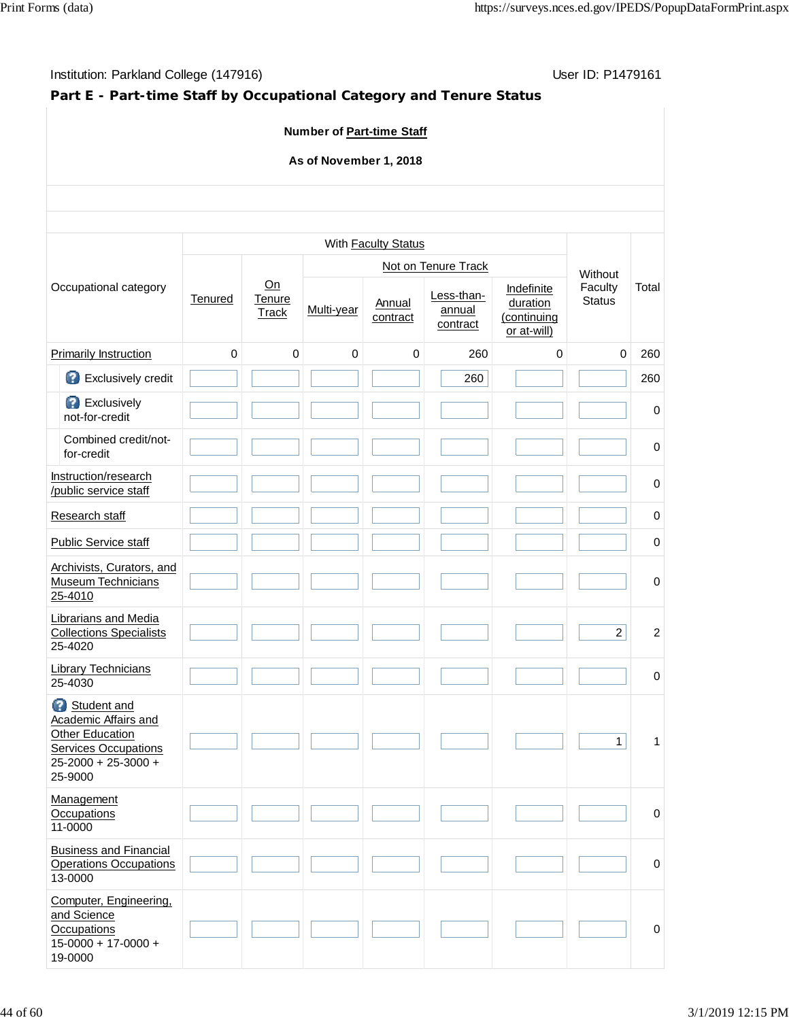# Institution: Parkland College (147916) **Institution: Parkland College (147916)** Conservation: P1479161

# **Part E - Part-time Staff by Occupational Category and Tenure Status**

### **Number of Part-time Staff**

### **As of November 1, 2018**

|                                                                                                                                |             |                              |             | With Faculty Status |                                  |                                                      |                          |                |
|--------------------------------------------------------------------------------------------------------------------------------|-------------|------------------------------|-------------|---------------------|----------------------------------|------------------------------------------------------|--------------------------|----------------|
|                                                                                                                                |             |                              |             |                     | Not on Tenure Track              |                                                      | Without                  |                |
| Occupational category                                                                                                          | Tenured     | On<br>Tenure<br><b>Track</b> | Multi-year  | Annual<br>contract  | Less-than-<br>annual<br>contract | Indefinite<br>duration<br>(continuing<br>or at-will) | Faculty<br><b>Status</b> | Total          |
| Primarily Instruction                                                                                                          | $\mathbf 0$ | $\mathbf 0$                  | $\mathbf 0$ | 0                   | 260                              | $\mathbf 0$                                          | $\mathbf 0$              | 260            |
| Exclusively credit                                                                                                             |             |                              |             |                     | 260                              |                                                      |                          | 260            |
| <b>B</b> Exclusively<br>not-for-credit                                                                                         |             |                              |             |                     |                                  |                                                      |                          | 0              |
| Combined credit/not-<br>for-credit                                                                                             |             |                              |             |                     |                                  |                                                      |                          | 0              |
| Instruction/research<br>/public service staff                                                                                  |             |                              |             |                     |                                  |                                                      |                          | $\mathbf 0$    |
| Research staff                                                                                                                 |             |                              |             |                     |                                  |                                                      |                          | 0              |
| <b>Public Service staff</b>                                                                                                    |             |                              |             |                     |                                  |                                                      |                          | 0              |
| Archivists, Curators, and<br><b>Museum Technicians</b><br>25-4010                                                              |             |                              |             |                     |                                  |                                                      |                          | 0              |
| <b>Librarians and Media</b><br><b>Collections Specialists</b><br>25-4020                                                       |             |                              |             |                     |                                  |                                                      | $\overline{a}$           | $\overline{2}$ |
| <b>Library Technicians</b><br>25-4030                                                                                          |             |                              |             |                     |                                  |                                                      |                          | $\mathbf 0$    |
| Student and<br>Academic Affairs and<br><b>Other Education</b><br><b>Services Occupations</b><br>25-2000 + 25-3000 +<br>25-9000 |             |                              |             |                     |                                  |                                                      | $\mathbf{1}$             | 1              |
| Management<br>Occupations<br>11-0000                                                                                           |             |                              |             |                     |                                  |                                                      |                          | $\mathbf 0$    |
| <b>Business and Financial</b><br><b>Operations Occupations</b><br>13-0000                                                      |             |                              |             |                     |                                  |                                                      |                          | $\pmb{0}$      |
| Computer, Engineering,<br>and Science<br>Occupations<br>$15 - 0000 + 17 - 0000 +$<br>19-0000                                   |             |                              |             |                     |                                  |                                                      |                          | $\mathbf 0$    |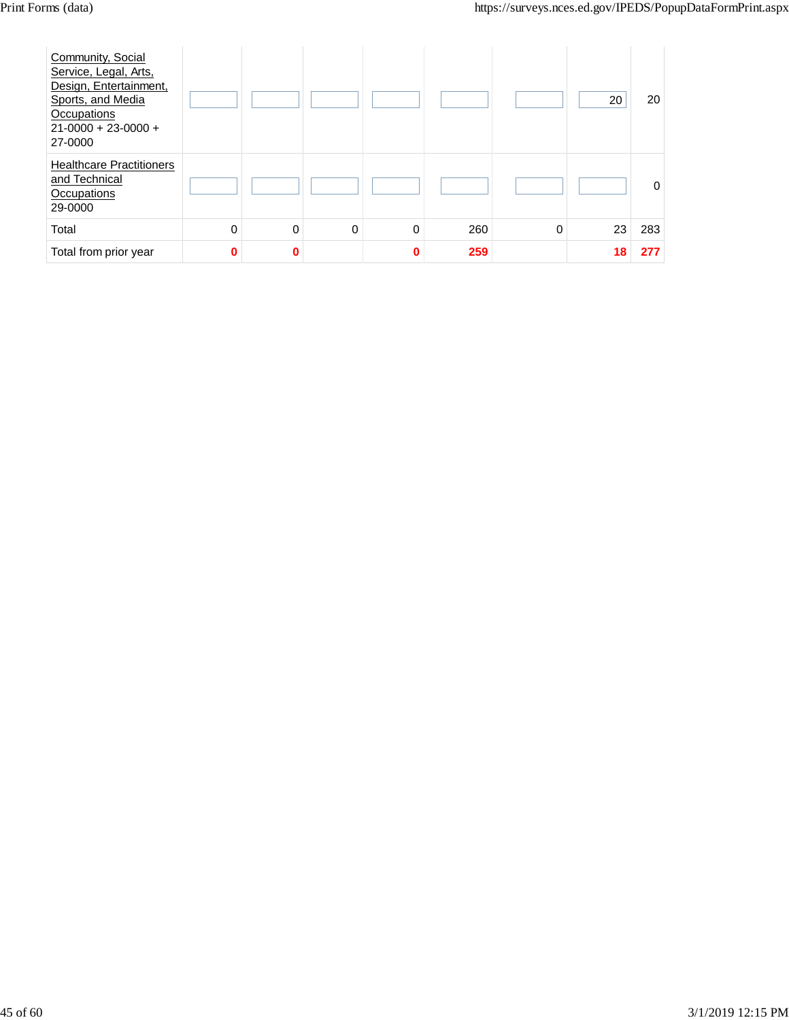| Community, Social<br>Service, Legal, Arts,<br>Design, Entertainment,<br>Sports, and Media<br>Occupations<br>$21 - 0000 + 23 - 0000 +$<br>27-0000 |          |   |   |          |     |          | 20 | 20       |
|--------------------------------------------------------------------------------------------------------------------------------------------------|----------|---|---|----------|-----|----------|----|----------|
| <b>Healthcare Practitioners</b><br>and Technical<br>Occupations<br>29-0000                                                                       |          |   |   |          |     |          |    | $\Omega$ |
| Total                                                                                                                                            | 0        | 0 | 0 | 0        | 260 | $\Omega$ | 23 | 283      |
| Total from prior year                                                                                                                            | $\bf{0}$ | 0 |   | $\bf{0}$ | 259 |          | 18 | 277      |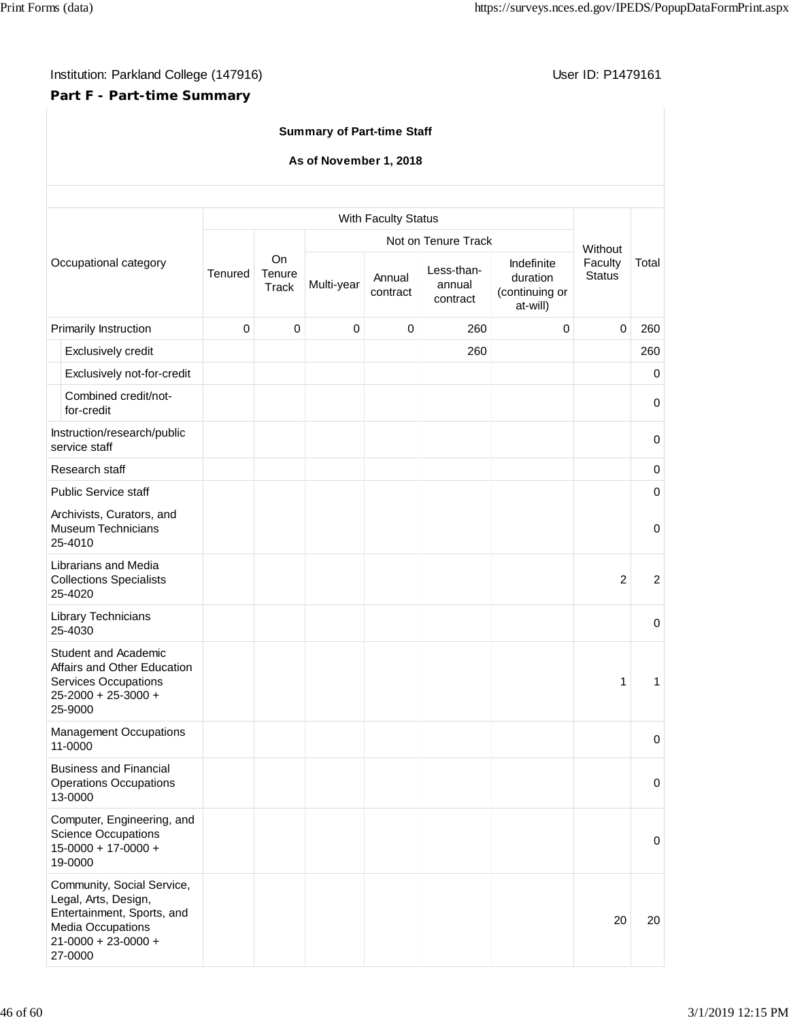# **Part F - Part-time Summary**

# **Summary of Part-time Staff**

### **As of November 1, 2018**

|                                                                                                                                                      |         |                              |             | With Faculty Status |                                  |                                                      | Without<br>Faculty<br><b>Status</b><br>$\mathbf 0$ |                |
|------------------------------------------------------------------------------------------------------------------------------------------------------|---------|------------------------------|-------------|---------------------|----------------------------------|------------------------------------------------------|----------------------------------------------------|----------------|
|                                                                                                                                                      |         |                              |             |                     | Not on Tenure Track              |                                                      |                                                    |                |
| Occupational category                                                                                                                                | Tenured | <b>On</b><br>Tenure<br>Track | Multi-year  | Annual<br>contract  | Less-than-<br>annual<br>contract | Indefinite<br>duration<br>(continuing or<br>at-will) |                                                    | Total          |
| Primarily Instruction                                                                                                                                | 0       | $\pmb{0}$                    | $\mathbf 0$ | $\pmb{0}$           | 260                              | $\mathbf 0$                                          |                                                    | 260            |
| Exclusively credit                                                                                                                                   |         |                              |             |                     | 260                              |                                                      |                                                    | 260            |
| Exclusively not-for-credit                                                                                                                           |         |                              |             |                     |                                  |                                                      |                                                    | $\mathbf 0$    |
| Combined credit/not-<br>for-credit                                                                                                                   |         |                              |             |                     |                                  |                                                      |                                                    | $\mathbf 0$    |
| Instruction/research/public<br>service staff                                                                                                         |         |                              |             |                     |                                  |                                                      |                                                    | $\mathbf 0$    |
| Research staff                                                                                                                                       |         |                              |             |                     |                                  |                                                      |                                                    | $\mathbf 0$    |
| <b>Public Service staff</b>                                                                                                                          |         |                              |             |                     |                                  |                                                      |                                                    | $\mathbf 0$    |
| Archivists, Curators, and<br><b>Museum Technicians</b><br>25-4010                                                                                    |         |                              |             |                     |                                  |                                                      |                                                    | $\mathbf 0$    |
| Librarians and Media<br><b>Collections Specialists</b><br>25-4020                                                                                    |         |                              |             |                     |                                  |                                                      | $\overline{2}$                                     | $\overline{2}$ |
| Library Technicians<br>25-4030                                                                                                                       |         |                              |             |                     |                                  |                                                      |                                                    | $\mathbf 0$    |
| Student and Academic<br>Affairs and Other Education<br><b>Services Occupations</b><br>25-2000 + 25-3000 +<br>25-9000                                 |         |                              |             |                     |                                  |                                                      | $\mathbf{1}$                                       | 1              |
| <b>Management Occupations</b><br>11-0000                                                                                                             |         |                              |             |                     |                                  |                                                      |                                                    | 0              |
| <b>Business and Financial</b><br><b>Operations Occupations</b><br>13-0000                                                                            |         |                              |             |                     |                                  |                                                      |                                                    | 0              |
| Computer, Engineering, and<br><b>Science Occupations</b><br>$15-0000 + 17-0000 +$<br>19-0000                                                         |         |                              |             |                     |                                  |                                                      |                                                    | 0              |
| Community, Social Service,<br>Legal, Arts, Design,<br>Entertainment, Sports, and<br><b>Media Occupations</b><br>$21 - 0000 + 23 - 0000 +$<br>27-0000 |         |                              |             |                     |                                  |                                                      | 20                                                 | 20             |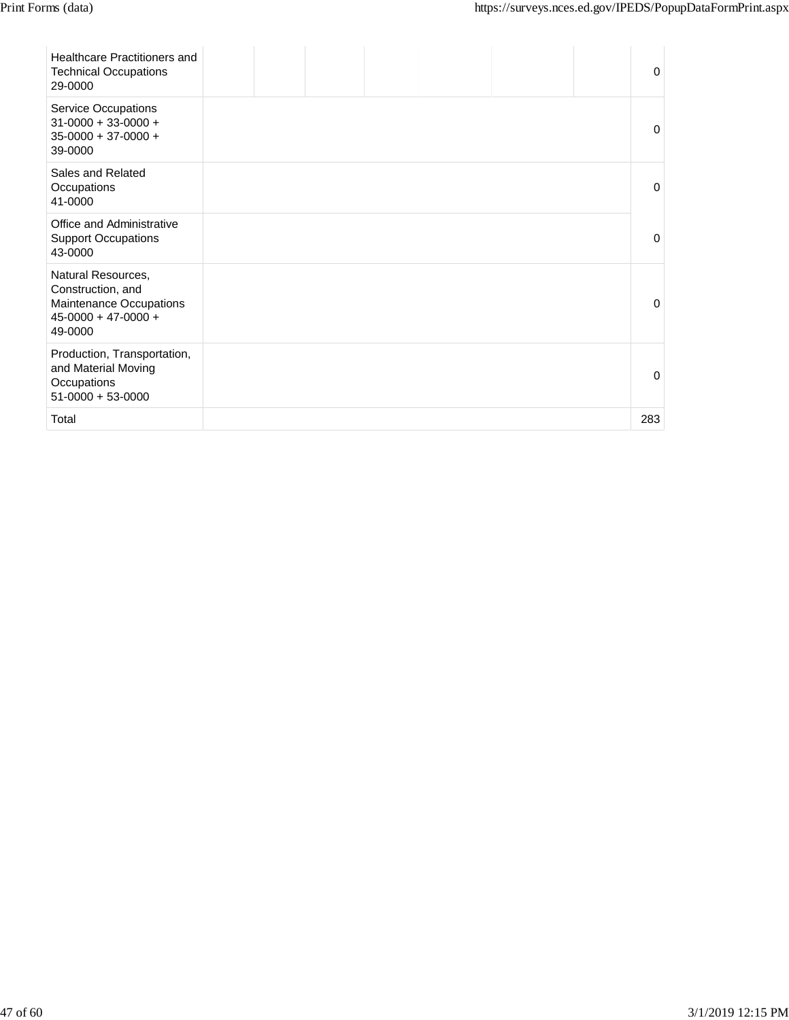| Healthcare Practitioners and<br><b>Technical Occupations</b><br>29-0000                                    |  |  |  | $\Omega$     |
|------------------------------------------------------------------------------------------------------------|--|--|--|--------------|
| <b>Service Occupations</b><br>$31-0000 + 33-0000 +$<br>$35-0000 + 37-0000 +$<br>39-0000                    |  |  |  | $\Omega$     |
| Sales and Related<br>Occupations<br>41-0000                                                                |  |  |  | $\Omega$     |
| Office and Administrative<br><b>Support Occupations</b><br>43-0000                                         |  |  |  | $\Omega$     |
| Natural Resources,<br>Construction, and<br>Maintenance Occupations<br>$45 - 0000 + 47 - 0000 +$<br>49-0000 |  |  |  | $\mathbf{0}$ |
| Production, Transportation,<br>and Material Moving<br>Occupations<br>$51-0000 + 53-0000$                   |  |  |  | $\Omega$     |
| Total                                                                                                      |  |  |  | 283          |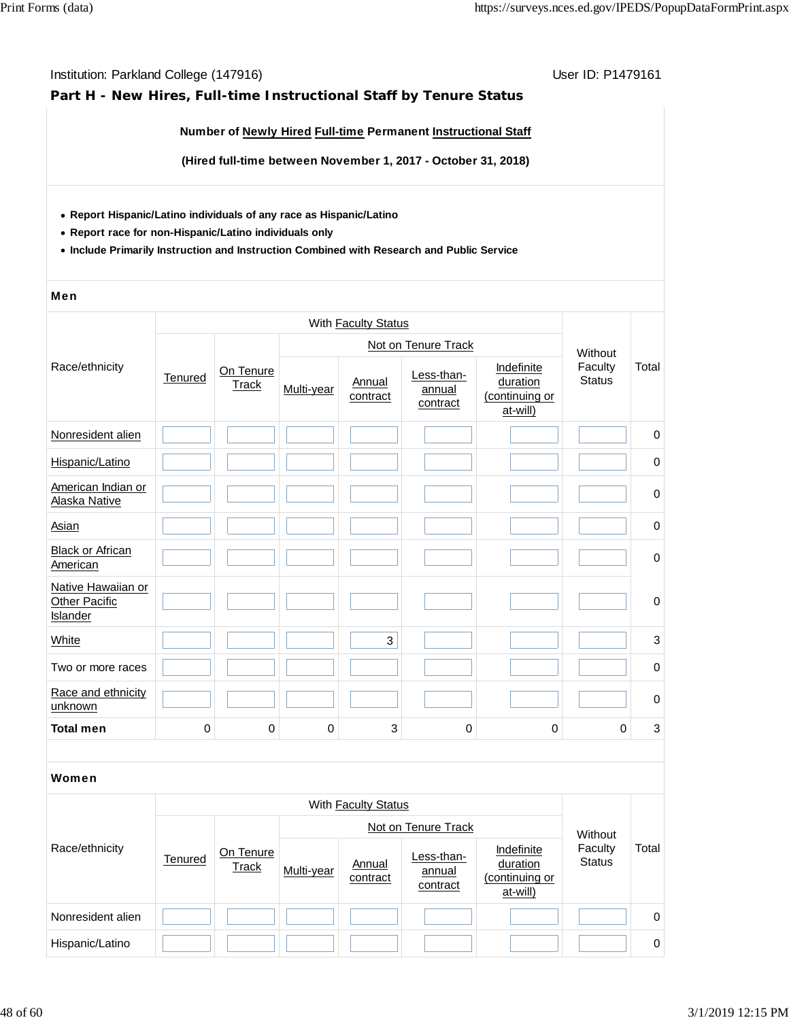### **Part H - New Hires, Full-time Instructional Staff by Tenure Status**

#### **Number of Newly Hired Full-time Permanent Instructional Staff**

**(Hired full-time between November 1, 2017 - October 31, 2018)**

- **Report Hispanic/Latino individuals of any race as Hispanic/Latino**
- **Report race for non-Hispanic/Latino individuals only**
- **Include Primarily Instruction and Instruction Combined with Research and Public Service**

#### Men

|                                                        |         |                           |            | With Faculty Status        |                                  |                                                      |                          |             |
|--------------------------------------------------------|---------|---------------------------|------------|----------------------------|----------------------------------|------------------------------------------------------|--------------------------|-------------|
|                                                        |         |                           |            |                            | Not on Tenure Track              |                                                      | Without                  |             |
| Race/ethnicity                                         | Tenured | On Tenure<br><b>Track</b> | Multi-year | Annual<br>contract         | Less-than-<br>annual<br>contract | Indefinite<br>duration<br>(continuing or<br>at-will) | Faculty<br><b>Status</b> | Total       |
| Nonresident alien                                      |         |                           |            |                            |                                  |                                                      |                          | $\pmb{0}$   |
| Hispanic/Latino                                        |         |                           |            |                            |                                  |                                                      |                          | $\pmb{0}$   |
| American Indian or<br>Alaska Native                    |         |                           |            |                            |                                  |                                                      |                          | 0           |
| Asian                                                  |         |                           |            |                            |                                  |                                                      |                          | 0           |
| <b>Black or African</b><br>American                    |         |                           |            |                            |                                  |                                                      |                          | $\mathbf 0$ |
| Native Hawaiian or<br><b>Other Pacific</b><br>Islander |         |                           |            |                            |                                  |                                                      |                          | 0           |
| White                                                  |         |                           |            | 3                          |                                  |                                                      |                          | 3           |
| Two or more races                                      |         |                           |            |                            |                                  |                                                      |                          | 0           |
| Race and ethnicity<br>unknown                          |         |                           |            |                            |                                  |                                                      |                          | 0           |
| <b>Total men</b>                                       | 0       | $\mathbf 0$               | 0          | 3                          | 0                                | $\mathbf 0$                                          | $\mathbf 0$              | 3           |
|                                                        |         |                           |            |                            |                                  |                                                      |                          |             |
| Women                                                  |         |                           |            |                            |                                  |                                                      |                          |             |
|                                                        |         |                           |            | With <b>Faculty Status</b> |                                  |                                                      |                          |             |
|                                                        |         |                           |            |                            | Not on Tenure Track              |                                                      | Without                  |             |
| Race/ethnicity                                         | Tenured | On Tenure<br>Track        | Multi-year | Annual<br>contract         | Less-than-<br>annual<br>contract | Indefinite<br>duration<br>(continuing or<br>at-will) | Faculty<br><b>Status</b> | Total       |
| Nonresident alien                                      |         |                           |            |                            |                                  |                                                      |                          | 0           |
| Hispanic/Latino                                        |         |                           |            |                            |                                  |                                                      |                          | 0           |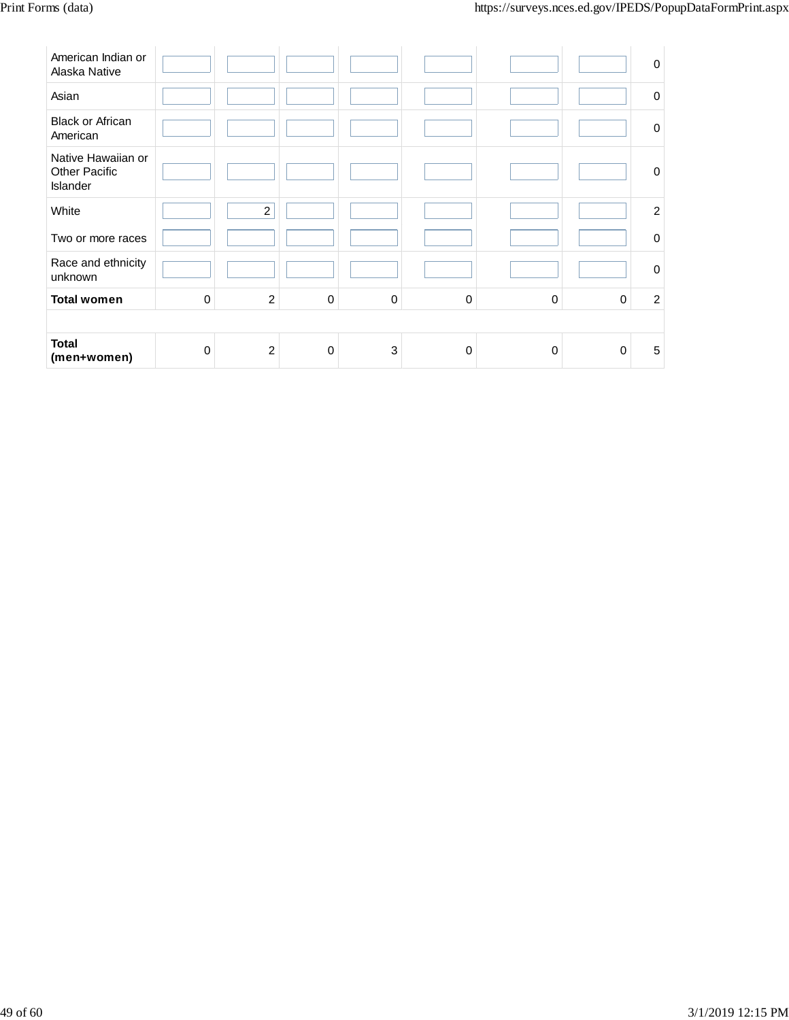| American Indian or<br>Alaska Native                           |          |                  |             |             |             |             |             | $\mathbf 0$    |
|---------------------------------------------------------------|----------|------------------|-------------|-------------|-------------|-------------|-------------|----------------|
| Asian                                                         |          |                  |             |             |             |             |             | $\mathbf 0$    |
| <b>Black or African</b><br>American                           |          |                  |             |             |             |             |             | $\mathbf 0$    |
| Native Hawaiian or<br><b>Other Pacific</b><br><b>Islander</b> |          |                  |             |             |             |             |             | $\mathbf 0$    |
| White                                                         |          | $\boldsymbol{2}$ |             |             |             |             |             | $\overline{c}$ |
| Two or more races                                             |          |                  |             |             |             |             |             | $\mathbf 0$    |
| Race and ethnicity<br>unknown                                 |          |                  |             |             |             |             |             | $\mathbf 0$    |
| <b>Total women</b>                                            | $\Omega$ | $\overline{2}$   | $\mathbf 0$ | $\mathbf 0$ | $\mathbf 0$ | $\mathbf 0$ | $\mathbf 0$ | $\overline{c}$ |
|                                                               |          |                  |             |             |             |             |             |                |
| <b>Total</b><br>(men+women)                                   | $\Omega$ | $\overline{2}$   | $\mathbf 0$ | 3           | $\mathbf 0$ | $\Omega$    | $\Omega$    | 5              |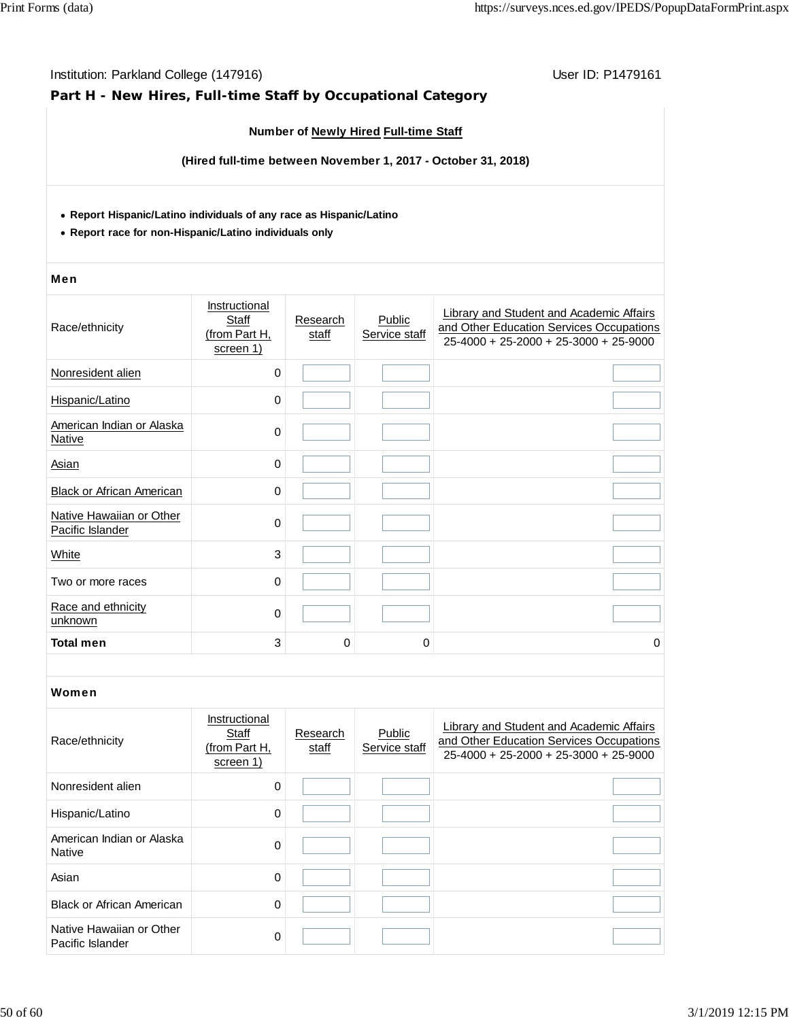| Institution: Parkland College (147916)<br>Part H - New Hires, Full-time Staff by Occupational Category                        |                                                      | User ID: P1479161 |                                       |                                                                                                                                 |
|-------------------------------------------------------------------------------------------------------------------------------|------------------------------------------------------|-------------------|---------------------------------------|---------------------------------------------------------------------------------------------------------------------------------|
|                                                                                                                               |                                                      |                   | Number of Newly Hired Full-time Staff |                                                                                                                                 |
|                                                                                                                               |                                                      |                   |                                       | (Hired full-time between November 1, 2017 - October 31, 2018)                                                                   |
| • Report Hispanic/Latino individuals of any race as Hispanic/Latino<br>• Report race for non-Hispanic/Latino individuals only |                                                      |                   |                                       |                                                                                                                                 |
| <b>Men</b>                                                                                                                    |                                                      |                   |                                       |                                                                                                                                 |
| Race/ethnicity                                                                                                                | Instructional<br>Staff<br>(from Part H,<br>screen 1) | Research<br>staff | Public<br>Service staff               | Library and Student and Academic Affairs<br>and Other Education Services Occupations<br>$25-4000 + 25-2000 + 25-3000 + 25-9000$ |
| Nonresident alien                                                                                                             | 0                                                    |                   |                                       |                                                                                                                                 |
| Hispanic/Latino                                                                                                               | 0                                                    |                   |                                       |                                                                                                                                 |
| American Indian or Alaska<br><b>Native</b>                                                                                    | 0                                                    |                   |                                       |                                                                                                                                 |
| <b>Asian</b>                                                                                                                  | 0                                                    |                   |                                       |                                                                                                                                 |
| Black or African American                                                                                                     | 0                                                    |                   |                                       |                                                                                                                                 |
| Native Hawaiian or Other<br>Pacific Islander                                                                                  | 0                                                    |                   |                                       |                                                                                                                                 |
| White                                                                                                                         | 3                                                    |                   |                                       |                                                                                                                                 |
| Two or more races                                                                                                             | 0                                                    |                   |                                       |                                                                                                                                 |
| Race and ethnicity<br>unknown                                                                                                 | 0                                                    |                   |                                       |                                                                                                                                 |
| Total men                                                                                                                     | 3                                                    | 0                 | 0                                     | 0                                                                                                                               |
| Women                                                                                                                         | Instructional                                        |                   |                                       |                                                                                                                                 |
| Race/ethnicity                                                                                                                | Staff<br>(from Part H,<br>screen 1)                  | Research<br>staff | Public<br>Service staff               | Library and Student and Academic Affairs<br>and Other Education Services Occupations<br>$25-4000 + 25-2000 + 25-3000 + 25-9000$ |
| Nonresident alien                                                                                                             | 0                                                    |                   |                                       |                                                                                                                                 |
| Hispanic/Latino                                                                                                               | 0                                                    |                   |                                       |                                                                                                                                 |
| American Indian or Alaska<br><b>Native</b>                                                                                    | 0                                                    |                   |                                       |                                                                                                                                 |
| Asian                                                                                                                         | 0                                                    |                   |                                       |                                                                                                                                 |
| <b>Black or African American</b>                                                                                              | 0                                                    |                   |                                       |                                                                                                                                 |
| Native Hawaiian or Other<br>Pacific Islander                                                                                  | 0                                                    |                   |                                       |                                                                                                                                 |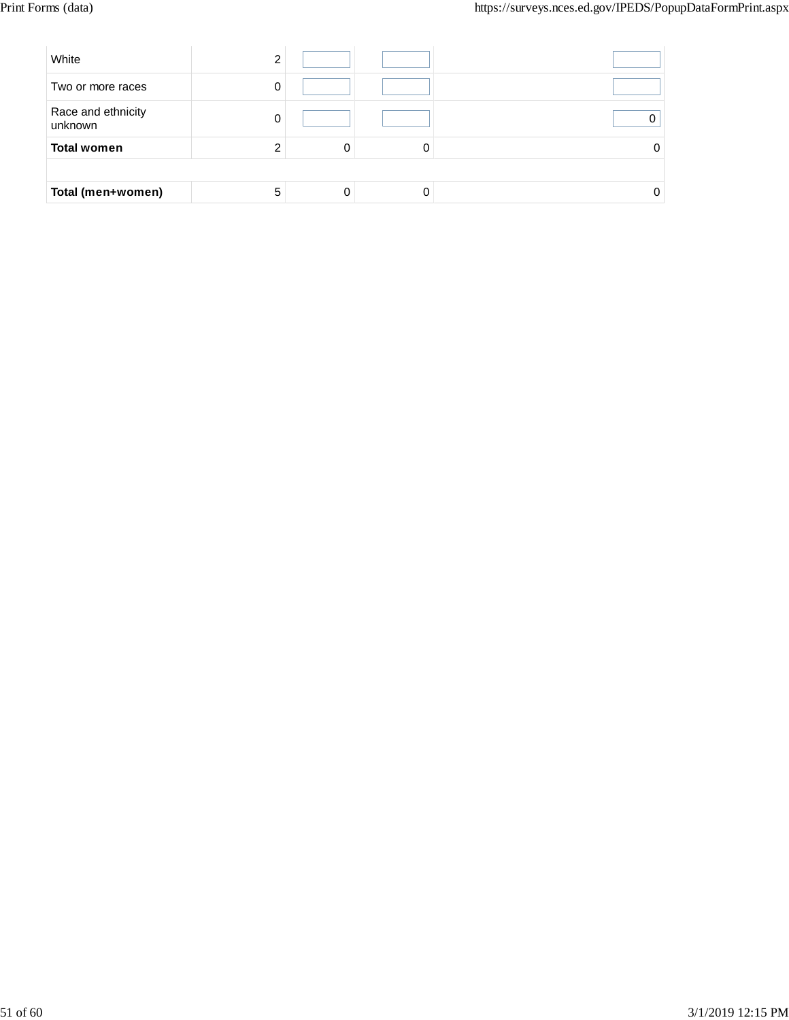| White                         | ◠ |  |  |
|-------------------------------|---|--|--|
| Two or more races             | υ |  |  |
| Race and ethnicity<br>unknown |   |  |  |
| <b>Total women</b>            |   |  |  |
|                               |   |  |  |
| Total (men+women)             | 5 |  |  |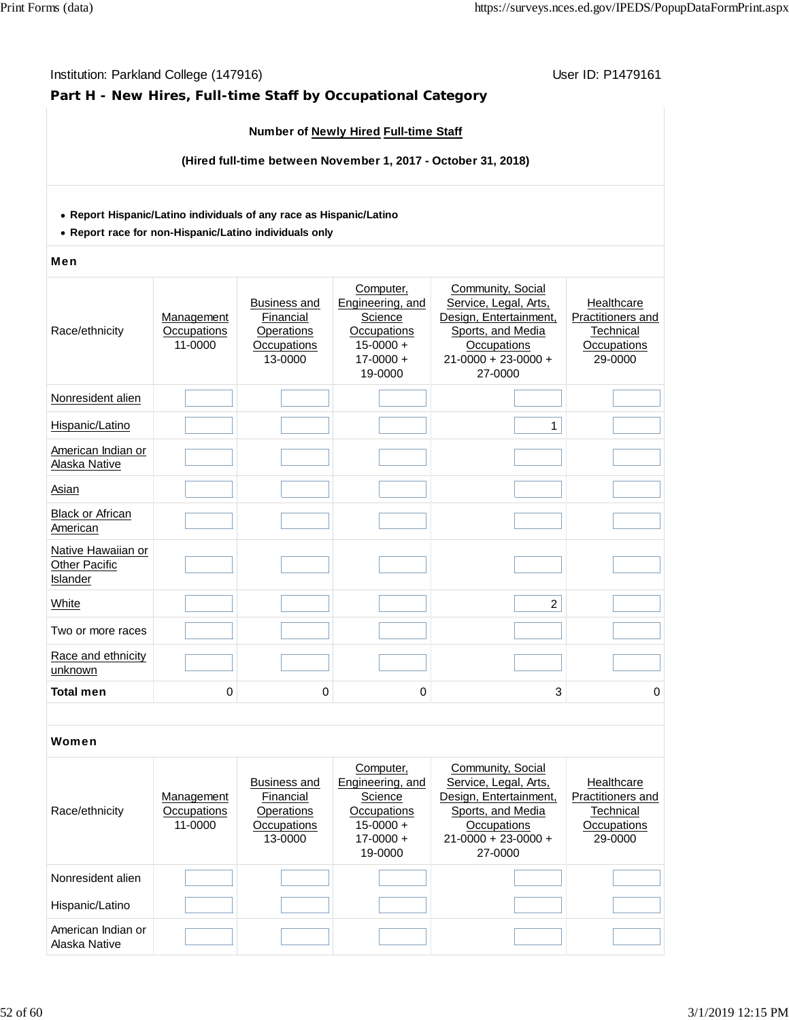#### **Number of Newly Hired Full-time Staff (Hired full-time between November 1, 2017 - October 31, 2018) Report Hispanic/Latino individuals of any race as Hispanic/Latino Report race for non-Hispanic/Latino individuals only** Men Race/ethnicity **Management Occupations** 11-0000 Business and **Financial Operations Occupations** 13-0000 Computer, Engineering, and **Science Occupations**  $15-0000 +$  $17-0000 +$ 19-0000 Community, Social Service, Legal, Arts, Design, Entertainment, Sports, and Media **Occupations** 21-0000 + 23-0000 + 27-0000 **Healthcare** Practitioners and **Technical Occupations** 29-0000 Nonresident alien Hispanic/Latino 1 American Indian or Alaska Native Asian Black or African **American** Native Hawaiian or **Other Pacific Islander** White 2 Two or more races Race and ethnicity unknown **Total men 0 0 0 3 0** Women Race/ethnicity **Management Occupations** 11-0000 Business and **Financial Operations Occupations** 13-0000 Computer, Engineering, and **Science Occupations**  $15-0000 +$  $17-0000 +$ 19-0000 Community, Social Service, Legal, Arts, Design, Entertainment, Sports, and Media **Occupations** 21-0000 + 23-0000 + 27-0000 **Healthcare** Practitioners and **Technical Occupations** 29-0000 Nonresident alien

Institution: Parkland College (147916) November 2012 12: P1479161

**Part H - New Hires, Full-time Staff by Occupational Category**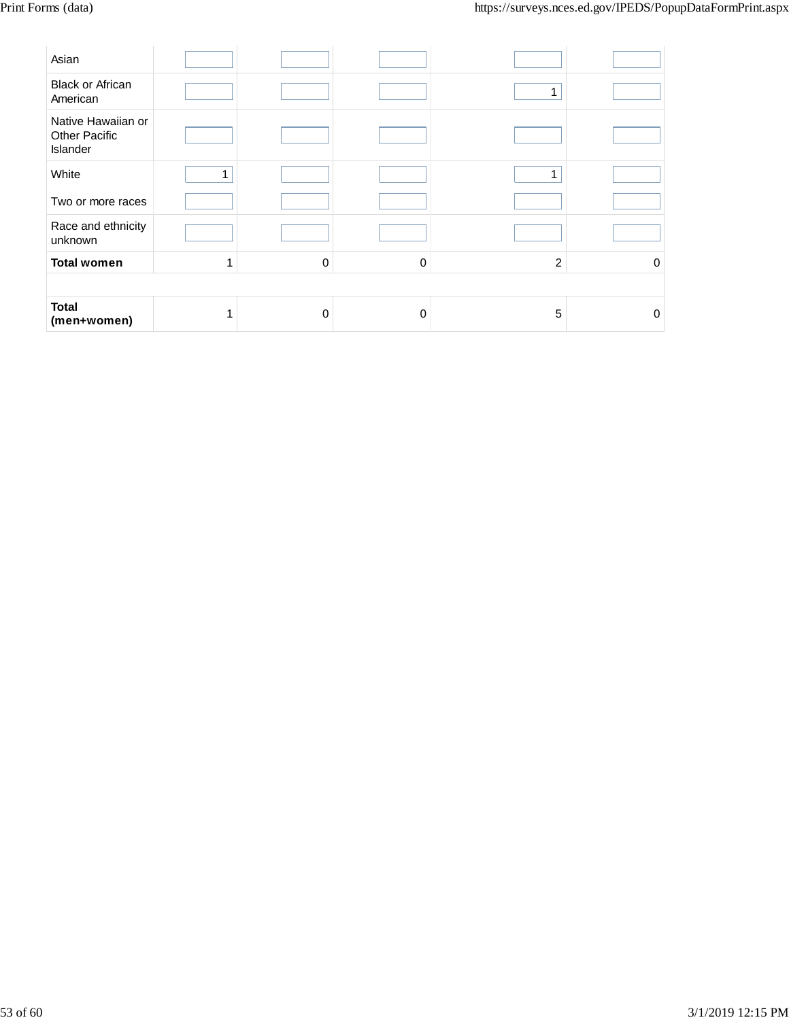| Asian                                                  |              |   |          |   |          |  |  |
|--------------------------------------------------------|--------------|---|----------|---|----------|--|--|
| <b>Black or African</b><br>American                    |              |   |          |   |          |  |  |
| Native Hawaiian or<br><b>Other Pacific</b><br>Islander |              |   |          |   |          |  |  |
| White                                                  | 1            |   |          |   |          |  |  |
| Two or more races                                      |              |   |          |   |          |  |  |
| Race and ethnicity<br>unknown                          |              |   |          |   |          |  |  |
| <b>Total women</b>                                     | $\mathbf{1}$ | 0 | $\Omega$ | 2 | 0        |  |  |
|                                                        |              |   |          |   |          |  |  |
| <b>Total</b><br>(men+women)                            | 1            | 0 | $\Omega$ | 5 | $\Omega$ |  |  |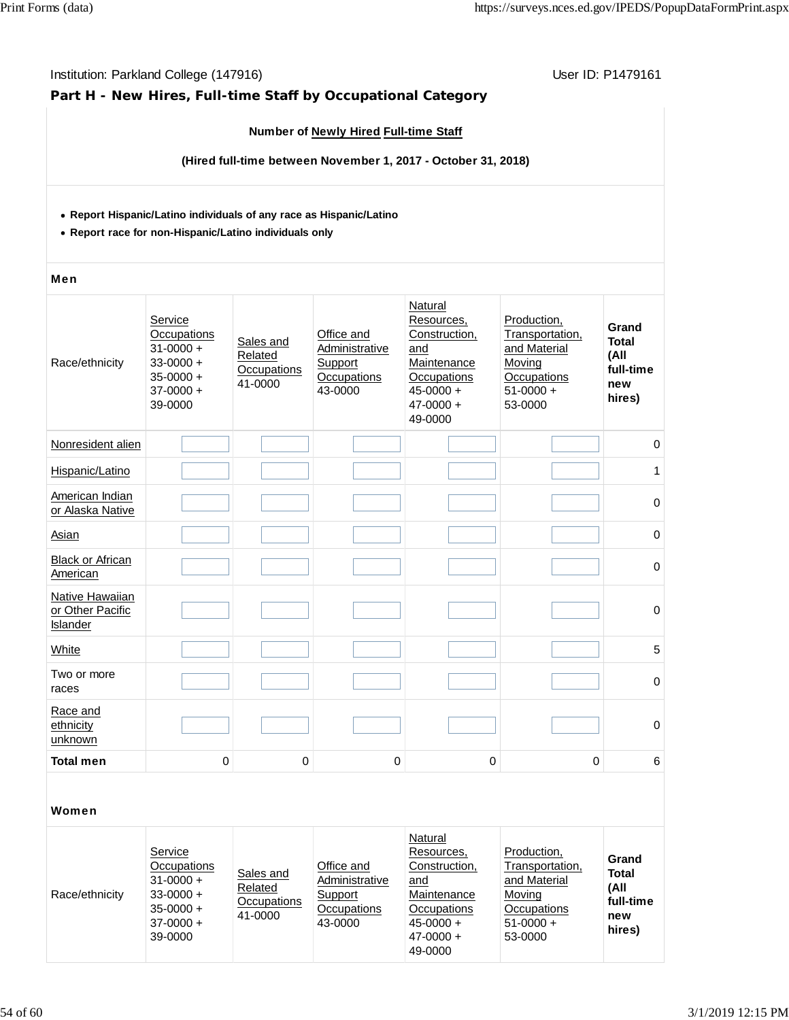### **Part H - New Hires, Full-time Staff by Occupational Category**

### **Number of Newly Hired Full-time Staff**

**(Hired full-time between November 1, 2017 - October 31, 2018)**

#### **Report Hispanic/Latino individuals of any race as Hispanic/Latino**

**Report race for non-Hispanic/Latino individuals only**

#### Men

| Race/ethnicity                                  | Service<br>Occupations<br>$31 - 0000 +$<br>$33 - 0000 +$<br>$35 - 0000 +$<br>$37 - 0000 +$<br>39-0000 | Sales and<br>Related<br>Occupations<br>41-0000 | Office and<br>Administrative<br>Support<br>Occupations<br>43-0000 | Natural<br>Resources,<br>Construction,<br>and<br>Maintenance<br>Occupations<br>$45 - 0000 +$<br>$47 - 0000 +$<br>49-0000 | Production,<br>Transportation,<br>and Material<br>Moving<br>Occupations<br>$51-0000 +$<br>53-0000 | Grand<br><b>Total</b><br>(All<br>full-time<br>new<br>hires) |
|-------------------------------------------------|-------------------------------------------------------------------------------------------------------|------------------------------------------------|-------------------------------------------------------------------|--------------------------------------------------------------------------------------------------------------------------|---------------------------------------------------------------------------------------------------|-------------------------------------------------------------|
| Nonresident alien                               |                                                                                                       |                                                |                                                                   |                                                                                                                          |                                                                                                   | 0                                                           |
| Hispanic/Latino                                 |                                                                                                       |                                                |                                                                   |                                                                                                                          |                                                                                                   | 1                                                           |
| American Indian<br>or Alaska Native             |                                                                                                       |                                                |                                                                   |                                                                                                                          |                                                                                                   | 0                                                           |
| Asian                                           |                                                                                                       |                                                |                                                                   |                                                                                                                          |                                                                                                   | 0                                                           |
| <b>Black or African</b><br>American             |                                                                                                       |                                                |                                                                   |                                                                                                                          |                                                                                                   | 0                                                           |
| Native Hawaiian<br>or Other Pacific<br>Islander |                                                                                                       |                                                |                                                                   |                                                                                                                          |                                                                                                   | 0                                                           |
| White                                           |                                                                                                       |                                                |                                                                   |                                                                                                                          |                                                                                                   | 5                                                           |
| Two or more<br>races                            |                                                                                                       |                                                |                                                                   |                                                                                                                          |                                                                                                   | 0                                                           |
| Race and<br>ethnicity<br>unknown                |                                                                                                       |                                                |                                                                   |                                                                                                                          |                                                                                                   | $\mathbf 0$                                                 |
| <b>Total men</b>                                | 0                                                                                                     | 0                                              | $\mathbf 0$                                                       | $\mathbf 0$                                                                                                              | $\Omega$                                                                                          | $6\phantom{1}6$                                             |
|                                                 |                                                                                                       |                                                |                                                                   |                                                                                                                          |                                                                                                   |                                                             |
| Women                                           |                                                                                                       |                                                |                                                                   |                                                                                                                          |                                                                                                   |                                                             |
|                                                 |                                                                                                       |                                                |                                                                   | Natural                                                                                                                  |                                                                                                   |                                                             |

| Race/ethnicity | Service<br>Occupations<br>$31 - 0000 +$<br>$33 - 0000 +$<br>$35 - 0000 +$<br>$37-0000 +$<br>39-0000 | Sales and<br>Related<br>Occupations<br>41-0000 | Office and<br>Administrative<br>Support<br>Occupations<br>43-0000 | Natural<br>Resources.<br>Construction.<br>and<br>Maintenance<br>Occupations<br>$45 - 0000 +$<br>$47 - 0000 +$<br>49-0000 | Production.<br>Transportation.<br>and Material<br>Moving<br>Occupations<br>$51-0000 +$<br>53-0000 | Grand<br><b>Total</b><br>(All<br>full-time<br>new<br>hires) |
|----------------|-----------------------------------------------------------------------------------------------------|------------------------------------------------|-------------------------------------------------------------------|--------------------------------------------------------------------------------------------------------------------------|---------------------------------------------------------------------------------------------------|-------------------------------------------------------------|
|----------------|-----------------------------------------------------------------------------------------------------|------------------------------------------------|-------------------------------------------------------------------|--------------------------------------------------------------------------------------------------------------------------|---------------------------------------------------------------------------------------------------|-------------------------------------------------------------|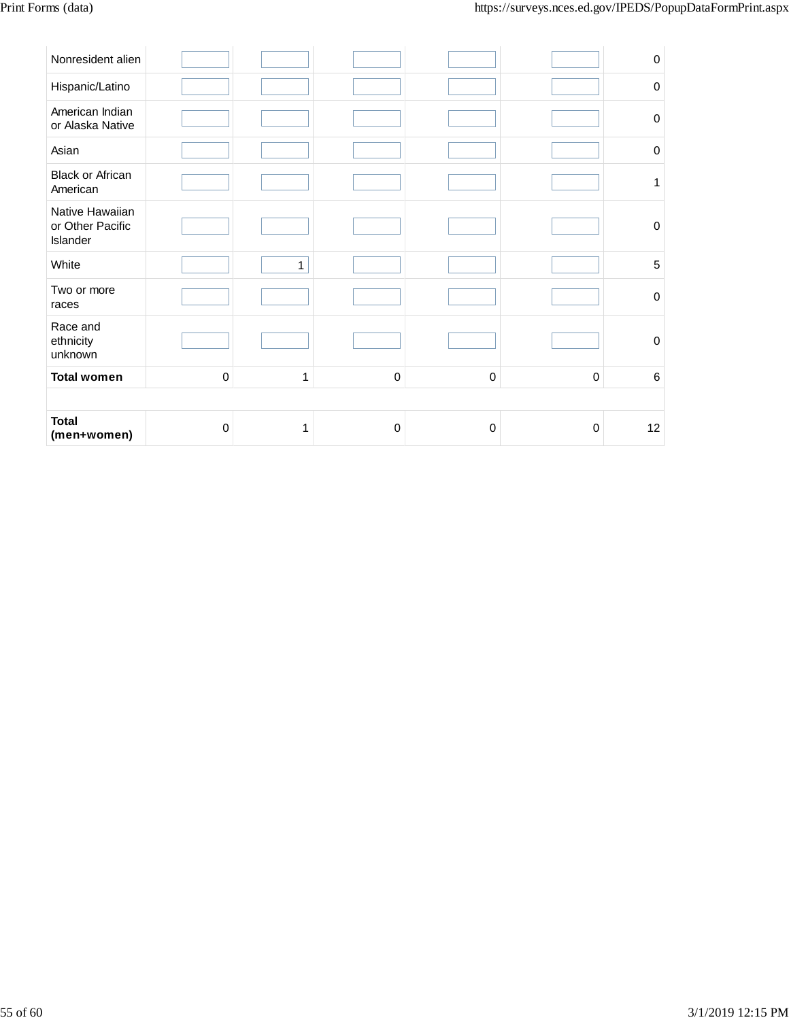| Asian                                           |           |              |           |   |             | $\mathbf 0$ |
|-------------------------------------------------|-----------|--------------|-----------|---|-------------|-------------|
| <b>Black or African</b><br>American             |           |              |           |   |             | 1           |
| Native Hawaiian<br>or Other Pacific<br>Islander |           |              |           |   |             | $\mathbf 0$ |
| White                                           |           | $\mathbf{1}$ |           |   |             | 5           |
| Two or more<br>races                            |           |              |           |   |             | $\mathbf 0$ |
| Race and<br>ethnicity<br>unknown                |           |              |           |   |             | $\mathbf 0$ |
| <b>Total women</b>                              | $\pmb{0}$ | 1            | $\pmb{0}$ | 0 | $\mathbf 0$ | 6           |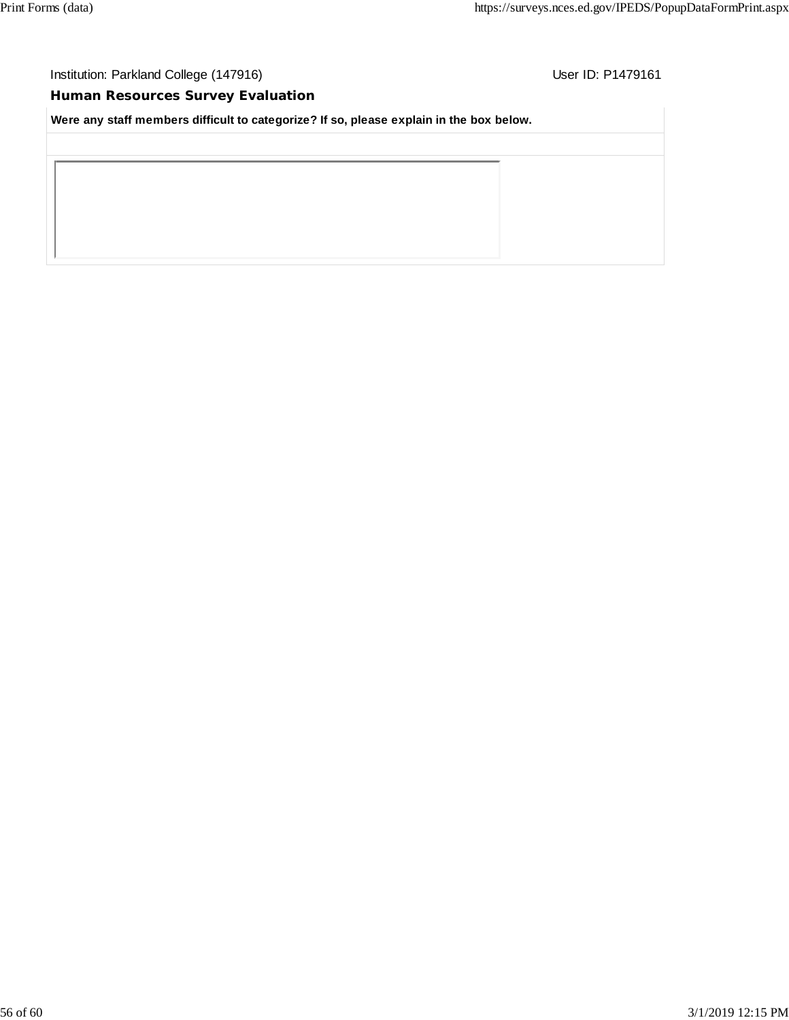# **Human Resources Survey Evaluation**

**Were any staff members difficult to categorize? If so, please explain in the box below.**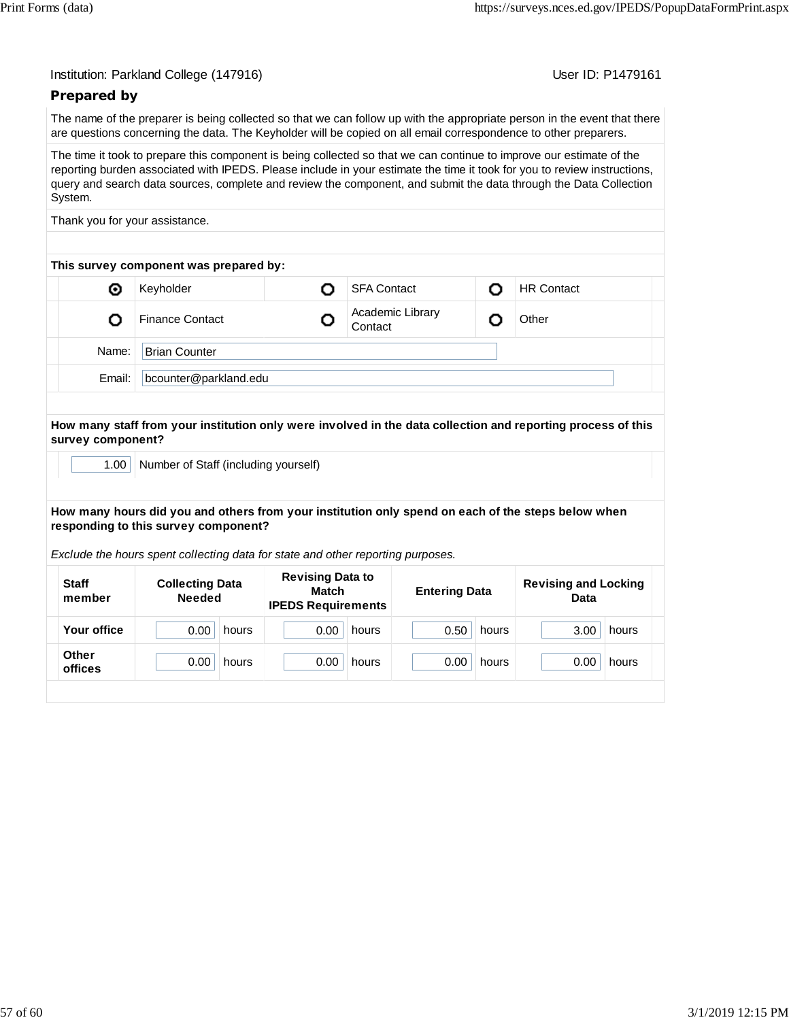| Institution: Parkland College (147916) |  |  |  |
|----------------------------------------|--|--|--|
|----------------------------------------|--|--|--|

User ID: P1479161

# **Prepared by**

The name of the preparer is being collected so that we can follow up with the appropriate person in the event that there are questions concerning the data. The Keyholder will be copied on all email correspondence to other preparers.

The time it took to prepare this component is being collected so that we can continue to improve our estimate of the reporting burden associated with IPEDS. Please include in your estimate the time it took for you to review instructions, query and search data sources, complete and review the component, and submit the data through the Data Collection System.

Thank you for your assistance.

|        | This survey component was prepared by: |  |                             |   |                   |  |
|--------|----------------------------------------|--|-----------------------------|---|-------------------|--|
| ◉      | Keyholder                              |  | <b>SFA Contact</b>          | n | <b>HR Contact</b> |  |
|        | <b>Finance Contact</b>                 |  | Academic Library<br>Contact |   | Other             |  |
| Name:  | <b>Brian Counter</b>                   |  |                             |   |                   |  |
| Email: | bcounter@parkland.edu                  |  |                             |   |                   |  |

**How many staff from your institution only were involved in the data collection and reporting process of this survey component?**

1.00 | Number of Staff (including yourself)

**How many hours did you and others from your institution only spend on each of the steps below when responding to this survey component?**

*Exclude the hours spent collecting data for state and other reporting purposes.*

| <b>Staff</b><br>member  | <b>Collecting Data</b><br><b>Needed</b> | <b>Revising Data to</b><br>Match<br><b>IPEDS Requirements</b> |               | <b>Revising and Locking</b><br>Data |  |
|-------------------------|-----------------------------------------|---------------------------------------------------------------|---------------|-------------------------------------|--|
| Your office             | 0.00<br>hours                           | 0.00<br>hours                                                 | 0.50<br>hours | 3.00<br>hours                       |  |
| <b>Other</b><br>offices | 0.00<br>hours                           | 0.00<br>hours                                                 | 0.00<br>hours | 0.00<br>hours                       |  |
|                         |                                         |                                                               |               |                                     |  |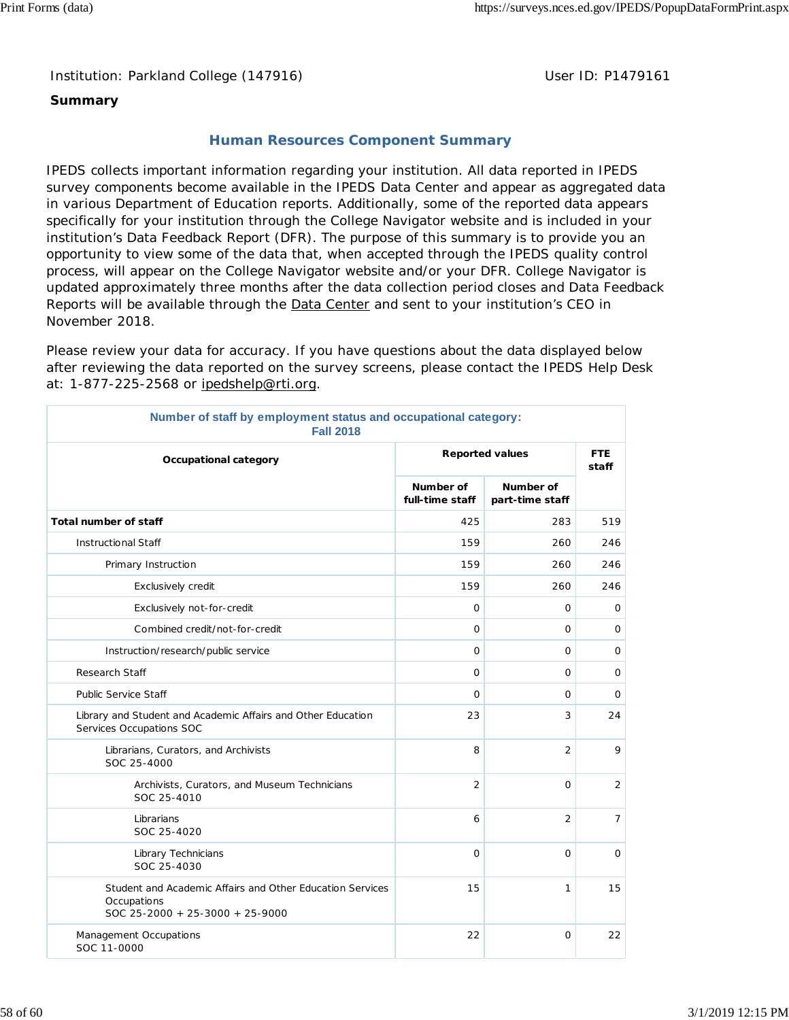Institution: Parkland College (147916) **Distribution: Parkland College (1479161** College College College College College College College College College College College College College College College College College Colle

### **Summary**

# **Human Resources Component Summary**

IPEDS collects important information regarding your institution. All data reported in IPEDS survey components become available in the IPEDS Data Center and appear as aggregated data in various Department of Education reports. Additionally, some of the reported data appears specifically for your institution through the College Navigator website and is included in your institution's Data Feedback Report (DFR). The purpose of this summary is to provide you an opportunity to view some of the data that, when accepted through the IPEDS quality control process, will appear on the College Navigator website and/or your DFR. College Navigator is updated approximately three months after the data collection period closes and Data Feedback Reports will be available through the **Data Center** and sent to your institution's CEO in November 2018.

Please review your data for accuracy. If you have questions about the data displayed below after reviewing the data reported on the survey screens, please contact the IPEDS Help Desk at: 1-877-225-2568 or ipedshelp@rti.org.

| Number of staff by employment status and occupational category:<br><b>Fall 2018</b>                         |                              |                              |                |  |  |
|-------------------------------------------------------------------------------------------------------------|------------------------------|------------------------------|----------------|--|--|
| Occupational category                                                                                       | <b>Reported values</b>       | <b>FTE</b><br>staff          |                |  |  |
|                                                                                                             | Number of<br>full-time staff | Number of<br>part-time staff |                |  |  |
| <b>Total number of staff</b>                                                                                | 425                          | 283                          | 519            |  |  |
| <b>Instructional Staff</b>                                                                                  | 159                          | 260                          | 246            |  |  |
| Primary Instruction                                                                                         | 159                          | 260                          | 246            |  |  |
| Exclusively credit                                                                                          | 159                          | 260                          | 246            |  |  |
| Exclusively not-for-credit                                                                                  | 0                            | 0                            | 0              |  |  |
| Combined credit/not-for-credit                                                                              | $\mathbf 0$                  | 0                            | $\mathsf{O}$   |  |  |
| Instruction/research/public service                                                                         | 0                            | 0                            | 0              |  |  |
| Research Staff                                                                                              | $\mathbf 0$                  | 0                            | 0              |  |  |
| <b>Public Service Staff</b>                                                                                 | $\mathbf 0$                  | 0                            | 0              |  |  |
| Library and Student and Academic Affairs and Other Education<br>Services Occupations SOC                    | 23                           | 3                            | 24             |  |  |
| Librarians, Curators, and Archivists<br>SOC 25-4000                                                         | 8                            | $\overline{2}$               | 9              |  |  |
| Archivists, Curators, and Museum Technicians<br>SOC 25-4010                                                 | $\overline{2}$               | $\Omega$                     | $\overline{2}$ |  |  |
| Librarians<br>SOC 25-4020                                                                                   | 6                            | $\overline{2}$               | $\overline{7}$ |  |  |
| Library Technicians<br>SOC 25-4030                                                                          | $\Omega$                     | $\Omega$                     | $\circ$        |  |  |
| Student and Academic Affairs and Other Education Services<br>Occupations<br>SOC 25-2000 + 25-3000 + 25-9000 | 15                           | 1                            | 15             |  |  |
| Management Occupations<br>SOC 11-0000                                                                       | 22                           | 0                            | 22             |  |  |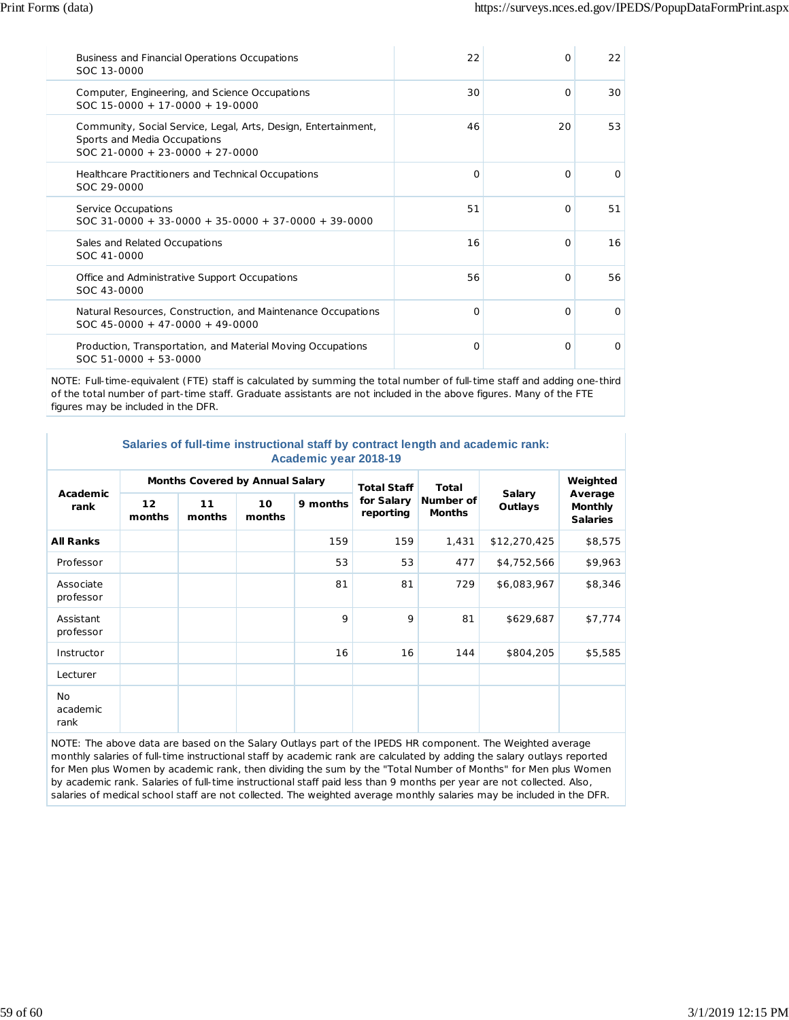| Business and Financial Operations Occupations<br>SOC 13-0000                                                                        | 22       | $\Omega$ | 22       |
|-------------------------------------------------------------------------------------------------------------------------------------|----------|----------|----------|
| Computer, Engineering, and Science Occupations<br>$SOC 15-0000 + 17-0000 + 19-0000$                                                 | 30       | $\Omega$ | 30       |
| Community, Social Service, Legal, Arts, Design, Entertainment,<br>Sports and Media Occupations<br>$SOC$ 21-0000 + 23-0000 + 27-0000 | 46       | 20       | 53       |
| Healthcare Practitioners and Technical Occupations<br>SOC 29-0000                                                                   | $\Omega$ | $\Omega$ | $\Omega$ |
| Service Occupations<br>$SOC$ 31-0000 + 33-0000 + 35-0000 + 37-0000 + 39-0000                                                        | 51       | $\Omega$ | 51       |
| Sales and Related Occupations<br>SOC 41-0000                                                                                        | 16       | $\Omega$ | 16       |
| Office and Administrative Support Occupations<br>SOC 43-0000                                                                        | 56       | $\Omega$ | 56       |
| Natural Resources, Construction, and Maintenance Occupations<br>$SOC$ 45-0000 + 47-0000 + 49-0000                                   | O        | $\Omega$ | $\Omega$ |
| Production, Transportation, and Material Moving Occupations<br>$SOC 51-0000 + 53-0000$                                              | O        | $\Omega$ | $\Omega$ |

NOTE: Full-time-equivalent (FTE) staff is calculated by summing the total number of full-time staff and adding one-third of the total number of part-time staff. Graduate assistants are not included in the above figures. Many of the FTE figures may be included in the DFR.

| Salaries of full-time instructional staff by contract length and academic rank: |  |  |  |  |  |
|---------------------------------------------------------------------------------|--|--|--|--|--|
| Academic year 2018-19                                                           |  |  |  |  |  |

| Academic<br>rank              | Months Covered by Annual Salary |              |              |          | <b>Total Staff</b>      | <b>Total</b>               |                          | Weighted                                     |
|-------------------------------|---------------------------------|--------------|--------------|----------|-------------------------|----------------------------|--------------------------|----------------------------------------------|
|                               | 12 <sup>2</sup><br>months       | 11<br>months | 10<br>months | 9 months | for Salary<br>reporting | Number of<br><b>Months</b> | <b>Salary</b><br>Outlays | Average<br><b>Monthly</b><br><b>Salaries</b> |
| <b>All Ranks</b>              |                                 |              |              | 159      | 159                     | 1,431                      | \$12,270,425             | \$8,575                                      |
| Professor                     |                                 |              |              | 53       | 53                      | 477                        | \$4,752,566              | \$9,963                                      |
| Associate<br>professor        |                                 |              |              | 81       | 81                      | 729                        | \$6,083,967              | \$8,346                                      |
| Assistant<br>professor        |                                 |              |              | 9        | 9                       | 81                         | \$629,687                | \$7,774                                      |
| Instructor                    |                                 |              |              | 16       | 16                      | 144                        | \$804,205                | \$5,585                                      |
| Lecturer                      |                                 |              |              |          |                         |                            |                          |                                              |
| <b>No</b><br>academic<br>rank |                                 |              |              |          |                         |                            |                          |                                              |

NOTE: The above data are based on the Salary Outlays part of the IPEDS HR component. The Weighted average monthly salaries of full-time instructional staff by academic rank are calculated by adding the salary outlays reported for Men plus Women by academic rank, then dividing the sum by the "Total Number of Months" for Men plus Women by academic rank. Salaries of full-time instructional staff paid less than 9 months per year are not collected. Also, salaries of medical school staff are not collected. The weighted average monthly salaries may be included in the DFR.